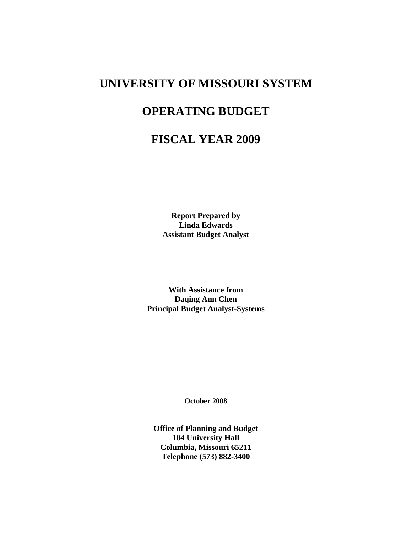# **UNIVERSITY OF MISSOURI SYSTEM**

# **OPERATING BUDGET**

# **FISCAL YEAR 2009**

**Report Prepared by Linda Edwards Assistant Budget Analyst** 

**With Assistance from Daqing Ann Chen Principal Budget Analyst-Systems** 

**October 2008** 

**Office of Planning and Budget 104 University Hall Columbia, Missouri 65211 Telephone (573) 882-3400**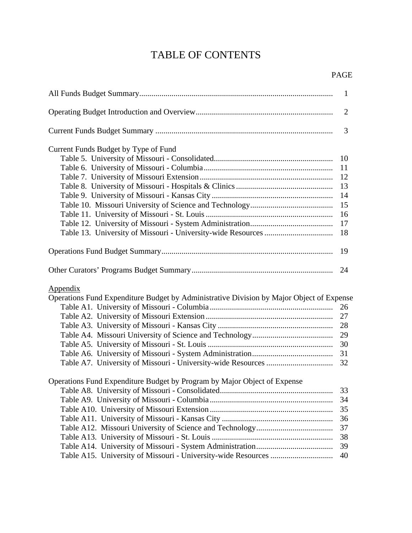# TABLE OF CONTENTS

|                                                                                                             | 1                                      |
|-------------------------------------------------------------------------------------------------------------|----------------------------------------|
|                                                                                                             | $\overline{2}$                         |
|                                                                                                             | 3                                      |
| Current Funds Budget by Type of Fund                                                                        |                                        |
|                                                                                                             | 10                                     |
|                                                                                                             | 11                                     |
|                                                                                                             |                                        |
|                                                                                                             | 13                                     |
|                                                                                                             | 14                                     |
|                                                                                                             | 15                                     |
|                                                                                                             | 16                                     |
|                                                                                                             | 17                                     |
|                                                                                                             | 18                                     |
|                                                                                                             | 19                                     |
|                                                                                                             | 24                                     |
| <b>Appendix</b><br>Operations Fund Expenditure Budget by Administrative Division by Major Object of Expense | 26<br>27<br>28<br>29<br>30<br>31<br>32 |
| Operations Fund Expenditure Budget by Program by Major Object of Expense                                    |                                        |
|                                                                                                             | 33                                     |
|                                                                                                             | 34                                     |
|                                                                                                             | 35                                     |
|                                                                                                             | 36                                     |
|                                                                                                             | 37                                     |
|                                                                                                             | 38                                     |
|                                                                                                             | 39                                     |
|                                                                                                             | 40                                     |
|                                                                                                             |                                        |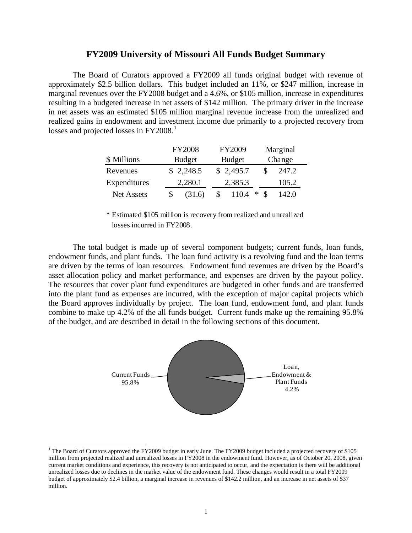### **FY2009 University of Missouri All Funds Budget Summary**

The Board of Curators approved a FY2009 all funds original budget with revenue of approximately \$2.5 billion dollars. This budget included an 11%, or \$247 million, increase in marginal revenues over the FY2008 budget and a 4.6%, or \$105 million, increase in expenditures resulting in a budgeted increase in net assets of \$142 million. The primary driver in the increase in net assets was an estimated \$105 million marginal revenue increase from the unrealized and realized gains in endowment and investment income due primarily to a projected recovery from losses and projected losses in FY2008.<sup>[1](#page-4-0)</sup>

|                   | <b>FY2008</b> | FY2009        | Marginal   |
|-------------------|---------------|---------------|------------|
| \$ Millions       | <b>Budget</b> | <b>Budget</b> | Change     |
| Revenues          | \$2,248.5     | \$2,495.7     | 247.2      |
| Expenditures      | 2,280.1       | 2,385.3       | 105.2      |
| <b>Net Assets</b> | (31.6)        | 1104          | ∗<br>142.0 |

\* Estimated \$105 million is recovery from realized and unrealized losses incurred in FY2008.

The total budget is made up of several component budgets; current funds, loan funds, endowment funds, and plant funds. The loan fund activity is a revolving fund and the loan terms are driven by the terms of loan resources. Endowment fund revenues are driven by the Board's asset allocation policy and market performance, and expenses are driven by the payout policy. The resources that cover plant fund expenditures are budgeted in other funds and are transferred into the plant fund as expenses are incurred, with the exception of major capital projects which the Board approves individually by project. The loan fund, endowment fund, and plant funds combine to make up 4.2% of the all funds budget. Current funds make up the remaining 95.8% of the budget, and are described in detail in the following sections of this document.



<span id="page-4-0"></span><sup>&</sup>lt;sup>1</sup> The Board of Curators approved the FY2009 budget in early June. The FY2009 budget included a projected recovery of \$105 million from projected realized and unrealized losses in FY2008 in the endowment fund. However, as of October 20, 2008, given current market conditions and experience, this recovery is not anticipated to occur, and the expectation is there will be additional unrealized losses due to declines in the market value of the endowment fund. These changes would result in a total FY2009 budget of approximately \$2.4 billion, a marginal increase in revenues of \$142.2 million, and an increase in net assets of \$37 million.

 $\overline{a}$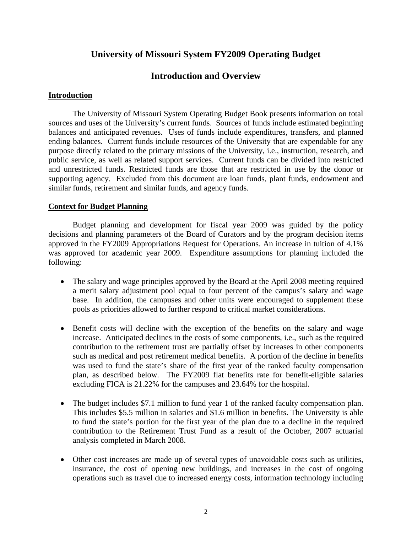# **University of Missouri System FY2009 Operating Budget**

# **Introduction and Overview**

## **Introduction**

The University of Missouri System Operating Budget Book presents information on total sources and uses of the University's current funds. Sources of funds include estimated beginning balances and anticipated revenues. Uses of funds include expenditures, transfers, and planned ending balances. Current funds include resources of the University that are expendable for any purpose directly related to the primary missions of the University, i.e., instruction, research, and public service, as well as related support services. Current funds can be divided into restricted and unrestricted funds. Restricted funds are those that are restricted in use by the donor or supporting agency. Excluded from this document are loan funds, plant funds, endowment and similar funds, retirement and similar funds, and agency funds.

## **Context for Budget Planning**

Budget planning and development for fiscal year 2009 was guided by the policy decisions and planning parameters of the Board of Curators and by the program decision items approved in the FY2009 Appropriations Request for Operations. An increase in tuition of 4.1% was approved for academic year 2009. Expenditure assumptions for planning included the following:

- The salary and wage principles approved by the Board at the April 2008 meeting required a merit salary adjustment pool equal to four percent of the campus's salary and wage base. In addition, the campuses and other units were encouraged to supplement these pools as priorities allowed to further respond to critical market considerations.
- Benefit costs will decline with the exception of the benefits on the salary and wage increase. Anticipated declines in the costs of some components, i.e., such as the required contribution to the retirement trust are partially offset by increases in other components such as medical and post retirement medical benefits. A portion of the decline in benefits was used to fund the state's share of the first year of the ranked faculty compensation plan, as described below. The FY2009 flat benefits rate for benefit-eligible salaries excluding FICA is 21.22% for the campuses and 23.64% for the hospital.
- The budget includes \$7.1 million to fund year 1 of the ranked faculty compensation plan. This includes \$5.5 million in salaries and \$1.6 million in benefits. The University is able to fund the state's portion for the first year of the plan due to a decline in the required contribution to the Retirement Trust Fund as a result of the October, 2007 actuarial analysis completed in March 2008.
- Other cost increases are made up of several types of unavoidable costs such as utilities, insurance, the cost of opening new buildings, and increases in the cost of ongoing operations such as travel due to increased energy costs, information technology including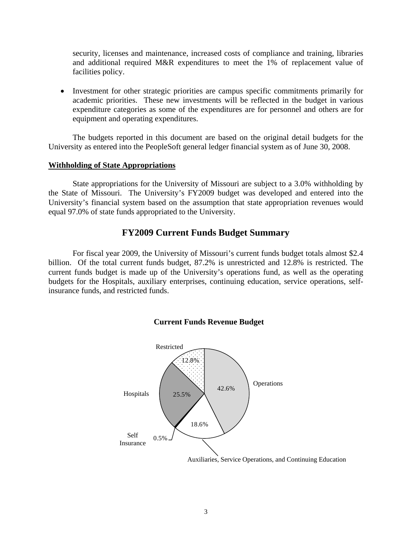security, licenses and maintenance, increased costs of compliance and training, libraries and additional required M&R expenditures to meet the 1% of replacement value of facilities policy.

• Investment for other strategic priorities are campus specific commitments primarily for academic priorities. These new investments will be reflected in the budget in various expenditure categories as some of the expenditures are for personnel and others are for equipment and operating expenditures.

The budgets reported in this document are based on the original detail budgets for the University as entered into the PeopleSoft general ledger financial system as of June 30, 2008.

### **Withholding of State Appropriations**

State appropriations for the University of Missouri are subject to a 3.0% withholding by the State of Missouri. The University's FY2009 budget was developed and entered into the University's financial system based on the assumption that state appropriation revenues would equal 97.0% of state funds appropriated to the University.

# **FY2009 Current Funds Budget Summary**

For fiscal year 2009, the University of Missouri's current funds budget totals almost \$2.4 billion. Of the total current funds budget, 87.2% is unrestricted and 12.8% is restricted. The current funds budget is made up of the University's operations fund, as well as the operating budgets for the Hospitals, auxiliary enterprises, continuing education, service operations, selfinsurance funds, and restricted funds.



## **Current Funds Revenue Budget**

Auxiliaries, Service Operations, and Continuing Education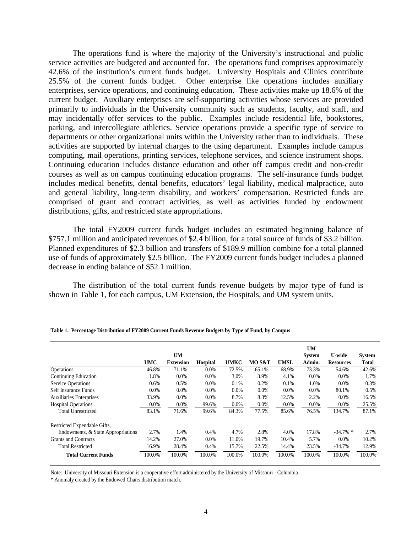The operations fund is where the majority of the University's instructional and public service activities are budgeted and accounted for. The operations fund comprises approximately 42.6% of the institution's current funds budget. University Hospitals and Clinics contribute 25.5% of the current funds budget. Other enterprise like operations includes auxiliary enterprises, service operations, and continuing education. These activities make up 18.6% of the current budget. Auxiliary enterprises are self-supporting activities whose services are provided primarily to individuals in the University community such as students, faculty, and staff, and may incidentally offer services to the public. Examples include residential life, bookstores, parking, and intercollegiate athletics. Service operations provide a specific type of service to departments or other organizational units within the University rather than to individuals. These activities are supported by internal charges to the using department. Examples include campus computing, mail operations, printing services, telephone services, and science instrument shops. Continuing education includes distance education and other off campus credit and non-credit courses as well as on campus continuing education programs. The self-insurance funds budget includes medical benefits, dental benefits, educators' legal liability, medical malpractice, auto and general liability, long-term disability, and workers' compensation. Restricted funds are comprised of grant and contract activities, as well as activities funded by endowment distributions, gifts, and restricted state appropriations.

The total FY2009 current funds budget includes an estimated beginning balance of \$757.1 million and anticipated revenues of \$2.4 billion, for a total source of funds of \$3.2 billion. Planned expenditures of \$2.3 billion and transfers of \$189.9 million combine for a total planned use of funds of approximately \$2.5 billion. The FY2009 current funds budget includes a planned decrease in ending balance of \$52.1 million.

The distribution of the total current funds revenue budgets by major type of fund is shown in Table 1, for each campus, UM Extension, the Hospitals, and UM system units.

|                                    |            | UM               |                 |             |        |             | <b>UM</b><br><b>System</b> | <b>U-wide</b>    | <b>System</b> |
|------------------------------------|------------|------------------|-----------------|-------------|--------|-------------|----------------------------|------------------|---------------|
|                                    | <b>UMC</b> | <b>Extension</b> | <b>Hospital</b> | <b>UMKC</b> | MO S&T | <b>UMSL</b> | Admin.                     | <b>Resources</b> | <b>Total</b>  |
| <b>Operations</b>                  | 46.8%      | 71.1%            | 0.0%            | 72.5%       | 65.1%  | 68.9%       | 73.3%                      | 54.6%            | 42.6%         |
| <b>Continuing Education</b>        | 1.8%       | 0.0%             | $0.0\%$         | 3.0%        | 3.9%   | 4.1%        | 0.0%                       | $0.0\%$          | 1.7%          |
| <b>Service Operations</b>          | 0.6%       | 0.5%             | 0.0%            | 0.1%        | 0.2%   | 0.1%        | 1.0%                       | 0.0%             | 0.3%          |
| Self Insurance Funds               | 0.0%       | 0.0%             | 0.0%            | 0.0%        | 0.0%   | 0.0%        | 0.0%                       | 80.1%            | 0.5%          |
| <b>Auxiliaries Enterprises</b>     | 33.9%      | 0.0%             | 0.0%            | 8.7%        | 8.3%   | 12.5%       | 2.2%                       | 0.0%             | 16.5%         |
| <b>Hospital Operations</b>         | 0.0%       | 0.0%             | 99.6%           | 0.0%        | 0.0%   | 0.0%        | 0.0%                       | 0.0%             | 25.5%         |
| <b>Total Unrestricted</b>          | 83.1%      | 71.6%            | 99.6%           | 84.3%       | 77.5%  | 85.6%       | 76.5%                      | 134.7%           | 87.1%         |
| Restricted Expendable Gifts,       |            |                  |                 |             |        |             |                            |                  |               |
| Endowments, & State Appropriations | 2.7%       | 1.4%             | 0.4%            | 4.7%        | 2.8%   | 4.0%        | 17.8%                      | $-34.7\%$ *      | 2.7%          |
| Grants and Contracts               | 14.2%      | 27.0%            | 0.0%            | 11.0%       | 19.7%  | 10.4%       | 5.7%                       | 0.0%             | 10.2%         |
| <b>Total Restricted</b>            | 16.9%      | 28.4%            | 0.4%            | 15.7%       | 22.5%  | 14.4%       | 23.5%                      | $-34.7%$         | 12.9%         |
| <b>Total Current Funds</b>         | 100.0%     | 100.0%           | 100.0%          | 100.0%      | 100.0% | 100.0%      | 100.0%                     | 100.0%           | 100.0%        |

| Table 1. Percentage Distribution of FY2009 Current Funds Revenue Budgets by Type of Fund, by Campus |  |  |
|-----------------------------------------------------------------------------------------------------|--|--|
|-----------------------------------------------------------------------------------------------------|--|--|

Note: University of Missouri Extension is a cooperative effort administered by the University of Missouri - Columbia

\* Anomaly created by the Endowed Chairs distribution match.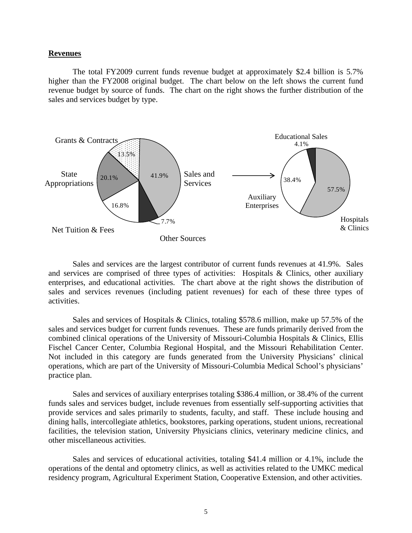### **Revenues**

 The total FY2009 current funds revenue budget at approximately \$2.4 billion is 5.7% higher than the FY2008 original budget. The chart below on the left shows the current fund revenue budget by source of funds. The chart on the right shows the further distribution of the sales and services budget by type.



Sales and services are the largest contributor of current funds revenues at 41.9%. Sales and services are comprised of three types of activities: Hospitals & Clinics, other auxiliary enterprises, and educational activities. The chart above at the right shows the distribution of sales and services revenues (including patient revenues) for each of these three types of activities.

Sales and services of Hospitals & Clinics, totaling \$578.6 million, make up 57.5% of the sales and services budget for current funds revenues. These are funds primarily derived from the combined clinical operations of the University of Missouri-Columbia Hospitals & Clinics, Ellis Fischel Cancer Center, Columbia Regional Hospital, and the Missouri Rehabilitation Center. Not included in this category are funds generated from the University Physicians' clinical operations, which are part of the University of Missouri-Columbia Medical School's physicians' practice plan.

Sales and services of auxiliary enterprises totaling \$386.4 million, or 38.4% of the current funds sales and services budget, include revenues from essentially self-supporting activities that provide services and sales primarily to students, faculty, and staff. These include housing and dining halls, intercollegiate athletics, bookstores, parking operations, student unions, recreational facilities, the television station, University Physicians clinics, veterinary medicine clinics, and other miscellaneous activities.

Sales and services of educational activities, totaling \$41.4 million or 4.1%, include the operations of the dental and optometry clinics, as well as activities related to the UMKC medical residency program, Agricultural Experiment Station, Cooperative Extension, and other activities.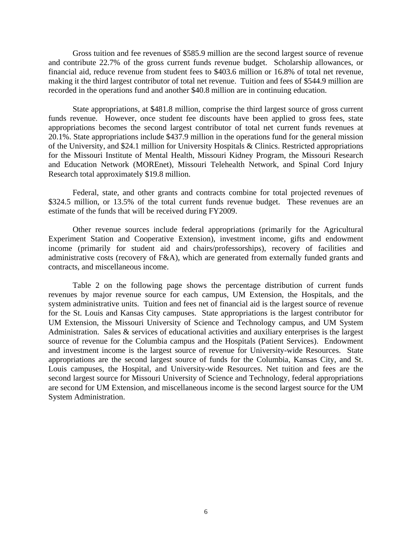Gross tuition and fee revenues of \$585.9 million are the second largest source of revenue and contribute 22.7% of the gross current funds revenue budget. Scholarship allowances, or financial aid, reduce revenue from student fees to \$403.6 million or 16.8% of total net revenue, making it the third largest contributor of total net revenue. Tuition and fees of \$544.9 million are recorded in the operations fund and another \$40.8 million are in continuing education.

State appropriations, at \$481.8 million, comprise the third largest source of gross current funds revenue. However, once student fee discounts have been applied to gross fees, state appropriations becomes the second largest contributor of total net current funds revenues at 20.1%. State appropriations include \$437.9 million in the operations fund for the general mission of the University, and \$24.1 million for University Hospitals & Clinics. Restricted appropriations for the Missouri Institute of Mental Health, Missouri Kidney Program, the Missouri Research and Education Network (MOREnet), Missouri Telehealth Network, and Spinal Cord Injury Research total approximately \$19.8 million.

Federal, state, and other grants and contracts combine for total projected revenues of \$324.5 million, or 13.5% of the total current funds revenue budget. These revenues are an estimate of the funds that will be received during FY2009.

Other revenue sources include federal appropriations (primarily for the Agricultural Experiment Station and Cooperative Extension), investment income, gifts and endowment income (primarily for student aid and chairs/professorships), recovery of facilities and administrative costs (recovery of F&A), which are generated from externally funded grants and contracts, and miscellaneous income.

Table 2 on the following page shows the percentage distribution of current funds revenues by major revenue source for each campus, UM Extension, the Hospitals, and the system administrative units. Tuition and fees net of financial aid is the largest source of revenue for the St. Louis and Kansas City campuses. State appropriations is the largest contributor for UM Extension, the Missouri University of Science and Technology campus, and UM System Administration. Sales & services of educational activities and auxiliary enterprises is the largest source of revenue for the Columbia campus and the Hospitals (Patient Services). Endowment and investment income is the largest source of revenue for University-wide Resources. State appropriations are the second largest source of funds for the Columbia, Kansas City, and St. Louis campuses, the Hospital, and University-wide Resources. Net tuition and fees are the second largest source for Missouri University of Science and Technology, federal appropriations are second for UM Extension, and miscellaneous income is the second largest source for the UM System Administration.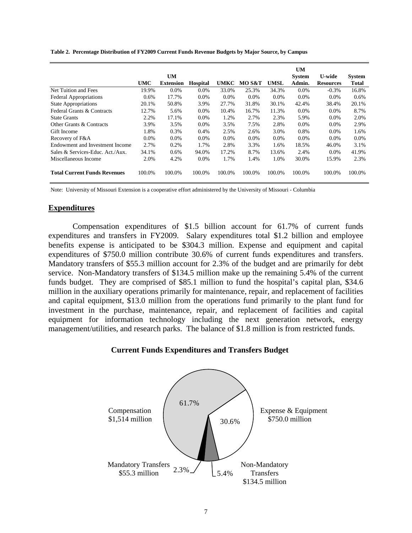|                                     |            | UM               |                 |             |         |             | UM<br><b>System</b> | <b>U-wide</b>    | <b>System</b> |
|-------------------------------------|------------|------------------|-----------------|-------------|---------|-------------|---------------------|------------------|---------------|
|                                     | <b>UMC</b> | <b>Extension</b> | <b>Hospital</b> | <b>UMKC</b> | MO S&T  | <b>UMSL</b> | Admin.              | <b>Resources</b> | <b>Total</b>  |
| Net Tuition and Fees                | 19.9%      | $0.0\%$          | $0.0\%$         | 33.0%       | 25.3%   | 34.3%       | 0.0%                | $-0.3%$          | 16.8%         |
| <b>Federal Appropriations</b>       | $0.6\%$    | 17.7%            | 0.0%            | $0.0\%$     | $0.0\%$ | $0.0\%$     | 0.0%                | 0.0%             | 0.6%          |
| <b>State Appropriations</b>         | 20.1%      | 50.8%            | 3.9%            | 27.7%       | 31.8%   | 30.1%       | 42.4%               | 38.4%            | 20.1%         |
| Federal Grants & Contracts          | 12.7%      | 5.6%             | 0.0%            | 10.4%       | 16.7%   | 11.3%       | $0.0\%$             | 0.0%             | 8.7%          |
| <b>State Grants</b>                 | 2.2%       | 17.1%            | 0.0%            | 1.2%        | 2.7%    | 2.3%        | 5.9%                | $0.0\%$          | 2.0%          |
| Other Grants & Contracts            | 3.9%       | 3.5%             | $0.0\%$         | 3.5%        | 7.5%    | 2.8%        | 0.0%                | 0.0%             | 2.9%          |
| Gift Income                         | 1.8%       | 0.3%             | 0.4%            | 2.5%        | 2.6%    | 3.0%        | 0.8%                | $0.0\%$          | 1.6%          |
| Recovery of F&A                     | $0.0\%$    | $0.0\%$          | $0.0\%$         | 0.0%        | $0.0\%$ | $0.0\%$     | $0.0\%$             | $0.0\%$          | 0.0%          |
| Endowment and Investment Income     | 2.7%       | 0.2%             | 1.7%            | 2.8%        | 3.3%    | 1.6%        | 18.5%               | 46.0%            | 3.1%          |
| Sales & Services-Educ. Act./Aux.    | 34.1%      | 0.6%             | 94.0%           | 17.2%       | 8.7%    | 13.6%       | 2.4%                | $0.0\%$          | 41.9%         |
| Miscellaneous Income                | 2.0%       | 4.2%             | 0.0%            | 1.7%        | 1.4%    | 1.0%        | 30.0%               | 15.9%            | 2.3%          |
| <b>Total Current Funds Revenues</b> | 100.0%     | 100.0%           | 100.0%          | 100.0%      | 100.0%  | 100.0%      | 100.0%              | 100.0%           | 100.0%        |

**Table 2. Percentage Distribution of FY2009 Current Funds Revenue Budgets by Major Source, by Campus**

Note: University of Missouri Extension is a cooperative effort administered by the University of Missouri - Columbia

## **Expenditures**

 Compensation expenditures of \$1.5 billion account for 61.7% of current funds expenditures and transfers in FY2009. Salary expenditures total \$1.2 billion and employee benefits expense is anticipated to be \$304.3 million. Expense and equipment and capital expenditures of \$750.0 million contribute 30.6% of current funds expenditures and transfers. Mandatory transfers of \$55.3 million account for 2.3% of the budget and are primarily for debt service. Non-Mandatory transfers of \$134.5 million make up the remaining 5.4% of the current funds budget. They are comprised of \$85.1 million to fund the hospital's capital plan, \$34.6 million in the auxiliary operations primarily for maintenance, repair, and replacement of facilities and capital equipment, \$13.0 million from the operations fund primarily to the plant fund for investment in the purchase, maintenance, repair, and replacement of facilities and capital equipment for information technology including the next generation network, energy management/utilities, and research parks. The balance of \$1.8 million is from restricted funds.

## **Current Funds Expenditures and Transfers Budget**

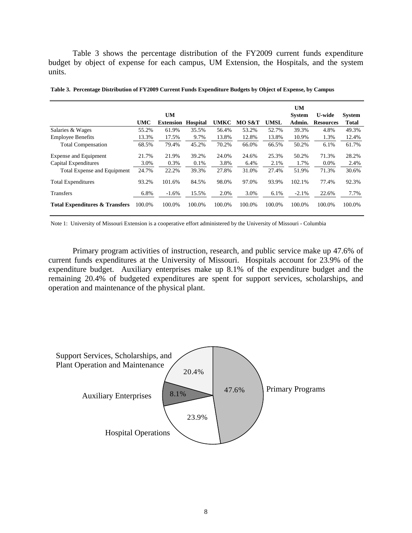Table 3 shows the percentage distribution of the FY2009 current funds expenditure budget by object of expense for each campus, UM Extension, the Hospitals, and the system units.

|                                           |            | <b>UM</b>        |                 |             |        |             | <b>UM</b><br><b>System</b> | <b>U-wide</b>    | <b>System</b> |
|-------------------------------------------|------------|------------------|-----------------|-------------|--------|-------------|----------------------------|------------------|---------------|
|                                           | <b>UMC</b> | <b>Extension</b> | <b>Hospital</b> | <b>UMKC</b> | MO S&T | <b>UMSL</b> | Admin.                     | <b>Resources</b> | Total         |
| Salaries & Wages                          | 55.2%      | 61.9%            | 35.5%           | 56.4%       | 53.2%  | 52.7%       | 39.3%                      | 4.8%             | 49.3%         |
| <b>Employee Benefits</b>                  | 13.3%      | 17.5%            | 9.7%            | 13.8%       | 12.8%  | 13.8%       | 10.9%                      | 1.3%             | 12.4%         |
| <b>Total Compensation</b>                 | 68.5%      | 79.4%            | 45.2%           | 70.2%       | 66.0%  | 66.5%       | 50.2%                      | 6.1%             | 61.7%         |
| Expense and Equipment                     | 21.7%      | 21.9%            | 39.2%           | 24.0%       | 24.6%  | 25.3%       | 50.2%                      | 71.3%            | 28.2%         |
| Capital Expenditures                      | 3.0%       | 0.3%             | 0.1%            | 3.8%        | 6.4%   | 2.1%        | 1.7%                       | $0.0\%$          | 2.4%          |
| Total Expense and Equipment               | 24.7%      | 22.2%            | 39.3%           | 27.8%       | 31.0%  | 27.4%       | 51.9%                      | 71.3%            | 30.6%         |
| <b>Total Expenditures</b>                 | 93.2%      | 101.6%           | 84.5%           | 98.0%       | 97.0%  | 93.9%       | 102.1%                     | 77.4%            | 92.3%         |
| <b>Transfers</b>                          | 6.8%       | $-1.6%$          | 15.5%           | 2.0%        | 3.0%   | 6.1%        | $-2.1%$                    | 22.6%            | 7.7%          |
| <b>Total Expenditures &amp; Transfers</b> | 100.0%     | 100.0%           | 100.0%          | 100.0%      | 100.0% | 100.0%      | 100.0%                     | 100.0%           | 100.0%        |

**Table 3. Percentage Distribution of FY2009 Current Funds Expenditure Budgets by Object of Expense, by Campus**

Note 1: University of Missouri Extension is a cooperative effort administered by the University of Missouri - Columbia

Primary program activities of instruction, research, and public service make up 47.6% of current funds expenditures at the University of Missouri. Hospitals account for 23.9% of the expenditure budget. Auxiliary enterprises make up 8.1% of the expenditure budget and the remaining 20.4% of budgeted expenditures are spent for support services, scholarships, and operation and maintenance of the physical plant.

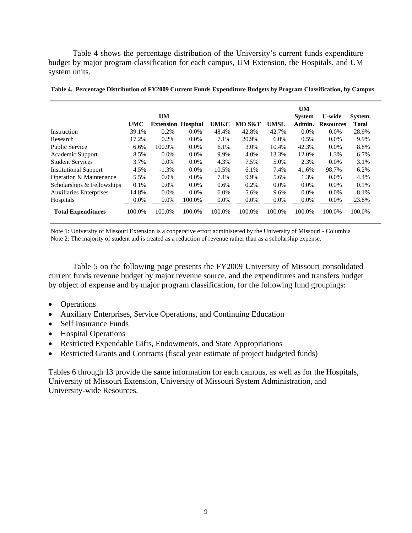Table 4 shows the percentage distribution of the University's current funds expenditure budget by major program classification for each campus, UM Extension, the Hospitals, and UM system units.

|                                |            | <b>UM</b>        |                 |             |        |             | <b>UM</b><br><b>System</b> | U-wide           | <b>System</b> |
|--------------------------------|------------|------------------|-----------------|-------------|--------|-------------|----------------------------|------------------|---------------|
|                                | <b>UMC</b> | <b>Extension</b> | <b>Hospital</b> | <b>UMKC</b> | MO S&T | <b>UMSL</b> | Admin.                     | <b>Resources</b> | <b>Total</b>  |
| Instruction                    | 39.1%      | 0.2%             | $0.0\%$         | 48.4%       | 42.8%  | 42.7%       | $0.0\%$                    | $0.0\%$          | 28.9%         |
| Research                       | 17.2%      | 0.2%             | $0.0\%$         | 7.1%        | 20.9%  | 6.0%        | 0.5%                       | $0.0\%$          | 9.9%          |
| <b>Public Service</b>          | 6.6%       | 100.9%           | $0.0\%$         | 6.1%        | 3.0%   | 10.4%       | 42.3%                      | $0.0\%$          | 8.8%          |
| Academic Support               | 8.5%       | $0.0\%$          | $0.0\%$         | 9.9%        | 4.0%   | 13.3%       | 12.0%                      | 1.3%             | 6.7%          |
| <b>Student Services</b>        | 3.7%       | $0.0\%$          | $0.0\%$         | 4.3%        | 7.5%   | 5.0%        | 2.3%                       | $0.0\%$          | 3.1%          |
| <b>Institutional Support</b>   | 4.5%       | $-1.3%$          | $0.0\%$         | 10.5%       | 6.1%   | 7.4%        | 41.6%                      | 98.7%            | 6.2%          |
| Operation & Maintenance        | 5.5%       | $0.0\%$          | $0.0\%$         | 7.1%        | 9.9%   | 5.6%        | 1.3%                       | $0.0\%$          | 4.4%          |
| Scholarships & Fellowships     | 0.1%       | $0.0\%$          | $0.0\%$         | 0.6%        | 0.2%   | 0.0%        | $0.0\%$                    | $0.0\%$          | 0.1%          |
| <b>Auxiliaries Enterprises</b> | 14.8%      | $0.0\%$          | $0.0\%$         | 6.0%        | 5.6%   | 9.6%        | $0.0\%$                    | $0.0\%$          | 8.1%          |
| Hospitals                      | $0.0\%$    | $0.0\%$          | 100.0%          | $0.0\%$     | 0.0%   | 0.0%        | 0.0%                       | 0.0%             | 23.8%         |
| <b>Total Expenditures</b>      | 100.0%     | 100.0%           | 100.0%          | 100.0%      | 100.0% | 100.0%      | 100.0%                     | 100.0%           | 100.0%        |

**Table 4. Percentage Distribution of FY2009 Current Funds Expenditure Budgets by Program Classification, by Campus**

Note 1: University of Missouri Extension is a cooperative effort administered by the University of Missouri - Columbia Note 2: The majority of student aid is treated as a reduction of revenue rather than as a scholarship expense.

Table 5 on the following page presents the FY2009 University of Missouri consolidated current funds revenue budget by major revenue source, and the expenditures and transfers budget by object of expense and by major program classification, for the following fund groupings:

- Operations
- Auxiliary Enterprises, Service Operations, and Continuing Education
- Self Insurance Funds
- Hospital Operations
- Restricted Expendable Gifts, Endowments, and State Appropriations
- Restricted Grants and Contracts (fiscal year estimate of project budgeted funds)

Tables 6 through 13 provide the same information for each campus, as well as for the Hospitals, University of Missouri Extension, University of Missouri System Administration, and University-wide Resources.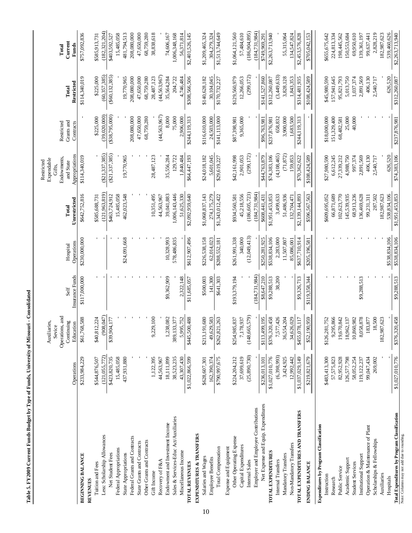|                                                                                            |                           | Operations, and<br>ies,<br>Auxiliari<br>Sevice |                         |                        |                           | Endowments,<br>Expendable<br>Restricted<br>Gitts, | Restricted              |                     | Total            |
|--------------------------------------------------------------------------------------------|---------------------------|------------------------------------------------|-------------------------|------------------------|---------------------------|---------------------------------------------------|-------------------------|---------------------|------------------|
|                                                                                            | Operations                | Continuing<br>Education                        | Insurance Funds<br>Self | Operations<br>Hospital | Unrestricted<br>Total     | Appropriations<br>and State                       | Grants and<br>Contracts | Restricted<br>Total | Current<br>Funds |
| <b>BEGINNING BALANCE</b>                                                                   | \$233,984,229             | \$61,768,588                                   | \$117,000,000           | \$230,000,000          | \$642,752,816             | \$114,340,019                                     |                         | \$114,340,019       | \$757,092,836    |
| Tuition and Fees<br>REVENUES                                                               | \$544,876,507             | \$40,812,224                                   |                         |                        | \$585,688,731             |                                                   | \$225,000               | \$225,000           | \$585,913,731    |
| Less: Scholarship Allowances                                                               | (121, 055, 772)           | (147)<br>(908                                  |                         |                        | (121, 963, 819)           | ( \$21, 337, 385)                                 | (39,020,000)            | (60, 357, 385)      | (182, 321, 204)  |
| Net Student Fees                                                                           | \$423,820,735             | \$39,904,177                                   |                         |                        | \$463,724,912             | (S21, 337, 385)                                   | (338, 795, 000)         | $($ \$60,132,385)   | \$403,592,527    |
|                                                                                            |                           |                                                |                         |                        |                           |                                                   |                         |                     | 15,485,058       |
| Federal Appropriations<br>State Appropriations                                             | 437,931,880<br>15,485,058 |                                                |                         | \$24,091,668           | 15,485,058<br>462,023,548 | 19,770,965                                        |                         | 19,770,965          | 481,794,513      |
| Federal Grants and Contracts                                                               |                           |                                                |                         |                        |                           |                                                   | 208,080,000             | 208,080,000         | 208,080,000      |
| State Grants and Contracts                                                                 |                           |                                                |                         |                        |                           |                                                   | 47,650,000              | 47,650,000          | 47,650,000       |
| Other Grants and Contracts                                                                 |                           |                                                |                         |                        |                           |                                                   | 68,759,280              | 68,759,280          | 68,759,280       |
| Gift Income                                                                                | 1,122,395                 | 9,229,100                                      |                         |                        | 10,351,495                | 28,487,123                                        |                         | 28,487,123          | 38,838,618       |
| Recovery of F&A                                                                            | 44,563,967                |                                                |                         |                        | 44,563,967                |                                                   | (44, 563, 967)          | (44,563,967)        |                  |
| Endowment and Investment Income                                                            | 18,111,899                | 1,238,082                                      | \$9,362,909             | 10,328,993             | 39,041,883                | 35,556,284                                        | 8,000                   | 35,564,284          | 74,606,167       |
| Sales & Services-Educ Act/Auxiliaries                                                      | 38,523,235                | 389,133,377                                    |                         | 578,486,835            | 1,006,143,446             | 129,722                                           | 75,000                  | 204,722             | 1,006,348,168    |
| Miscellaneous Income                                                                       | 43,307,430                | 5,995,752                                      | 2,322,148               |                        | 51,625,330                | 1,840,484                                         | 2,906,000               | 4,746,484           | 56,371,814       |
| TOTAL REVENUES                                                                             | \$1,022,866,599           | \$445,500,488                                  | \$11,685,057            | \$612,907,496          | \$2,092,959,640           | \$64,447,193                                      | \$244,119,313           | \$308,566,506       | \$2,401,526,145  |
| EXPENDITURES & TRANSFERS                                                                   |                           |                                                |                         |                        |                           |                                                   |                         |                     |                  |
| Salaries and Wages                                                                         | \$628,607,301             | \$213,191,680                                  | \$500,003               | \$226,538,158          | \$1,068,837,143           | \$24,018,182                                      | \$116,610,000           | \$140,628,182       | \$1,209,465,324  |
| <b>Employee Benefits</b>                                                                   | 162,390,374               | ,583<br>49,629                                 | 141,300                 | 62,014,023             | 274,175,279               | 5,601,045                                         | 24,503,000              | 30,104,045          | 304,279,324      |
| Total Compensation                                                                         | \$790,997,675             | ,263<br>\$262,821                              | \$641,303               | \$288,552,181          | \$1,343,012,422           | \$29,619,227                                      | \$141,113,000           | \$170,732,227       | \$1,513,744,649  |
| Expense and Equipment                                                                      |                           |                                                |                         |                        |                           |                                                   |                         |                     |                  |
| Other Operating Expense                                                                    | \$224,204,212             | \$254,985,837                                  | \$193,379,194           | \$261,991,338          | \$934,560,581             | \$42,161,998                                      | \$87,398,981            | \$129,560,979       | \$1,064,121,560  |
| Capital Expenditures                                                                       | 37,699,619                | 7,178,937                                      |                         | 340,000                | 45,218,556                | 2,901,053                                         | 9,365,000               | 12,266,053          | 57,484,610       |
| Internal Sales                                                                             | (25,890,730)              | (148, 665, 579)                                |                         | (12,049,413)           | (186, 605, 723)           | (299, 172)                                        |                         | (299,172)           | (186,904,895)    |
| Employer and Employee Contributions                                                        |                           |                                                | (184, 731, 984)         |                        | (184, 731, 984)           |                                                   |                         |                     | (184, 731, 984)  |
| Net Expense and Equip. Expenditures                                                        | \$236,013,101             | \$113,499,195                                  | \$8,647,210             | \$250,281,925          | \$608,441,431             | \$44,763,879                                      | \$96,763,981            | \$141,527,860       | \$749,969,291    |
| TOTAL EXPENDITURES                                                                         | \$1,027,010,776           | \$376,320,458                                  | \$9,288,513             | \$538,834,106          | \$1,951,453,853           | \$74,383,106                                      | \$237,876,981           | \$312,260,087       | \$2,263,713,940  |
| Internal Transfers                                                                         | (6,398,993)               | 7,577,426                                      | 38,200                  | 2,283,000              | 3,499,633                 | (4,108,465)                                       | 658,832                 | (3,449,633)         |                  |
| Mandatory Transfers                                                                        | 3,424,925                 | 36,554,204                                     |                         | 11,507,807             | 51,486,936                | (71, 872)                                         | 3,900,000               | 3,828,128           | 55,315,064       |
| Non-Mandatory Transfers                                                                    | 12,992,442                | 34,626,029                                     |                         | 85,086,001             | 132,704,471               | 159,853                                           | 1,683,500               | 1,843,353           | 134,547,824      |
| TOTAL EXPENDITURES AND TRANSFERS                                                           | \$1,037,029,149           | \$455,078,117                                  | \$9,326,713             | \$637,710,914          | \$2,139,144,893           | \$70,362,622                                      | \$244,119,313           | \$314,481,935       | \$2,453,576,828  |
| <b>ENDING BALANCE</b>                                                                      | \$219,821,679             | \$52,190,959                                   | \$119,358,344           | \$205,196,581          | \$596,567,563             | \$108,424,589                                     |                         | \$108,424,589       | \$705,042,153    |
| Expenditures by Program Classification                                                     |                           |                                                |                         |                        |                           |                                                   |                         |                     |                  |
| Instruction                                                                                | \$483,413,300             | \$126,281,752                                  |                         |                        | \$609,695,052             | \$27,980,590                                      | \$18,000,000            | \$45,980,590        | \$655,675,642    |
| Research                                                                                   | 57,575,823                | 9,295,866                                      |                         |                        | 66,871,689                | 6,612,245                                         | 151,329,400             | 157,941,645         | 224,813,334      |
| Public Service                                                                             | 82,952,928                | 19,670,842                                     |                         |                        | 102,623,770               | 27,339,212                                        | 68,482,581              | 95,821,793          | 198,445,562      |
| Academic Support                                                                           | 126,577,798               | 18,962,137                                     |                         |                        | 145,539,935               | 4,988,750                                         | 25,000                  | 5,013,750           | 150,553,684      |
| <b>Student Services</b>                                                                    | 58,052,254                | 10,860,982                                     |                         |                        | 68,913,236                | 997,374                                           | 40,000                  | 1,037,374           | 69,950,610       |
| Institutional Support                                                                      | 119, 122, 237             | 8,058,878                                      | \$9,288,513             |                        | 136,469,628               | 2,891,569                                         |                         | 2,891,569           | 139,361,197      |
| Operation & Maintenance of Plant                                                           | 99,047,434                | ,877<br>183                                    |                         |                        | 99,231,311                | 406,130                                           |                         | 406,130             | 99,637,441       |
| Scholarships & Fellowships                                                                 | 269,002                   | 18,500                                         |                         |                        | 287,502                   | 2,540,717                                         |                         | 2,540,717           | 2,828,219        |
| Auxiliaries                                                                                |                           | 7,623<br>182,987,                              |                         |                        | 182,987,623               |                                                   |                         |                     | 182,987,623      |
| Hospitals                                                                                  |                           |                                                |                         | \$538,834,106          | 538,834,106               | 626,520                                           |                         | 626,520             | 539,460,626      |
| Total Expenditures by Program Classification<br>Note: Columns may not add due to rounding. | \$1,027,010,776           | ,458<br>\$376,320                              | \$9,288,513             | \$538,834,106          | \$1,951,453,853           | \$74,383,106                                      | \$237,876,981           | \$312,260,087       | \$2,263,713,940  |

Table 5. FY2009 Current Funds Budget by Type of Funds, University of Missouri - Consolidated **Table 5. FY2009 Current Funds Budget by Type of Funds, University of Missouri - Consolidated**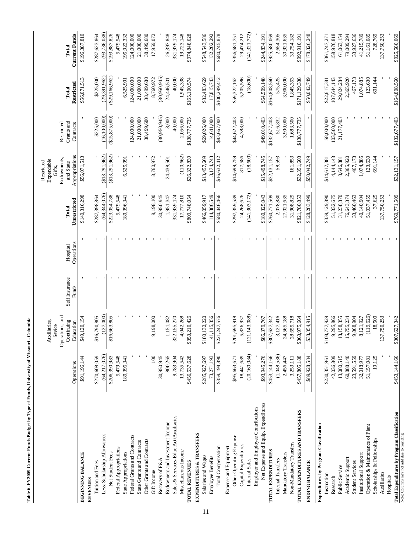| ļ                                                                                      |  |
|----------------------------------------------------------------------------------------|--|
| l                                                                                      |  |
|                                                                                        |  |
|                                                                                        |  |
| ֖֖֖֦ׅ֚֚֚֚֚֚֚֚֚֚֚֚֚֚֚֬֡֡֡֡֡֬֝֬֝֬֓֡֬֝֬֝֓֬֝֓֬֝֓֬֝֬֓֬֓֬֝֓֬֝֓֬֝֬֝֬֝֓֬֝֬֝֬֝֬֓֬֝֬֝֬֓֬֝֬֝֬֝֬֝֬ |  |
|                                                                                        |  |
| ï<br>l<br>l<br>l                                                                       |  |
| $\overline{\phantom{a}}$                                                               |  |
|                                                                                        |  |
|                                                                                        |  |
|                                                                                        |  |
| ֠                                                                                      |  |
|                                                                                        |  |
| $\frac{1}{2}$                                                                          |  |
|                                                                                        |  |
| ì<br>I                                                                                 |  |

|                                                               |                                 | Operations, and<br>Continuing<br>Auxiliaries,<br>Sevice | Self Insurance | Hospital   | Total                           | Endowments,<br>Expendable<br>Restricted<br>and State<br>Gifts, | Grants and<br>Restricted         | Total                              | Total                           |
|---------------------------------------------------------------|---------------------------------|---------------------------------------------------------|----------------|------------|---------------------------------|----------------------------------------------------------------|----------------------------------|------------------------------------|---------------------------------|
|                                                               | Operations                      | Education                                               | Funds          | Operations | Unrestricted                    | Appropriations                                                 | Contracts                        | Restricted                         | <b>Current Funds</b>            |
| <b>BEGINNING BALANCE</b>                                      | \$91,196,144                    | \$49,120,154                                            |                |            | \$140,316,298                   | \$56,071,513                                                   |                                  | \$56,071,513                       | \$196,387,810                   |
| Tuition and Fees<br><b>REVENUES</b>                           | \$270,608,059                   | \$16,790,805                                            |                |            | \$287,398,864                   |                                                                | \$225,000                        | \$225,000                          | \$287,623,864                   |
|                                                               |                                 | (127,000)                                               |                |            |                                 | (\$13,291,962)                                                 |                                  |                                    |                                 |
| Less: Scholarship Allowances<br>Net Student Fees              | (64, 217, 076)<br>\$206,390,983 | \$16,663,805                                            |                |            | (64, 344, 076)<br>\$223,054,788 | ( \$13,291,962)                                                | (16, 100, 000)<br>(\$15,875,000) | $(\$29,166,962)$<br>(29, 391, 962) | (93, 736, 038)<br>\$193,887,826 |
|                                                               |                                 |                                                         |                |            |                                 |                                                                |                                  |                                    |                                 |
| Federal Appropriations                                        | 5,479,548<br>189,396,341        |                                                         |                |            | 5,479,548<br>189,396,341        | 6,525,991                                                      |                                  | 6,525,991                          | 5,479,548<br>195,922,332        |
| State Appropriations                                          |                                 |                                                         |                |            |                                 |                                                                |                                  |                                    | 124,000,000                     |
| Federal Grants and Contracts<br>State Grants and Contracts    |                                 |                                                         |                |            |                                 |                                                                | 124,000,000<br>21,000,000        | 21,000,000<br>124,000,000          | 21,000,000                      |
| Other Grants and Contracts                                    |                                 |                                                         |                |            |                                 |                                                                | 38,499,680                       | 38,499,680                         | 38,499,680                      |
|                                                               |                                 |                                                         |                |            |                                 |                                                                |                                  |                                    |                                 |
| Recovery of F&A<br>Gift Income                                | 100<br>30,950,945               | 9,198,000                                               |                |            | 9,198,100<br>30,950,945         | 8,760,972                                                      | (30,950,945)                     | (30,950,945)<br>8,760,972          | 17,959,072                      |
|                                                               |                                 |                                                         |                |            |                                 |                                                                |                                  |                                    |                                 |
| Endowment and Investment Income                               | 800,265<br>9,783,904            | 322,155,270<br>1,151,082                                |                |            | 1,951,347<br>331,939,174        | 24,438,501                                                     | 8,000                            | 24,446,501                         | 26,397,848<br>331,979,174       |
| Sales & Services-Educ Act/Auxiliaries<br>Miscellaneous Income | 13,735,542                      | 4,042,268                                               |                |            | 17,777,810                      | (110, 662)                                                     | 40,000<br>2,056,000              | 40,000<br>1,945,338                | 19,723,148                      |
| <b>TOTAL REVENUES</b>                                         | \$456,537,628                   | \$353,210,426                                           |                |            | \$809,748,054                   | \$26,322,839                                                   | \$138,777,735                    | \$165,100,574                      | \$974,848,628                   |
| EXPENDITURES & TRANSFERS                                      |                                 |                                                         |                |            |                                 |                                                                |                                  |                                    |                                 |
|                                                               |                                 |                                                         |                |            |                                 |                                                                |                                  |                                    |                                 |
| Salaries and Wages                                            | \$285,927,697                   | \$180,132,220                                           |                |            | \$466,059,917                   | \$13,457,669                                                   | \$69,026,000                     | \$82,483,669                       | \$548,543,586                   |
| Employee Benefits                                             | 73,271,193                      | 41,115,356                                              |                |            | 114,386,549                     | 3,174,743                                                      | 14,641,000                       | 17,815,743                         | 132,202,292                     |
| Total Compensation                                            | \$359,198,890                   | \$221,247,576                                           |                |            | \$580,446,466                   | \$16,632,412                                                   | \$83,667,000                     | \$100,299,412                      | \$680,745,878                   |
| Expense and Equipment                                         |                                 |                                                         |                |            |                                 |                                                                |                                  |                                    |                                 |
| Other Operating Expense                                       | \$95,663,671                    | \$201,695,918                                           |                |            | \$297,359,589                   | \$14,699,759                                                   | \$44,622,403                     | \$59,322,162                       | \$356,681,751                   |
| Capital Expenditures                                          | 18,441,689                      | 5,826,937                                               |                |            | 24,268,626                      | 817,586                                                        | 4,388,000                        | 5,205,586                          | 29,474,212                      |
| Internal Sales                                                | (20, 160, 084)                  | (121, 143, 088)                                         |                |            | (141, 303, 172)                 | (18,600)                                                       |                                  | (18,600)                           | (141, 321, 772)                 |
| Employer and Employee Contributions                           |                                 |                                                         |                |            |                                 |                                                                |                                  |                                    |                                 |
| Net Expense and Equip. Expenditures                           | \$93,945,276                    | \$86,379,767                                            |                |            | \$180,325,043                   | \$15,498,745                                                   | \$49,010,403                     | \$64,509,148                       | \$244,834,191                   |
| TOTAL EXPENDITURES                                            | \$453,144,166                   | \$307,627,342                                           |                |            | \$760,771,509                   | \$32,131,157                                                   | \$132,677,403                    | \$164,808,560                      | \$925,580,069                   |
| Internal Transfers                                            | (1,048,536)                     | 3,127,416                                               |                |            | 2,078,880                       | 58,593                                                         | 516,832                          | 575,425                            | 2,654,305                       |
| Mandatory Transfers                                           | 2,456,447                       | 24,565,188                                              |                |            | 27,021,635                      |                                                                | 3,900,000                        | 3,900,000                          | 30,921,635                      |
| Non-Mandatory Transfers                                       | 3,253,111                       | 28,655,718                                              |                |            | 31,908,829                      | 161.853                                                        | 1,683,500                        | 1.845.353                          | 33.754.182                      |
| TOTAL EXPENDITURES AND TRANSFERS                              | \$457,805,188                   | \$363,975,664                                           |                |            | \$821,780,853                   | \$32,351,603                                                   | \$138,777,735                    | \$171,129,338                      | \$992,910,191                   |
| ENDING BALANCE                                                | \$89,928,584                    | \$38,354,915                                            |                |            | \$128,283,499                   | \$50,042,749                                                   |                                  | \$50,042,749                       | \$178,326,248                   |
| Expenditures by Program Classification                        |                                 |                                                         |                |            |                                 |                                                                |                                  |                                    |                                 |
| Instruction                                                   | \$230,351,961                   | \$108,777,929                                           |                |            | \$339,129,890                   | \$14,617,381                                                   | \$8,000,000                      | \$22,617,381                       | \$361,747,271                   |
| Research                                                      | 42,036,809                      | 9,295,866                                               |                |            | 51,332,675                      | 4,144,143                                                      | 103,500,000                      | 107,644,143                        | 158,976,818                     |
| Public Service                                                | 13,080,515                      | 18,158,355                                              |                |            | 31,238,870                      | 8,646,881                                                      | 21,177,403                       | 29,824,284                         | 61,063,154                      |
| Academic Support                                              | 60,888,140                      | 15,755,234                                              |                |            | 76,643,374                      | 2,365,920                                                      |                                  | 2,365,920                          | 79,009,294                      |
| <b>Student Services</b>                                       | 23,591,559                      | 9,868,904                                               |                |            | 33,460,463                      | 467,173                                                        |                                  | 467,173                            | 33,927,636                      |
| Institutional Support                                         | 32,018,977                      | 8,121,927                                               |                |            | 40,140,904                      | 1,074,885                                                      |                                  | 1,074,885                          | 41,215,789                      |
| Operation & Maintenance of Plant                              | 51,157,081                      | (119, 626)                                              |                |            | 51,037,455                      | 123,630                                                        |                                  | 123,630                            | 51,161,085                      |
| Scholarships & Fellowships                                    | 19,125                          | 18,500                                                  |                |            | 37,625                          | 691,144                                                        |                                  | 691,144                            | 728,769                         |
| Auxiliaries                                                   |                                 | 137,750,253                                             |                |            | 137,750,253                     |                                                                |                                  |                                    | 137,750,253                     |
| Hospitals                                                     |                                 |                                                         |                |            |                                 |                                                                |                                  |                                    |                                 |
| Total Expenditures by Program Classification                  | \$453,144,166                   | \$307,627,342                                           |                |            | \$760,771,509                   | \$32,131,157                                                   | \$132,677,403                    | \$164,808,560                      | \$925,580,069                   |
| Note: Columns may not add due to rounding.                    |                                 |                                                         |                |            |                                 |                                                                |                                  |                                    |                                 |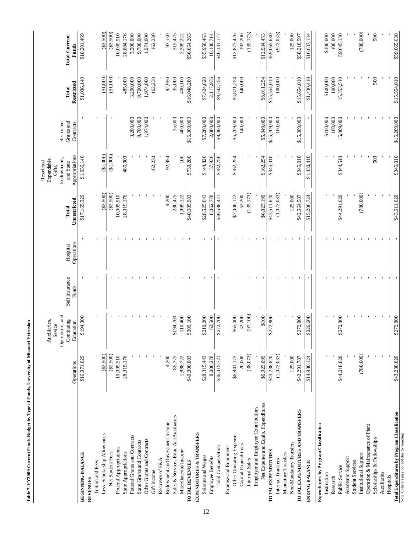| ( \$3,500)<br>(135, 173)<br>(780,000)<br>(33,500)<br>(972, 033)<br>\$59,065,630<br>\$12,877,426<br>100,000<br>59,645,130<br>\$18,201,469<br>28,804,176<br>3,200,000<br>1,974,000<br>162,230<br>\$56,654,263<br>\$35,950,463<br>192,200<br>\$12,934,453<br>\$59,065,630<br>125,000<br>\$100,000<br>500<br>10,005,510<br>9,700,000<br>97,150<br>315,475<br>10,180,714<br>\$46,131,177<br>\$16,637,134<br>\$58,218,597<br>2,399,222<br><b>Total Current</b><br>Funds<br>(\$1,000)<br>(\$1,000)<br>\$15,554,010<br>\$1,036,140<br>485,000<br>3,200,000<br>9,700,000<br>\$7,424,820<br>140,000<br>\$15,554,010<br>\$15,654,010<br>500<br>1,974,000<br>162,230<br>92,950<br>35,000<br>400,100<br>\$16,048,280<br>2,117,936<br>\$9,542,756<br>\$5,871,254<br>100,000<br>\$1,430,410<br>\$100,000<br>100,000<br>15,353,510<br>\$6,011,254<br>Restricted<br>Total<br>\$15,209,000<br>3,200,000<br>9,700,000<br>1,974,000<br>35,000<br>\$7,280,000<br>\$5,709,000<br>140,000<br>\$15,209,000<br>\$15,309,000<br>\$15,309,000<br>\$9,360,000<br>\$5,849,000<br>100,000<br>\$100,000<br>100,000<br>15,009,000<br>400,000<br>2,080,000<br>Grants and<br>Restricted<br>Contracts<br>(\$1,000)<br>(\$1,000)<br>Appropriations<br>\$345,010<br>\$345,010<br>\$1,036,140<br>\$144,820<br>\$345,010<br>\$344,510<br>500<br>485,000<br>162,230<br>92,950<br>100<br>\$739,280<br>37,936<br>\$182,756<br>\$162,254<br>\$162.254<br>\$1,430,410<br>Endowments,<br>and State<br>$(\$2,500)$<br>$(\$2,500)$<br>(1,072,033)<br>(780,000)<br>(135, 173)<br>52,200<br>\$43,511,620<br>\$44,291,620<br>\$43,511,620<br>\$17,165,329<br>10,005,510<br>28,319,176<br>\$28,525,643<br>\$7,006,172<br>\$6,923,199<br>4,200<br>\$40,605,983<br>125,000<br>280,475<br>8,062,778<br>\$36,588,421<br>\$42,564,587<br>\$15,206,724<br>.999,122<br>Unrestricted<br>Total<br>Operations<br>Hospital<br>Self Insurance<br>Funds<br>(97, 100)<br>Operations, and<br>\$65,000<br>\$194,300<br>\$305,100<br>\$210,200<br>\$272,700<br>32,200<br>\$100<br>\$272,800<br>\$226,600<br>\$272,800<br>2,800<br>\$194,700<br>62,500<br>2,800<br>110,400<br>Continuing<br>Education<br>\$27.<br>\$27<br>(\$2,500)<br>$(\$2,500)$<br>(38,073)<br>(780,000)<br>(1,072,033)<br>20,000<br>\$44,018,820<br>10,005,510<br>28,319,176<br>4,200<br>\$43,238,820<br>125,000<br>\$43,238,820<br>\$16,971,029<br>85,775<br>\$40,300,883<br>\$28,315,443<br>8,000,278<br>\$36,315,721<br>\$6,941,172<br>\$6,923,099<br>1,888,722<br>\$42,291,787<br>\$14,980,124<br>Operations<br>Net Expense and Equip. Expenditures<br>Employer and Employee Contributions<br>TOTAL EXPENDITURES AND TRANSFERS<br>Total Expenditures by Program Classification<br>Sales & Services-Educ Act/Auxiliaries<br>Endowment and Investment Income<br>Expenditures by Program Classification<br>Operation & Maintenance of Plant<br>EXPENDITURES & TRANSFERS<br>Note: Columns may not add due to rounding.<br>Less: Scholarship Allowances<br>Federal Grants and Contracts<br>Other Operating Expense<br>Scholarships & Fellowships<br>Other Grants and Contracts<br>State Grants and Contracts<br>Non-Mandatory Transfers<br>Capital Expenditures<br>Expense and Equipment<br>Total Compensation<br>Federal Appropriations<br>Miscellaneous Income<br>TOTAL EXPENDITURES<br>Net Student Fees<br>BEGINNING BALANCE<br>State Appropriations<br>Mandatory Transfers<br>Institutional Support<br>Salaries and Wages<br>Employee Benefits<br>Academic Support<br>Recovery of F&A<br>Internal Sales<br>Internal Transfers<br>Tuition and Fees<br><b>TOTAL REVENUES</b><br><b>ENDING BALANCE</b><br><b>Student Services</b><br>Public Service<br>Gift Income<br>Auxiliaries<br>Instruction<br>Hospitals<br>Research<br>REVENUES |  | Auxiliaries,<br>Sevice |  | Expendable<br>Restricted<br>Gifts. |  |  |
|--------------------------------------------------------------------------------------------------------------------------------------------------------------------------------------------------------------------------------------------------------------------------------------------------------------------------------------------------------------------------------------------------------------------------------------------------------------------------------------------------------------------------------------------------------------------------------------------------------------------------------------------------------------------------------------------------------------------------------------------------------------------------------------------------------------------------------------------------------------------------------------------------------------------------------------------------------------------------------------------------------------------------------------------------------------------------------------------------------------------------------------------------------------------------------------------------------------------------------------------------------------------------------------------------------------------------------------------------------------------------------------------------------------------------------------------------------------------------------------------------------------------------------------------------------------------------------------------------------------------------------------------------------------------------------------------------------------------------------------------------------------------------------------------------------------------------------------------------------------------------------------------------------------------------------------------------------------------------------------------------------------------------------------------------------------------------------------------------------------------------------------------------------------------------------------------------------------------------------------------------------------------------------------------------------------------------------------------------------------------------------------------------------------------------------------------------------------------------------------------------------------------------------------------------------------------------------------------------------------------------------------------------------------------------------------------------------------------------------------------------------------------------------------------------------------------------------------------------------------------------------------------------------------------------------------------------------------------------------------------------------------------------------------------------------------------------------------------------------------------------------------------------------------------------------------------------------------------------------------------------------------------------------------------------------------------------------------------------------------------------------------------------------------------------------------------------------------------------------------------------------------------------------------------------------------------------------------------------------------------------------------------------------------------------------------------------------------------------------------|--|------------------------|--|------------------------------------|--|--|
|                                                                                                                                                                                                                                                                                                                                                                                                                                                                                                                                                                                                                                                                                                                                                                                                                                                                                                                                                                                                                                                                                                                                                                                                                                                                                                                                                                                                                                                                                                                                                                                                                                                                                                                                                                                                                                                                                                                                                                                                                                                                                                                                                                                                                                                                                                                                                                                                                                                                                                                                                                                                                                                                                                                                                                                                                                                                                                                                                                                                                                                                                                                                                                                                                                                                                                                                                                                                                                                                                                                                                                                                                                                                                                                                      |  |                        |  |                                    |  |  |
|                                                                                                                                                                                                                                                                                                                                                                                                                                                                                                                                                                                                                                                                                                                                                                                                                                                                                                                                                                                                                                                                                                                                                                                                                                                                                                                                                                                                                                                                                                                                                                                                                                                                                                                                                                                                                                                                                                                                                                                                                                                                                                                                                                                                                                                                                                                                                                                                                                                                                                                                                                                                                                                                                                                                                                                                                                                                                                                                                                                                                                                                                                                                                                                                                                                                                                                                                                                                                                                                                                                                                                                                                                                                                                                                      |  |                        |  |                                    |  |  |
|                                                                                                                                                                                                                                                                                                                                                                                                                                                                                                                                                                                                                                                                                                                                                                                                                                                                                                                                                                                                                                                                                                                                                                                                                                                                                                                                                                                                                                                                                                                                                                                                                                                                                                                                                                                                                                                                                                                                                                                                                                                                                                                                                                                                                                                                                                                                                                                                                                                                                                                                                                                                                                                                                                                                                                                                                                                                                                                                                                                                                                                                                                                                                                                                                                                                                                                                                                                                                                                                                                                                                                                                                                                                                                                                      |  |                        |  |                                    |  |  |
|                                                                                                                                                                                                                                                                                                                                                                                                                                                                                                                                                                                                                                                                                                                                                                                                                                                                                                                                                                                                                                                                                                                                                                                                                                                                                                                                                                                                                                                                                                                                                                                                                                                                                                                                                                                                                                                                                                                                                                                                                                                                                                                                                                                                                                                                                                                                                                                                                                                                                                                                                                                                                                                                                                                                                                                                                                                                                                                                                                                                                                                                                                                                                                                                                                                                                                                                                                                                                                                                                                                                                                                                                                                                                                                                      |  |                        |  |                                    |  |  |
|                                                                                                                                                                                                                                                                                                                                                                                                                                                                                                                                                                                                                                                                                                                                                                                                                                                                                                                                                                                                                                                                                                                                                                                                                                                                                                                                                                                                                                                                                                                                                                                                                                                                                                                                                                                                                                                                                                                                                                                                                                                                                                                                                                                                                                                                                                                                                                                                                                                                                                                                                                                                                                                                                                                                                                                                                                                                                                                                                                                                                                                                                                                                                                                                                                                                                                                                                                                                                                                                                                                                                                                                                                                                                                                                      |  |                        |  |                                    |  |  |
|                                                                                                                                                                                                                                                                                                                                                                                                                                                                                                                                                                                                                                                                                                                                                                                                                                                                                                                                                                                                                                                                                                                                                                                                                                                                                                                                                                                                                                                                                                                                                                                                                                                                                                                                                                                                                                                                                                                                                                                                                                                                                                                                                                                                                                                                                                                                                                                                                                                                                                                                                                                                                                                                                                                                                                                                                                                                                                                                                                                                                                                                                                                                                                                                                                                                                                                                                                                                                                                                                                                                                                                                                                                                                                                                      |  |                        |  |                                    |  |  |
|                                                                                                                                                                                                                                                                                                                                                                                                                                                                                                                                                                                                                                                                                                                                                                                                                                                                                                                                                                                                                                                                                                                                                                                                                                                                                                                                                                                                                                                                                                                                                                                                                                                                                                                                                                                                                                                                                                                                                                                                                                                                                                                                                                                                                                                                                                                                                                                                                                                                                                                                                                                                                                                                                                                                                                                                                                                                                                                                                                                                                                                                                                                                                                                                                                                                                                                                                                                                                                                                                                                                                                                                                                                                                                                                      |  |                        |  |                                    |  |  |
|                                                                                                                                                                                                                                                                                                                                                                                                                                                                                                                                                                                                                                                                                                                                                                                                                                                                                                                                                                                                                                                                                                                                                                                                                                                                                                                                                                                                                                                                                                                                                                                                                                                                                                                                                                                                                                                                                                                                                                                                                                                                                                                                                                                                                                                                                                                                                                                                                                                                                                                                                                                                                                                                                                                                                                                                                                                                                                                                                                                                                                                                                                                                                                                                                                                                                                                                                                                                                                                                                                                                                                                                                                                                                                                                      |  |                        |  |                                    |  |  |
|                                                                                                                                                                                                                                                                                                                                                                                                                                                                                                                                                                                                                                                                                                                                                                                                                                                                                                                                                                                                                                                                                                                                                                                                                                                                                                                                                                                                                                                                                                                                                                                                                                                                                                                                                                                                                                                                                                                                                                                                                                                                                                                                                                                                                                                                                                                                                                                                                                                                                                                                                                                                                                                                                                                                                                                                                                                                                                                                                                                                                                                                                                                                                                                                                                                                                                                                                                                                                                                                                                                                                                                                                                                                                                                                      |  |                        |  |                                    |  |  |
|                                                                                                                                                                                                                                                                                                                                                                                                                                                                                                                                                                                                                                                                                                                                                                                                                                                                                                                                                                                                                                                                                                                                                                                                                                                                                                                                                                                                                                                                                                                                                                                                                                                                                                                                                                                                                                                                                                                                                                                                                                                                                                                                                                                                                                                                                                                                                                                                                                                                                                                                                                                                                                                                                                                                                                                                                                                                                                                                                                                                                                                                                                                                                                                                                                                                                                                                                                                                                                                                                                                                                                                                                                                                                                                                      |  |                        |  |                                    |  |  |
|                                                                                                                                                                                                                                                                                                                                                                                                                                                                                                                                                                                                                                                                                                                                                                                                                                                                                                                                                                                                                                                                                                                                                                                                                                                                                                                                                                                                                                                                                                                                                                                                                                                                                                                                                                                                                                                                                                                                                                                                                                                                                                                                                                                                                                                                                                                                                                                                                                                                                                                                                                                                                                                                                                                                                                                                                                                                                                                                                                                                                                                                                                                                                                                                                                                                                                                                                                                                                                                                                                                                                                                                                                                                                                                                      |  |                        |  |                                    |  |  |
|                                                                                                                                                                                                                                                                                                                                                                                                                                                                                                                                                                                                                                                                                                                                                                                                                                                                                                                                                                                                                                                                                                                                                                                                                                                                                                                                                                                                                                                                                                                                                                                                                                                                                                                                                                                                                                                                                                                                                                                                                                                                                                                                                                                                                                                                                                                                                                                                                                                                                                                                                                                                                                                                                                                                                                                                                                                                                                                                                                                                                                                                                                                                                                                                                                                                                                                                                                                                                                                                                                                                                                                                                                                                                                                                      |  |                        |  |                                    |  |  |
|                                                                                                                                                                                                                                                                                                                                                                                                                                                                                                                                                                                                                                                                                                                                                                                                                                                                                                                                                                                                                                                                                                                                                                                                                                                                                                                                                                                                                                                                                                                                                                                                                                                                                                                                                                                                                                                                                                                                                                                                                                                                                                                                                                                                                                                                                                                                                                                                                                                                                                                                                                                                                                                                                                                                                                                                                                                                                                                                                                                                                                                                                                                                                                                                                                                                                                                                                                                                                                                                                                                                                                                                                                                                                                                                      |  |                        |  |                                    |  |  |
|                                                                                                                                                                                                                                                                                                                                                                                                                                                                                                                                                                                                                                                                                                                                                                                                                                                                                                                                                                                                                                                                                                                                                                                                                                                                                                                                                                                                                                                                                                                                                                                                                                                                                                                                                                                                                                                                                                                                                                                                                                                                                                                                                                                                                                                                                                                                                                                                                                                                                                                                                                                                                                                                                                                                                                                                                                                                                                                                                                                                                                                                                                                                                                                                                                                                                                                                                                                                                                                                                                                                                                                                                                                                                                                                      |  |                        |  |                                    |  |  |
|                                                                                                                                                                                                                                                                                                                                                                                                                                                                                                                                                                                                                                                                                                                                                                                                                                                                                                                                                                                                                                                                                                                                                                                                                                                                                                                                                                                                                                                                                                                                                                                                                                                                                                                                                                                                                                                                                                                                                                                                                                                                                                                                                                                                                                                                                                                                                                                                                                                                                                                                                                                                                                                                                                                                                                                                                                                                                                                                                                                                                                                                                                                                                                                                                                                                                                                                                                                                                                                                                                                                                                                                                                                                                                                                      |  |                        |  |                                    |  |  |
|                                                                                                                                                                                                                                                                                                                                                                                                                                                                                                                                                                                                                                                                                                                                                                                                                                                                                                                                                                                                                                                                                                                                                                                                                                                                                                                                                                                                                                                                                                                                                                                                                                                                                                                                                                                                                                                                                                                                                                                                                                                                                                                                                                                                                                                                                                                                                                                                                                                                                                                                                                                                                                                                                                                                                                                                                                                                                                                                                                                                                                                                                                                                                                                                                                                                                                                                                                                                                                                                                                                                                                                                                                                                                                                                      |  |                        |  |                                    |  |  |
|                                                                                                                                                                                                                                                                                                                                                                                                                                                                                                                                                                                                                                                                                                                                                                                                                                                                                                                                                                                                                                                                                                                                                                                                                                                                                                                                                                                                                                                                                                                                                                                                                                                                                                                                                                                                                                                                                                                                                                                                                                                                                                                                                                                                                                                                                                                                                                                                                                                                                                                                                                                                                                                                                                                                                                                                                                                                                                                                                                                                                                                                                                                                                                                                                                                                                                                                                                                                                                                                                                                                                                                                                                                                                                                                      |  |                        |  |                                    |  |  |
|                                                                                                                                                                                                                                                                                                                                                                                                                                                                                                                                                                                                                                                                                                                                                                                                                                                                                                                                                                                                                                                                                                                                                                                                                                                                                                                                                                                                                                                                                                                                                                                                                                                                                                                                                                                                                                                                                                                                                                                                                                                                                                                                                                                                                                                                                                                                                                                                                                                                                                                                                                                                                                                                                                                                                                                                                                                                                                                                                                                                                                                                                                                                                                                                                                                                                                                                                                                                                                                                                                                                                                                                                                                                                                                                      |  |                        |  |                                    |  |  |
|                                                                                                                                                                                                                                                                                                                                                                                                                                                                                                                                                                                                                                                                                                                                                                                                                                                                                                                                                                                                                                                                                                                                                                                                                                                                                                                                                                                                                                                                                                                                                                                                                                                                                                                                                                                                                                                                                                                                                                                                                                                                                                                                                                                                                                                                                                                                                                                                                                                                                                                                                                                                                                                                                                                                                                                                                                                                                                                                                                                                                                                                                                                                                                                                                                                                                                                                                                                                                                                                                                                                                                                                                                                                                                                                      |  |                        |  |                                    |  |  |
|                                                                                                                                                                                                                                                                                                                                                                                                                                                                                                                                                                                                                                                                                                                                                                                                                                                                                                                                                                                                                                                                                                                                                                                                                                                                                                                                                                                                                                                                                                                                                                                                                                                                                                                                                                                                                                                                                                                                                                                                                                                                                                                                                                                                                                                                                                                                                                                                                                                                                                                                                                                                                                                                                                                                                                                                                                                                                                                                                                                                                                                                                                                                                                                                                                                                                                                                                                                                                                                                                                                                                                                                                                                                                                                                      |  |                        |  |                                    |  |  |
|                                                                                                                                                                                                                                                                                                                                                                                                                                                                                                                                                                                                                                                                                                                                                                                                                                                                                                                                                                                                                                                                                                                                                                                                                                                                                                                                                                                                                                                                                                                                                                                                                                                                                                                                                                                                                                                                                                                                                                                                                                                                                                                                                                                                                                                                                                                                                                                                                                                                                                                                                                                                                                                                                                                                                                                                                                                                                                                                                                                                                                                                                                                                                                                                                                                                                                                                                                                                                                                                                                                                                                                                                                                                                                                                      |  |                        |  |                                    |  |  |
|                                                                                                                                                                                                                                                                                                                                                                                                                                                                                                                                                                                                                                                                                                                                                                                                                                                                                                                                                                                                                                                                                                                                                                                                                                                                                                                                                                                                                                                                                                                                                                                                                                                                                                                                                                                                                                                                                                                                                                                                                                                                                                                                                                                                                                                                                                                                                                                                                                                                                                                                                                                                                                                                                                                                                                                                                                                                                                                                                                                                                                                                                                                                                                                                                                                                                                                                                                                                                                                                                                                                                                                                                                                                                                                                      |  |                        |  |                                    |  |  |
|                                                                                                                                                                                                                                                                                                                                                                                                                                                                                                                                                                                                                                                                                                                                                                                                                                                                                                                                                                                                                                                                                                                                                                                                                                                                                                                                                                                                                                                                                                                                                                                                                                                                                                                                                                                                                                                                                                                                                                                                                                                                                                                                                                                                                                                                                                                                                                                                                                                                                                                                                                                                                                                                                                                                                                                                                                                                                                                                                                                                                                                                                                                                                                                                                                                                                                                                                                                                                                                                                                                                                                                                                                                                                                                                      |  |                        |  |                                    |  |  |
|                                                                                                                                                                                                                                                                                                                                                                                                                                                                                                                                                                                                                                                                                                                                                                                                                                                                                                                                                                                                                                                                                                                                                                                                                                                                                                                                                                                                                                                                                                                                                                                                                                                                                                                                                                                                                                                                                                                                                                                                                                                                                                                                                                                                                                                                                                                                                                                                                                                                                                                                                                                                                                                                                                                                                                                                                                                                                                                                                                                                                                                                                                                                                                                                                                                                                                                                                                                                                                                                                                                                                                                                                                                                                                                                      |  |                        |  |                                    |  |  |
|                                                                                                                                                                                                                                                                                                                                                                                                                                                                                                                                                                                                                                                                                                                                                                                                                                                                                                                                                                                                                                                                                                                                                                                                                                                                                                                                                                                                                                                                                                                                                                                                                                                                                                                                                                                                                                                                                                                                                                                                                                                                                                                                                                                                                                                                                                                                                                                                                                                                                                                                                                                                                                                                                                                                                                                                                                                                                                                                                                                                                                                                                                                                                                                                                                                                                                                                                                                                                                                                                                                                                                                                                                                                                                                                      |  |                        |  |                                    |  |  |
|                                                                                                                                                                                                                                                                                                                                                                                                                                                                                                                                                                                                                                                                                                                                                                                                                                                                                                                                                                                                                                                                                                                                                                                                                                                                                                                                                                                                                                                                                                                                                                                                                                                                                                                                                                                                                                                                                                                                                                                                                                                                                                                                                                                                                                                                                                                                                                                                                                                                                                                                                                                                                                                                                                                                                                                                                                                                                                                                                                                                                                                                                                                                                                                                                                                                                                                                                                                                                                                                                                                                                                                                                                                                                                                                      |  |                        |  |                                    |  |  |
|                                                                                                                                                                                                                                                                                                                                                                                                                                                                                                                                                                                                                                                                                                                                                                                                                                                                                                                                                                                                                                                                                                                                                                                                                                                                                                                                                                                                                                                                                                                                                                                                                                                                                                                                                                                                                                                                                                                                                                                                                                                                                                                                                                                                                                                                                                                                                                                                                                                                                                                                                                                                                                                                                                                                                                                                                                                                                                                                                                                                                                                                                                                                                                                                                                                                                                                                                                                                                                                                                                                                                                                                                                                                                                                                      |  |                        |  |                                    |  |  |
|                                                                                                                                                                                                                                                                                                                                                                                                                                                                                                                                                                                                                                                                                                                                                                                                                                                                                                                                                                                                                                                                                                                                                                                                                                                                                                                                                                                                                                                                                                                                                                                                                                                                                                                                                                                                                                                                                                                                                                                                                                                                                                                                                                                                                                                                                                                                                                                                                                                                                                                                                                                                                                                                                                                                                                                                                                                                                                                                                                                                                                                                                                                                                                                                                                                                                                                                                                                                                                                                                                                                                                                                                                                                                                                                      |  |                        |  |                                    |  |  |
|                                                                                                                                                                                                                                                                                                                                                                                                                                                                                                                                                                                                                                                                                                                                                                                                                                                                                                                                                                                                                                                                                                                                                                                                                                                                                                                                                                                                                                                                                                                                                                                                                                                                                                                                                                                                                                                                                                                                                                                                                                                                                                                                                                                                                                                                                                                                                                                                                                                                                                                                                                                                                                                                                                                                                                                                                                                                                                                                                                                                                                                                                                                                                                                                                                                                                                                                                                                                                                                                                                                                                                                                                                                                                                                                      |  |                        |  |                                    |  |  |
|                                                                                                                                                                                                                                                                                                                                                                                                                                                                                                                                                                                                                                                                                                                                                                                                                                                                                                                                                                                                                                                                                                                                                                                                                                                                                                                                                                                                                                                                                                                                                                                                                                                                                                                                                                                                                                                                                                                                                                                                                                                                                                                                                                                                                                                                                                                                                                                                                                                                                                                                                                                                                                                                                                                                                                                                                                                                                                                                                                                                                                                                                                                                                                                                                                                                                                                                                                                                                                                                                                                                                                                                                                                                                                                                      |  |                        |  |                                    |  |  |
|                                                                                                                                                                                                                                                                                                                                                                                                                                                                                                                                                                                                                                                                                                                                                                                                                                                                                                                                                                                                                                                                                                                                                                                                                                                                                                                                                                                                                                                                                                                                                                                                                                                                                                                                                                                                                                                                                                                                                                                                                                                                                                                                                                                                                                                                                                                                                                                                                                                                                                                                                                                                                                                                                                                                                                                                                                                                                                                                                                                                                                                                                                                                                                                                                                                                                                                                                                                                                                                                                                                                                                                                                                                                                                                                      |  |                        |  |                                    |  |  |
|                                                                                                                                                                                                                                                                                                                                                                                                                                                                                                                                                                                                                                                                                                                                                                                                                                                                                                                                                                                                                                                                                                                                                                                                                                                                                                                                                                                                                                                                                                                                                                                                                                                                                                                                                                                                                                                                                                                                                                                                                                                                                                                                                                                                                                                                                                                                                                                                                                                                                                                                                                                                                                                                                                                                                                                                                                                                                                                                                                                                                                                                                                                                                                                                                                                                                                                                                                                                                                                                                                                                                                                                                                                                                                                                      |  |                        |  |                                    |  |  |
|                                                                                                                                                                                                                                                                                                                                                                                                                                                                                                                                                                                                                                                                                                                                                                                                                                                                                                                                                                                                                                                                                                                                                                                                                                                                                                                                                                                                                                                                                                                                                                                                                                                                                                                                                                                                                                                                                                                                                                                                                                                                                                                                                                                                                                                                                                                                                                                                                                                                                                                                                                                                                                                                                                                                                                                                                                                                                                                                                                                                                                                                                                                                                                                                                                                                                                                                                                                                                                                                                                                                                                                                                                                                                                                                      |  |                        |  |                                    |  |  |
|                                                                                                                                                                                                                                                                                                                                                                                                                                                                                                                                                                                                                                                                                                                                                                                                                                                                                                                                                                                                                                                                                                                                                                                                                                                                                                                                                                                                                                                                                                                                                                                                                                                                                                                                                                                                                                                                                                                                                                                                                                                                                                                                                                                                                                                                                                                                                                                                                                                                                                                                                                                                                                                                                                                                                                                                                                                                                                                                                                                                                                                                                                                                                                                                                                                                                                                                                                                                                                                                                                                                                                                                                                                                                                                                      |  |                        |  |                                    |  |  |
|                                                                                                                                                                                                                                                                                                                                                                                                                                                                                                                                                                                                                                                                                                                                                                                                                                                                                                                                                                                                                                                                                                                                                                                                                                                                                                                                                                                                                                                                                                                                                                                                                                                                                                                                                                                                                                                                                                                                                                                                                                                                                                                                                                                                                                                                                                                                                                                                                                                                                                                                                                                                                                                                                                                                                                                                                                                                                                                                                                                                                                                                                                                                                                                                                                                                                                                                                                                                                                                                                                                                                                                                                                                                                                                                      |  |                        |  |                                    |  |  |
|                                                                                                                                                                                                                                                                                                                                                                                                                                                                                                                                                                                                                                                                                                                                                                                                                                                                                                                                                                                                                                                                                                                                                                                                                                                                                                                                                                                                                                                                                                                                                                                                                                                                                                                                                                                                                                                                                                                                                                                                                                                                                                                                                                                                                                                                                                                                                                                                                                                                                                                                                                                                                                                                                                                                                                                                                                                                                                                                                                                                                                                                                                                                                                                                                                                                                                                                                                                                                                                                                                                                                                                                                                                                                                                                      |  |                        |  |                                    |  |  |
|                                                                                                                                                                                                                                                                                                                                                                                                                                                                                                                                                                                                                                                                                                                                                                                                                                                                                                                                                                                                                                                                                                                                                                                                                                                                                                                                                                                                                                                                                                                                                                                                                                                                                                                                                                                                                                                                                                                                                                                                                                                                                                                                                                                                                                                                                                                                                                                                                                                                                                                                                                                                                                                                                                                                                                                                                                                                                                                                                                                                                                                                                                                                                                                                                                                                                                                                                                                                                                                                                                                                                                                                                                                                                                                                      |  |                        |  |                                    |  |  |
|                                                                                                                                                                                                                                                                                                                                                                                                                                                                                                                                                                                                                                                                                                                                                                                                                                                                                                                                                                                                                                                                                                                                                                                                                                                                                                                                                                                                                                                                                                                                                                                                                                                                                                                                                                                                                                                                                                                                                                                                                                                                                                                                                                                                                                                                                                                                                                                                                                                                                                                                                                                                                                                                                                                                                                                                                                                                                                                                                                                                                                                                                                                                                                                                                                                                                                                                                                                                                                                                                                                                                                                                                                                                                                                                      |  |                        |  |                                    |  |  |
|                                                                                                                                                                                                                                                                                                                                                                                                                                                                                                                                                                                                                                                                                                                                                                                                                                                                                                                                                                                                                                                                                                                                                                                                                                                                                                                                                                                                                                                                                                                                                                                                                                                                                                                                                                                                                                                                                                                                                                                                                                                                                                                                                                                                                                                                                                                                                                                                                                                                                                                                                                                                                                                                                                                                                                                                                                                                                                                                                                                                                                                                                                                                                                                                                                                                                                                                                                                                                                                                                                                                                                                                                                                                                                                                      |  |                        |  |                                    |  |  |
|                                                                                                                                                                                                                                                                                                                                                                                                                                                                                                                                                                                                                                                                                                                                                                                                                                                                                                                                                                                                                                                                                                                                                                                                                                                                                                                                                                                                                                                                                                                                                                                                                                                                                                                                                                                                                                                                                                                                                                                                                                                                                                                                                                                                                                                                                                                                                                                                                                                                                                                                                                                                                                                                                                                                                                                                                                                                                                                                                                                                                                                                                                                                                                                                                                                                                                                                                                                                                                                                                                                                                                                                                                                                                                                                      |  |                        |  |                                    |  |  |
|                                                                                                                                                                                                                                                                                                                                                                                                                                                                                                                                                                                                                                                                                                                                                                                                                                                                                                                                                                                                                                                                                                                                                                                                                                                                                                                                                                                                                                                                                                                                                                                                                                                                                                                                                                                                                                                                                                                                                                                                                                                                                                                                                                                                                                                                                                                                                                                                                                                                                                                                                                                                                                                                                                                                                                                                                                                                                                                                                                                                                                                                                                                                                                                                                                                                                                                                                                                                                                                                                                                                                                                                                                                                                                                                      |  |                        |  |                                    |  |  |
|                                                                                                                                                                                                                                                                                                                                                                                                                                                                                                                                                                                                                                                                                                                                                                                                                                                                                                                                                                                                                                                                                                                                                                                                                                                                                                                                                                                                                                                                                                                                                                                                                                                                                                                                                                                                                                                                                                                                                                                                                                                                                                                                                                                                                                                                                                                                                                                                                                                                                                                                                                                                                                                                                                                                                                                                                                                                                                                                                                                                                                                                                                                                                                                                                                                                                                                                                                                                                                                                                                                                                                                                                                                                                                                                      |  |                        |  |                                    |  |  |
|                                                                                                                                                                                                                                                                                                                                                                                                                                                                                                                                                                                                                                                                                                                                                                                                                                                                                                                                                                                                                                                                                                                                                                                                                                                                                                                                                                                                                                                                                                                                                                                                                                                                                                                                                                                                                                                                                                                                                                                                                                                                                                                                                                                                                                                                                                                                                                                                                                                                                                                                                                                                                                                                                                                                                                                                                                                                                                                                                                                                                                                                                                                                                                                                                                                                                                                                                                                                                                                                                                                                                                                                                                                                                                                                      |  |                        |  |                                    |  |  |
|                                                                                                                                                                                                                                                                                                                                                                                                                                                                                                                                                                                                                                                                                                                                                                                                                                                                                                                                                                                                                                                                                                                                                                                                                                                                                                                                                                                                                                                                                                                                                                                                                                                                                                                                                                                                                                                                                                                                                                                                                                                                                                                                                                                                                                                                                                                                                                                                                                                                                                                                                                                                                                                                                                                                                                                                                                                                                                                                                                                                                                                                                                                                                                                                                                                                                                                                                                                                                                                                                                                                                                                                                                                                                                                                      |  |                        |  |                                    |  |  |
|                                                                                                                                                                                                                                                                                                                                                                                                                                                                                                                                                                                                                                                                                                                                                                                                                                                                                                                                                                                                                                                                                                                                                                                                                                                                                                                                                                                                                                                                                                                                                                                                                                                                                                                                                                                                                                                                                                                                                                                                                                                                                                                                                                                                                                                                                                                                                                                                                                                                                                                                                                                                                                                                                                                                                                                                                                                                                                                                                                                                                                                                                                                                                                                                                                                                                                                                                                                                                                                                                                                                                                                                                                                                                                                                      |  |                        |  |                                    |  |  |

12

**Table 7. FY2009 Current Funds Budget by Type of Funds, University of Missouri Extension**

Table 7. FY2009 Current Funds Budget by Type of Funds, University of Missouri Extension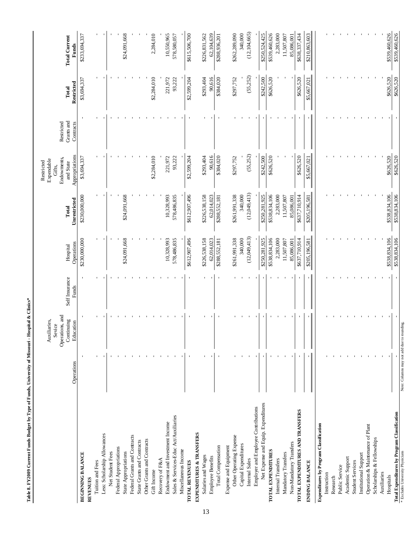|                                              |                                            | Operations, and<br>Auxiliaries,<br>Sevice |                         |                        |                       | Endowments,<br>Expendable<br>Restricted<br>Gifts, | Restricted              |                     |                               |
|----------------------------------------------|--------------------------------------------|-------------------------------------------|-------------------------|------------------------|-----------------------|---------------------------------------------------|-------------------------|---------------------|-------------------------------|
|                                              | Operations                                 | Continuing<br>Education                   | Self Insurance<br>Funds | Operations<br>Hospital | Unrestricted<br>Total | Appropriations<br>and State                       | Grants and<br>Contracts | Restricted<br>Total | <b>Total Current</b><br>Funds |
| <b>BEGINNING BALANCE</b>                     |                                            |                                           |                         | \$230,000,000          | \$230,000,000         | \$3,694,337                                       |                         | \$3,694,337         | \$233,694,337                 |
| <b>REVENUES</b>                              |                                            |                                           |                         |                        |                       |                                                   |                         |                     |                               |
| Tuition and Fees                             |                                            |                                           |                         |                        |                       |                                                   |                         |                     |                               |
| Less: Scholarship Allowances                 |                                            |                                           |                         |                        |                       |                                                   |                         |                     |                               |
| Net Student Fees                             |                                            |                                           |                         |                        |                       |                                                   |                         |                     |                               |
| Federal Appropriations                       |                                            |                                           |                         |                        |                       |                                                   |                         |                     |                               |
| State Appropriations                         |                                            |                                           |                         | \$24,091,668           | \$24,091,668          |                                                   |                         |                     | \$24,091,668                  |
| Federal Grants and Contracts                 |                                            |                                           |                         |                        |                       |                                                   |                         |                     |                               |
| State Grants and Contracts                   |                                            |                                           |                         |                        |                       |                                                   |                         |                     |                               |
| Other Grants and Contracts                   |                                            |                                           |                         |                        |                       |                                                   |                         |                     |                               |
| Gift Income                                  |                                            |                                           |                         |                        |                       | \$2,284,010                                       |                         | \$2,284,010         | 2,284,010                     |
| Recovery of F&A                              |                                            |                                           |                         |                        |                       |                                                   |                         |                     |                               |
| Endowment and Investment Income              |                                            |                                           |                         | 10,328,993             | 10,328,993            | 221,972                                           |                         | 221,972             | 10,550,965                    |
| Sales & Services-Educ Act/Auxiliaries        |                                            |                                           |                         | 578,486,835            | 578,486,835           | 93,222                                            |                         | 93,222              | 578,580,057                   |
| Miscellaneous Income                         |                                            |                                           |                         |                        |                       |                                                   |                         |                     |                               |
| <b>TOTAL REVENUES</b>                        |                                            |                                           |                         | \$612,907,496          | \$612,907,496         | \$2,599,204                                       |                         | \$2,599,204         | \$615,506,700                 |
| EXPENDITURES & TRANSFERS                     |                                            |                                           |                         |                        |                       |                                                   |                         |                     |                               |
| Salaries and Wages                           |                                            |                                           |                         | \$226,538,158          | \$226,538,158         | \$293,404                                         |                         | \$293,404           | \$226,831,562                 |
| Employee Benefits                            |                                            |                                           |                         | 62,014,023             | 62,014,023            | 90,616                                            |                         | 90,616              | 62,104,639                    |
| Total Compensation                           |                                            |                                           |                         | \$288,552,181          | \$288,552,181         | \$384,020                                         |                         | \$384,020           | \$288,936,201                 |
| Expense and Equipment                        |                                            |                                           |                         |                        |                       |                                                   |                         |                     |                               |
| Other Operating Expense                      |                                            |                                           |                         | \$261,991,338          | \$261,991,338         | \$297,752                                         |                         | \$297,752           | \$262,289,090                 |
| Capital Expenditures                         |                                            |                                           |                         | 340,000                | 340,000               |                                                   |                         |                     | 340,000                       |
| Internal Sales                               |                                            |                                           |                         | (12,049,413)           | (12,049,413)          | (55, 252)                                         |                         | (55,252)            | (12, 104, 665)                |
| Employer and Employee Contributions          |                                            |                                           |                         |                        |                       |                                                   |                         |                     |                               |
| Net Expense and Equip. Expenditures          |                                            |                                           |                         | \$250,281,925          | \$250,281,925         | \$242,500                                         |                         | \$242,500           | \$250,524,425                 |
| TOTAL EXPENDITURES                           |                                            |                                           |                         | \$538,834,106          | \$538,834,106         | \$626,520                                         |                         | \$626,520           | \$539,460,626                 |
| Internal Transfers                           |                                            |                                           |                         | 2,283,000              | 2,283,000             |                                                   |                         |                     | 2,283,000                     |
| Mandatory Transfers                          |                                            |                                           |                         | 11,507,807             | 11,507,807            |                                                   |                         |                     | 11,507,807                    |
| Non-Mandatory Transfers                      |                                            |                                           |                         | 85,086,001             | 85,086,001            |                                                   |                         |                     | 85,086,001                    |
| TOTAL EXPENDITURES AND TRANSFERS             |                                            |                                           |                         | \$637,710,914          | \$637,710,914         | \$626,520                                         |                         | \$626,520           | \$638,337,434                 |
| <b>ENDING BALANCE</b>                        |                                            |                                           |                         | \$205,196,581          | \$205,196,581         | \$5,667,021                                       |                         | \$5,667,021         | \$210,863,603                 |
| Expenditures by Program Classification       |                                            |                                           |                         |                        |                       |                                                   |                         |                     |                               |
| Instruction                                  |                                            |                                           |                         |                        |                       |                                                   |                         |                     |                               |
| Research                                     |                                            |                                           |                         |                        |                       |                                                   |                         |                     |                               |
| Public Service                               |                                            |                                           |                         |                        |                       |                                                   |                         |                     |                               |
| Academic Support                             |                                            |                                           |                         |                        |                       |                                                   |                         |                     |                               |
| <b>Student Services</b>                      |                                            |                                           |                         |                        |                       |                                                   |                         |                     |                               |
| Institutional Support                        |                                            |                                           |                         |                        |                       |                                                   |                         |                     |                               |
| Operation & Maintenance of Plant             |                                            |                                           |                         |                        |                       |                                                   |                         |                     |                               |
| Scholarships & Fellowships                   |                                            |                                           |                         |                        |                       |                                                   |                         |                     |                               |
| Auxiliaries                                  |                                            |                                           |                         |                        |                       |                                                   |                         |                     |                               |
| Hospitals                                    |                                            |                                           |                         | \$538,834,106          | \$538,834,106         | \$626,520                                         |                         | \$626,520           | \$539,460,626                 |
| Total Expenditures by Program Classification |                                            |                                           |                         | \$538,834,106          | \$538,834,106         | \$626,520                                         |                         | \$626,520           | \$539,460,626                 |
| * Excludes University Physicians             | Note: Columns may not add due to rounding. |                                           |                         |                        |                       |                                                   |                         |                     |                               |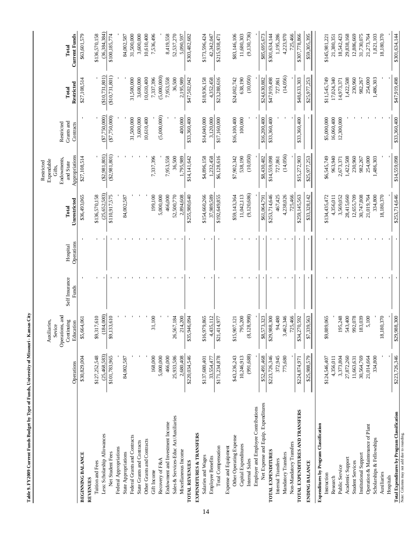| ֖֖֖ׅׅ֧ׅ֚֚֚֚֚֚֚֚֚֚֚֚֚֚֚֚֚֚֚֚֚֚֚֚֚֚֚֚֡֬֝֬֝֬֓ |  |
|--------------------------------------------|--|
|                                            |  |
| i                                          |  |
| ļ                                          |  |
|                                            |  |
|                                            |  |
|                                            |  |
|                                            |  |
|                                            |  |
| I<br>ľ                                     |  |
|                                            |  |
|                                            |  |
|                                            |  |
|                                            |  |
| Ì                                          |  |
|                                            |  |
|                                            |  |
| i<br>!                                     |  |
|                                            |  |
| Í                                          |  |
|                                            |  |

|                                              |               | Auxiliaries,                            |                         |                        |                | Expendable<br>Restricted    |                         |                  |                      |
|----------------------------------------------|---------------|-----------------------------------------|-------------------------|------------------------|----------------|-----------------------------|-------------------------|------------------|----------------------|
|                                              |               | Operations, and<br>Continuing<br>Sevice |                         |                        | Total          | Endowments,<br>Gifts.       | Restricted              | Total            | Total                |
|                                              | Operations    | Education                               | Self Insurance<br>Funds | Operations<br>Hospital | Unrestricted   | Appropriations<br>and State | Grants and<br>Contracts | Restricted       | <b>Current Funds</b> |
| <b>BEGINNING BALANCE</b>                     | \$30,829,004  | \$5,664,061                             |                         |                        | \$36,493,065   | \$27,108,514                |                         | \$27,108,514     | \$63,601,579         |
| <b>REVENUES</b>                              |               |                                         |                         |                        |                |                             |                         |                  |                      |
| Tuition and Fees                             | \$127,252,548 | \$9,317,610                             |                         |                        | \$136,570,158  |                             |                         |                  | \$136,570,158        |
| Less: Scholarship Allowances                 | (25,468,583)  | (184,000)                               |                         |                        | (25, 652, 583) | (S2,981,801)                | (\$7,750,000)           | $(\$10,731,801)$ | (36, 384, 384)       |
| Net Student Fees                             | \$101,783,965 | \$9,133,610                             |                         |                        | \$110,917,575  | (\$2,981,801)               | (S7,750,000)            | (\$10,731,801)   | \$100,185,774        |
| Federal Appropriations                       |               |                                         |                         |                        |                |                             |                         |                  |                      |
| State Appropriations                         | 84,002,587    |                                         |                         |                        | 84,002,587     |                             |                         |                  | 84,002,587           |
| Federal Grants and Contracts                 |               |                                         |                         |                        |                |                             | 31,500,000              | 31,500,000       | 31,500,000           |
| State Grants and Contracts                   |               |                                         |                         |                        |                |                             | 3,600,000               | 3,600,000        | 3,600,000            |
| Other Grants and Contracts                   |               |                                         |                         |                        |                |                             | 10,610,400              | 10,610,400       | 10,610,400           |
| Gift Income                                  | 168,000       | 31,100                                  |                         |                        | 199,100        | 7,337,396                   |                         | 7,337,396        | 7,536,496            |
| Recovery of F&A                              | 5,000,000     |                                         |                         |                        | 5,000,000      |                             | (5,000,000)             | (5,000,000)      |                      |
| Endowment and Investment Income              | 466,000       |                                         |                         |                        | 466,000        | 7,953,558                   |                         | 7,953,558        | 8,419,558            |
| Sales & Services-Educ Act/Auxiliaries        | 25,933,586    | 26,567,184                              |                         |                        | 52,500,770     | 36,500                      |                         | 36,500           | 52,537,270           |
| Miscellaneous Income                         | 2,680,408     | 214,200                                 |                         |                        | 2,894,608      | 1,795,989                   | 400,000                 | 2,195,989        | 5,090,597            |
| <b>TOTAL REVENUES</b>                        | \$220,034,546 | \$35,946,094                            |                         |                        | \$255,980,640  | \$14,141,642                | \$33,360,400            | \$47,502,042     | \$303,482,682        |
| EXPENDITURES & TRANSFERS                     |               |                                         |                         |                        |                |                             |                         |                  |                      |
| Salaries and Wages                           | \$137,680,401 | \$16,979,865                            |                         |                        | \$154,660,266  | \$4,896,158                 | \$14,040,000            | \$18,936,158     | \$173,596,424        |
| <b>Employee Benefits</b>                     | 33.554.477    | 4,435,112                               |                         |                        | 37,989,589     | 1,232,458                   | 3,120,000               | 4,352,458        | 42,342,047           |
| Total Compensation                           | \$171,234,878 | \$21,414,977                            |                         |                        | \$192,649,855  | \$6,128,616                 | \$17,160,000            | \$23,288,616     | \$215,938,471        |
| Expense and Equipment                        |               |                                         |                         |                        |                |                             |                         |                  |                      |
| Other Operating Expense                      | \$43,236,243  | \$15,907,121                            |                         |                        | \$59,143,364   | \$7,902,342                 | \$16,100,400            | \$24,002,742     | \$83,146,106         |
| Capital Expenditures                         | 10,246,913    | 95,200                                  |                         |                        | 11,042,113     | 538,190                     | 100,000                 | 638,190          | 11,680,303           |
| Internal Sales                               | (991, 688)    | (8, 128, 998)                           |                         |                        | (9, 120, 686)  | (10,050)                    |                         | (10,050)         | (9, 130, 736)        |
| Employer and Employee Contributions          |               |                                         |                         |                        |                |                             |                         |                  |                      |
| Net Expense and Equip. Expenditures          | \$52,491,468  | \$8,573,323                             |                         |                        | \$61,064,791   | \$8,430,482                 | \$16,200,400            | \$24,630,882     | \$85,695,673         |
| TOTAL EXPENDITURES                           | \$223,726,346 | \$29,988,300                            |                         |                        | \$253,714,646  | \$14,559,098                | \$33,360,400            | \$47,919,498     | \$301,634,144        |
| Internal Transfers                           | 372,945       | 94,480                                  |                         |                        | 467,425        | 727,861                     |                         | 727,861          | 1,195,286            |
| Mandatory Transfers                          | 775,680       | 3,462,346                               |                         |                        | 4,238,026      | (14,056)                    |                         | (14,056)         | 4,223,970            |
| Non-Mandatory Transfers                      |               | 25,466                                  |                         |                        | 725,466        |                             |                         |                  | 725,466              |
| TOTAL EXPENDITURES AND TRANSFERS             | \$224,874,971 | \$34,270,592                            |                         |                        | \$259,145,563  | \$15,272,903                | \$33,360,400            | \$48,633,303     | \$307,778,866        |
| <b>ENDING BALANCE</b>                        | \$25,988,579  | \$7,339,563                             |                         |                        | \$33,328,142   | \$25,977,253                |                         | \$25,977,253     | \$59,305,395         |
| Expenditures by Program Classification       |               |                                         |                         |                        |                |                             |                         |                  |                      |
| Instruction                                  | \$124,546,407 | \$9,889,065                             |                         |                        | \$134,435,472  | \$6,545,749                 | \$5,000,000             | \$11,545,749     | \$145,981,221        |
| Research                                     | 4,356,011     |                                         |                         |                        | 4,356,011      | 963,940                     | 16,060,400              | 17,024,340       | 21,380,351           |
| Public Service                               | 3,373,804     | 195,248                                 |                         |                        | 3,569,052      | 2,673,371                   | 12,300,000              | 14,973,371       | 18,542,423           |
| Academic Support                             | 27,872,260    | 543,400                                 |                         |                        | 28,415,660     | 1,422,508                   |                         | 1,422,508        | 29,838,168           |
| <b>Student Services</b>                      | 11,663,631    | 992,078                                 |                         |                        | 12,655,709     | 230,960                     |                         | 230,960          | 12,886,669           |
| Institutional Support                        | 30,564,769    | 183,039                                 |                         |                        | 30,747,808     | 982,267                     |                         | 982,267          | 31,730,075           |
| Operation & Maintenance of Plant             | 21,014,664    | 5,100                                   |                         |                        | 21,019,764     | 254,000                     |                         | 254,000          | 21,273,764           |
| Scholarships & Fellowships                   | 334,800       |                                         |                         |                        | 334,800        | 1,486,303                   |                         | 1,486,303        | 1,821,103            |
| Auxiliaries                                  |               | 18,180,370                              |                         |                        | 18,180,370     |                             |                         |                  | 18,180,370           |
| Hospitals                                    |               |                                         |                         |                        |                |                             |                         |                  |                      |
| Total Expenditures by Program Classification | \$223,726,346 | \$29,988,300                            |                         |                        | \$253,714,646  | \$14,559,098                | \$33,360,400            | \$47,919,498     | \$301,634,144        |
| Note: Columns may not add due to rounding.   |               |                                         |                         |                        |                |                             |                         |                  |                      |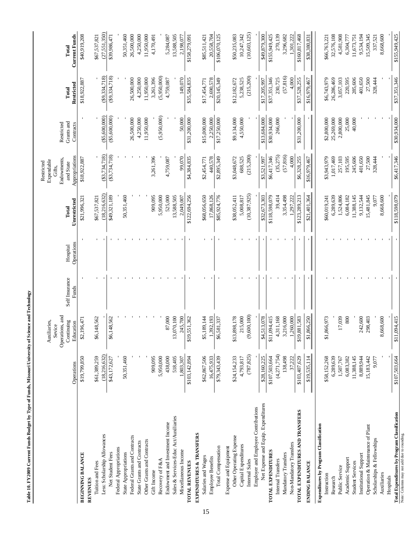|                                               |               | Auxiliaries,              |                         |                        |                       | Expendable<br>Restricted    |                         |                     |                               |
|-----------------------------------------------|---------------|---------------------------|-------------------------|------------------------|-----------------------|-----------------------------|-------------------------|---------------------|-------------------------------|
|                                               |               | Operations, and<br>Sevice |                         |                        |                       | Endowments,<br>Gifts,       | Restricted              |                     |                               |
|                                               | Operations    | Continuing<br>Education   | Self Insurance<br>Funds | Operations<br>Hospital | Unrestricted<br>Total | Appropriations<br>and State | Grants and<br>Contracts | Restricted<br>Total | <b>Current Funds</b><br>Total |
| <b>BEGINNING BALANCE</b>                      | \$19,799,850  | \$2,196,471               |                         |                        | \$21,996,321          | \$18,922,887                |                         | \$18,922,887        | \$40,919,208                  |
| <b>REVENUES</b>                               |               |                           |                         |                        |                       |                             |                         |                     |                               |
| Tuition and Fees                              | \$61,389,259  | \$6,148,562               |                         |                        | \$67,537,821          |                             |                         |                     | \$67,537,821                  |
| Less: Scholarship Allowances                  | (18,216,632)  |                           |                         |                        | (18.216.632)          | (33.734.718)                | ( \$5,600,000)          | (S9.334.718)        | (27,551,350)                  |
| Net Student Fees                              | \$43,172,627  | 48,562<br>\$6,1           |                         |                        | \$49,321,189          | ( \$3, 734, 718)            | ( \$5,600,000)          | (89, 334, 718)      | \$39,986,471                  |
| Federal Appropriations                        |               |                           |                         |                        |                       |                             |                         |                     |                               |
| <b>State Appropriations</b>                   | 50,351,460    |                           |                         |                        | 50,351,460            |                             |                         |                     | 50,351,460                    |
| Federal Grants and Contracts                  |               |                           |                         |                        |                       |                             | 26,500,000              | 26,500,000          | 26,500,000                    |
| State Grants and Contracts                    |               |                           |                         |                        |                       |                             | 4,250,000               | 4,250,000           | 4,250,000                     |
| Other Grants and Contracts                    |               |                           |                         |                        |                       |                             | 11,950,000              | 11,950,000          | 11,950,000                    |
| Gift Income                                   | 909,095       |                           |                         |                        | 909,095               | 3,261,396                   |                         | 3,261,396           | 4,170,491                     |
| Recovery of F&A                               | 5,950,000     |                           |                         |                        | 5,950,000             |                             | (5,950,000)             | (5,950,000)         |                               |
| Endowment and Investment Income               | 438,000       | 87,000                    |                         |                        | 525,000               | 4,759,087                   |                         | 4,759,087           | 5,284,087                     |
| Sales & Services-Educ Act/Auxiliaries         | 518,405       | 13,070,100                |                         |                        | 13,588,505            |                             |                         |                     | 13,588,505                    |
| Miscellaneous Income                          | 1,803,307     | 245,700                   |                         |                        | 2,049,007             | 99.070                      | 50,000                  | 149.070             | 2.198.077                     |
| <b>TOTAL REVENUES</b>                         | \$103,142,894 | \$19,551,362              |                         |                        | \$122,694,256         | \$4,384,835                 | \$31,200,000            | \$35,584,835        | \$158,279,091                 |
| EXPENDITURES & TRANSFERS                      |               |                           |                         |                        |                       |                             |                         |                     |                               |
| Salaries and Wages                            | \$62,867,506  | \$5,189,144               |                         |                        | \$68,056,650          | \$2,454,771                 | \$15,000,000            | \$17,454,771        | \$85,511,421                  |
| <b>Employee Benefits</b>                      | 16,475,933    | 1,392,193                 |                         |                        | 17,868,126            | 440,578                     | 2,250,000               | 2,690,578           | 20,558,704                    |
| Total Compensation                            | \$79,343,439  | \$6,581,337               |                         |                        | \$85,924,776          | \$2,895,349                 | \$17,250,000            | \$20,145,349        | \$106,070,125                 |
| Expense and Equipment                         |               |                           |                         |                        |                       |                             |                         |                     |                               |
| Other Operating Expense                       | \$24,154,233  | \$13,898,178              |                         |                        | \$38,052,411          | \$3,048,672                 | \$9,134,000             | \$12,182,672        | \$50,235,083                  |
| Capital Expenditures                          | 4,793,817     | 215,000                   |                         |                        | 5,008,817             | 688,525                     | 4,550,000               | 5,238,525           | 10,247,342                    |
| Internal Sales                                | (787, 825)    | (9,600,100)               |                         |                        | (10, 387, 925)        | (215, 200)                  |                         | (215, 200)          | (10, 603, 125)                |
| Employer and Employee Contributions           |               |                           |                         |                        |                       |                             |                         |                     |                               |
| Net Expense and Equip. Expenditures           | \$28,160,225  | \$4,513,078               |                         |                        | \$32,673,303          | \$3,521,997                 | \$13,684,000            | \$17,205,997        | \$49,879,300                  |
| TOTAL EXPENDITURES                            | \$107,503,664 | \$11,094,415              |                         |                        | \$118,598,079         | \$6,417,346                 | \$30,934,000            | \$37,351,346        | \$155,949,425                 |
| Internal Transfers                            | (4,271,754)   | 4,311,168                 |                         |                        | 39,414                | (35,275)                    | 266,000                 | 230,725             | 270,139                       |
| Mandatory Transfers                           | 138,498       | 3,216,000                 |                         |                        | 3,354,498             | (57, 816)                   |                         | (57, 816)           | 3,296,682                     |
| Non-Mandatory Transfers                       | 37,222        | 1,260,000                 |                         |                        | 1,297,222             | 4,000                       |                         | 4,000               | 1,301,222                     |
| TOTAL EXPENDITURES AND TRANSFERS              | \$103,407,629 | \$19,881,583              |                         |                        | \$123,289,213         | \$6,328,255                 | \$31,200,000            | \$37,528,255        | \$160,817,468                 |
| <b>ENDING BALANCE</b>                         | \$19,535,114  | \$1,866,250               |                         |                        | \$21,401,364          | \$16,979,467                |                         | \$16,979,467        | \$38,380,831                  |
| <b>Expenditures by Program Classification</b> |               |                           |                         |                        |                       |                             |                         |                     |                               |
| Instruction                                   | \$58,152,268  | \$1,866,973               |                         |                        | \$60,019,241          | \$3,943,979                 | \$2,800,000             | \$6,743,979         | \$66,763,221                  |
| Research                                      | 6,289,639     |                           |                         |                        | 6,289,639             | 1,017,469                   | 25,269,000              | 26,286,469          | 32,576,108                    |
| Public Service                                | 1,507,767     | 17,039                    |                         |                        | 1,524,806             | 257,103                     | 2,800,000               | 3,057,103           | 4,581,908                     |
| Academic Support                              | 6,083,382     | 800                       |                         |                        | 6,084,182             | 195,595                     | 25,000                  | 220,595             | 6,304,777                     |
| <b>Student Services</b>                       | 11,388,145    |                           |                         |                        | 11,388,145            | 245,606                     | 40,000                  | 285,606             | 11,673,751                    |
| Institutional Support                         | 8,889,944     | 242,600<br>298,403        |                         |                        | 9,132,544             | 401,650                     |                         | 401,650             | 9,534,194                     |
| Operation & Maintenance of Plant              | 15,183,442    |                           |                         |                        | 15,481,845            | 27,500                      |                         | 27,500              | 15,509,345                    |
| Scholarships & Fellowships                    | 9,077         |                           |                         |                        | 9,077                 | 328,444                     |                         | 328,444             | 337,521                       |
| Auxiliaries                                   |               | 8,668,600                 |                         |                        | 8,668,600             |                             |                         |                     | 8,668,600                     |
| Hospitals                                     |               |                           |                         |                        |                       |                             |                         |                     |                               |
| Total Expenditures by Program Classification  | \$107,503,664 | \$11,094,415              |                         |                        | \$118,598,079         | \$6,417,346                 | \$30,934,000            | \$37,351,346        | \$155,949,425                 |
| Note: Columns may not add due to rounding.    |               |                           |                         |                        |                       |                             |                         |                     |                               |

Table 10. FY2009 Current Funds Budget by Type of Funds, Missouri University of Science and Technology **Table 10. FY2009 Current Funds Budget by Type of Funds, Missouri University of Science and Technology**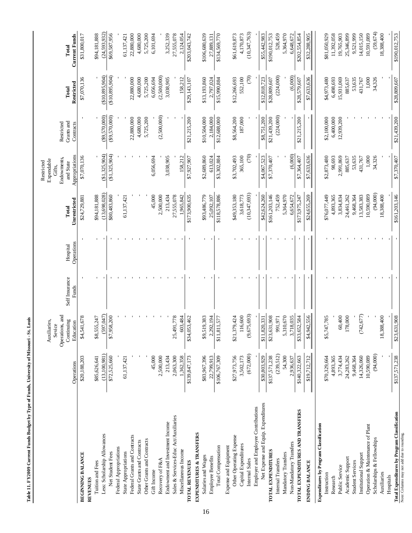| $\ddot{ }$<br>ļ                            |  |
|--------------------------------------------|--|
| ֖֢֢ׅ֧֧֧֧֦֧֦֧֦֧֦֧֚֚֚֚֚֚֚֚֚֚֚֚֚֚֚֚֚֬֡֓֝֓֝֓֝֬ |  |
| Í                                          |  |
| i                                          |  |
|                                            |  |
|                                            |  |
| <b>CONVERT PROPERTY CONVERTS</b><br>֠      |  |
| i<br>I                                     |  |
|                                            |  |

|                                              |               | Auxiliaries,<br>Sevice                     |                         |                        |                       | Expendable<br>Restricted<br>Gifts,         |                                       |                     |                        |
|----------------------------------------------|---------------|--------------------------------------------|-------------------------|------------------------|-----------------------|--------------------------------------------|---------------------------------------|---------------------|------------------------|
|                                              | Operations    | Operations, and<br>Continuing<br>Education | Self Insurance<br>Funds | Operations<br>Hospital | Unrestricted<br>Total | Appropriations<br>Endowments,<br>and State | Grants and<br>Restricted<br>Contracts | Restricted<br>Total | Current Funds<br>Total |
| BEGINNING BALANCE                            | \$20,188,203  | \$4,541,678                                |                         |                        | \$24,729,881          | \$7,070,136                                |                                       | \$7,070,136         | \$31,800,017           |
| REVENUES                                     |               |                                            |                         |                        |                       |                                            |                                       |                     |                        |
| Tuition and Fees                             | \$85,626,641  | \$8,555,247                                |                         |                        | \$94,181,888          |                                            |                                       |                     | \$94,181,888           |
| Less: Scholarship Allowances                 | (13,100,981)  | (597,047)                                  |                         |                        | (13, 698, 028)        | $(\$1,325,904)$                            | (\$9,570,000)                         | (\$10,895,904)      | (24, 593, 932)         |
| Net Student Fees                             | \$72,525,660  | \$7,958,200                                |                         |                        | \$80,483,860          | $(\$1,325,904)$                            | ( \$9,570,000)                        | (\$10,895,904)      | \$69,587,956           |
| Federal Appropriations                       |               |                                            |                         |                        |                       |                                            |                                       |                     |                        |
| State Appropriations                         | 61,137,421    |                                            |                         |                        | 61,137,421            |                                            |                                       |                     | 61,137,421             |
| Federal Grants and Contracts                 |               |                                            |                         |                        |                       |                                            | 22,880,000                            | 22,880,000          | 22,880,000             |
| State Grants and Contracts                   |               |                                            |                         |                        |                       |                                            | 4,680,000                             | 4,680,000           | 4,680,000              |
| Other Grants and Contracts                   |               |                                            |                         |                        |                       |                                            | 5,725,200                             | 5,725,200           | 5,725,200              |
| Gift Income                                  | 45,000        |                                            |                         |                        | 45,000                | 6,056,694                                  |                                       | 6,056,694           | 6,101,694              |
| Recovery of F&A                              | 2,500,000     |                                            |                         |                        | 2,500,000             |                                            | (2,500,000)                           | (2,500,000)         |                        |
| Endowment and Investment Income              | 213,434       |                                            |                         |                        | 213,434               | 3,038,905                                  |                                       | 3,038,905           | 3,252,339              |
| Sales & Services-Educ Act/Auxiliaries        | 2,063,300     | 25,491,778                                 |                         |                        | 27,555,078            |                                            |                                       |                     | 27,555,078             |
| Miscellaneous Income                         | 1,362,358     | 603,484                                    |                         |                        | 1,965,842             | 158,212                                    |                                       | 158,212             | 2,124,054              |
| <b>TOTAL REVENUES</b>                        | \$139,847,173 | \$34,053,462                               |                         |                        | \$173,900,635         | \$7,927,907                                | \$21,215,200                          | \$29,143,107        | \$203,043,742          |
| <b>EXPENDITURES &amp; TRANSFERS</b>          |               |                                            |                         |                        |                       |                                            |                                       |                     |                        |
| Salaries and Wages                           | \$83,967,396  | \$9,519,383                                |                         |                        | \$93,486,779          | \$2,689,860                                | \$10,504,000                          | \$13,193,860        | \$106,680,639          |
| Employee Benefits                            | 22,799,913    | 2,292,194                                  |                         |                        | 25,092,107            | 613,024                                    | 2,184,000                             | 2,797,024           | 27,889,131             |
| Total Compensation                           | \$106,767,309 | \$11,811,577                               |                         |                        | \$118,578,886         | \$3,302,884                                | \$12,688,000                          | \$15,990,884        | \$134,569,770          |
| Expense and Equipment                        |               |                                            |                         |                        |                       |                                            |                                       |                     |                        |
| Other Operating Expense                      | \$27,973,756  | \$21,379,424                               |                         |                        | \$49,353,180          | \$3,702,493                                | \$8,564,200                           | \$12,266,693        | \$61,619,873           |
| Capital Expenditures                         | 3,502,173     | 116,600                                    |                         |                        | 3,618,773             | 365,100                                    | 187,000                               | 552,100             | 4,170,873              |
| Internal Sales                               | (672,000)     | (9,675,693)                                |                         |                        | (10, 347, 693)        | (70)                                       |                                       | $\widehat{C}$       | (10, 347, 763)         |
| Employer and Employee Contributions          |               |                                            |                         |                        |                       |                                            |                                       |                     |                        |
| Net Expense and Equip. Expenditures          | \$30,803,929  | \$11,820,331                               |                         |                        | \$42,624,260          | \$4,067,523                                | \$8,751,200                           | \$12,818,723        | \$55,442,983           |
| TOTAL EXPENDITURES                           | \$137,571,238 | \$23,631,908                               |                         |                        | \$161,203,146         | \$7,370,407                                | \$21,439,200                          | \$28,809,607        | \$190,012,753          |
| Internal Transfers                           | (239, 512)    | 991,971                                    |                         |                        | 752,459               |                                            | (224,000)                             | (224,000)           | 528,459                |
| Mandatory Transfers                          | 54,300        | 5,310,670                                  |                         |                        | 5,364,970             |                                            |                                       |                     | 5,364,970              |
| Non-Mandatory Transfers                      | 2,936,637     | 3,718,035                                  |                         |                        | 6,654,672             | (6,000)                                    |                                       | (6,000)             | 6,648,672              |
| TOTAL EXPENDITURES AND TRANSFERS             | \$140,322,663 | \$33,652,584                               |                         |                        | \$173,975,247         | \$7,364,407                                | \$21,215,200                          | \$28,579,607        | \$202,554,854          |
| <b>ENDING BALANCE</b>                        | \$19,712,712  | \$4,942,556                                |                         |                        | \$24,655,269          | \$7,633,636                                |                                       | \$7,633,636         | \$32,288,905           |
| Expenditures by Program Classification       |               |                                            |                         |                        |                       |                                            |                                       |                     |                        |
| Instruction                                  | \$70,329,664  | \$5,747,785                                |                         |                        | \$76,077,449          | \$2,873,480                                | \$2,100,000                           | \$4,973,480         | \$81,050,929           |
| Research                                     | 4,893,365     |                                            |                         |                        | 4,893,365             | 98,693                                     | 6,400,000                             | 6,498,693           | 11,392,058             |
| Public Service                               | 3,774,434     | 60,400                                     |                         |                        | 3,834,834             | 2,991,869                                  | 12,939,200                            | 15,931,069          | 19,765,903             |
| Academic Support                             | 24,283,262    | 178,000                                    |                         |                        | 24,461,262            | 885,637                                    |                                       | 885,637             | 25,346,899             |
| <b>Student Services</b>                      | 9,468,364     |                                            |                         |                        | 9,468,364             | 53,635                                     |                                       | 53,635              | 9,521,999              |
| Institutional Support                        | 14,326,060    | (742, 677)                                 |                         |                        | 13,583,383            | 431,767                                    |                                       | 431,767             | 14,015,150             |
| Operation & Maintenance of Plant             | 10,590,089    |                                            |                         |                        | 10,590,089            | 1,000                                      |                                       | 1,000               | 10,591,089             |
| Scholarships & Fellowships                   | (94,000)      |                                            |                         |                        | (94,000)              | 34,326                                     |                                       | 34,326              | (59, 674)              |
| Auxiliaries                                  |               | 18,388,400                                 |                         |                        | 18,388,400            |                                            |                                       |                     | 18,388,400             |
| Hospitals                                    |               |                                            |                         |                        |                       |                                            |                                       |                     |                        |
| Total Expenditures by Program Classification | \$137,571,238 | \$23,631,908                               |                         |                        | \$161,203,146         | \$7,370,407                                | \$21,439,200                          | \$28,809,607        | \$190,012,753          |
| Note: Columns may not add due to rounding.   |               |                                            |                         |                        |                       |                                            |                                       |                     |                        |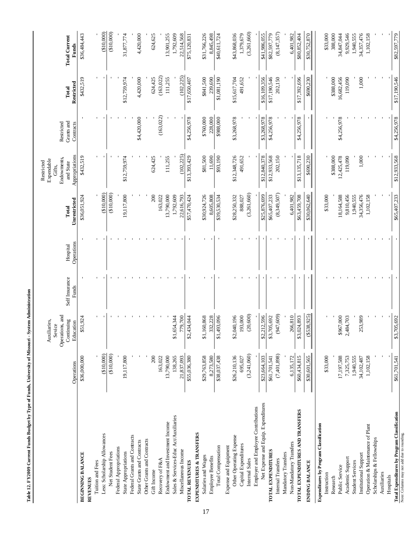|                                                           |              | Operations, and<br>Auxiliaries,<br>Sevice |                         |                        |                       | Endowments,<br>Expendable<br>Restricted<br>Gifts, | Restricted              |                     |                               |
|-----------------------------------------------------------|--------------|-------------------------------------------|-------------------------|------------------------|-----------------------|---------------------------------------------------|-------------------------|---------------------|-------------------------------|
|                                                           | Operations   | Continuing<br>Education                   | Self Insurance<br>Funds | Operations<br>Hospital | Unrestricted<br>Total | Appropriations<br>and State                       | Grants and<br>Contracts | Restricted<br>Total | <b>Total Current</b><br>Funds |
| BEGINNING BALANCE                                         | \$36,000,000 | \$51,924                                  |                         |                        | \$36,051,924          | \$432,519                                         |                         | \$432,519           | \$36,484,443                  |
| <b>REVENUES</b>                                           |              |                                           |                         |                        |                       |                                                   |                         |                     |                               |
| Tuition and Fees                                          |              |                                           |                         |                        |                       |                                                   |                         |                     |                               |
| Less: Scholarship Allowances                              | (\$10,000)   |                                           |                         |                        | (\$10,000)            |                                                   |                         |                     | (\$10,000)                    |
| Net Student Fees                                          | $(*10,000)$  |                                           |                         |                        | (\$10,000)            |                                                   |                         |                     | (\$10,000)                    |
| Federal Appropriations                                    | 19,117,800   |                                           |                         |                        | 19,117,800            | \$12,759,974                                      |                         | \$12,759,974        | 31,877,774                    |
| Federal Grants and Contracts<br>State Appropriations      |              |                                           |                         |                        |                       |                                                   |                         |                     |                               |
| State Grants and Contracts                                |              |                                           |                         |                        |                       |                                                   | \$4,420,000             | 4,420,000           | 4,420,000                     |
| Other Grants and Contracts                                |              |                                           |                         |                        |                       |                                                   |                         |                     |                               |
| Gift Income                                               | 200          |                                           |                         |                        | 200                   | 624,425                                           |                         | 624,425             | 624,625                       |
| Recovery of F&A                                           | 163,022      |                                           |                         |                        | 163,022               |                                                   | (163,022)               | (163,022)           |                               |
| Endowment and Investment Income                           | 13,790,000   |                                           |                         |                        | 13,790,000            | 111,255                                           |                         | 111,255             | 13,901,255                    |
| Sales & Services-Educ Act/Auxiliaries                     | 138,265      | \$1,654,344                               |                         |                        | 1,792,609             |                                                   |                         |                     | 1,792,609                     |
| Miscellaneous Income                                      | 21,837,093   | 79,700                                    |                         |                        | 22,616,793            | (102, 225)                                        |                         | (102, 225)          | 22,514,568                    |
| <b>TOTAL REVENUES</b>                                     | \$55,036,380 | \$2,434,044                               |                         |                        | \$57,470,424          | \$13,393,429                                      | \$4,256,978             | \$17,650,407        | \$75,120,831                  |
| EXPENDITURES & TRANSFERS                                  |              |                                           |                         |                        |                       |                                                   |                         |                     |                               |
| Salaries and Wages                                        | \$29,763,858 | \$1,160,868                               |                         |                        | \$30,924,726          | \$81,500                                          | \$760,000               | \$841,500           | \$31,766,226                  |
| <b>Employee Benefits</b>                                  | 8,273,580    | 332,228                                   |                         |                        | 8,605,808             | 11,690                                            | 228,000                 | 239,690             | 8,845,498                     |
| Total Compensation                                        | \$38,037,438 | \$1,493,096                               |                         |                        | \$39,530,534          | \$93,190                                          | \$988,000               | \$1,081,190         | \$40,611,724                  |
| Expense and Equipment                                     |              |                                           |                         |                        |                       |                                                   |                         |                     |                               |
| Other Operating Expense                                   | \$26,210,136 | \$2,040,196                               |                         |                        | \$28,250,332          | \$12,348,726                                      | \$3,268,978             | \$15,617,704        | \$43,868,036                  |
| Capital Expenditures                                      | 695,027      | 193,000                                   |                         |                        | 888,027               | 491,652                                           |                         | 491,652             | 1,379,679                     |
| Employer and Employee Contributions<br>Internal Sales     | (3,241,060)  | (20, 600)                                 |                         |                        | (3,261,660)           |                                                   |                         |                     | (3,261,660)                   |
| Net Expense and Equip. Expenditures                       | \$23,664,103 | \$2,212,596                               |                         |                        | \$25,876,699          | \$12,840,378                                      | \$3,268,978             | \$16,109,356        | \$41,986,055                  |
| TOTAL EXPENDITURES                                        | \$61,701,541 | \$3,705,692                               |                         |                        | \$65,407,233          | \$12,933,568                                      | \$4,256,978             | \$17,190,546        | \$82,597,779                  |
| Internal Transfers                                        | (7,401,898)  | (947, 609)                                |                         |                        | (8,349,507)           | 202,150                                           |                         | 202,150             | (8, 147, 357)                 |
| Mandatory Transfers                                       |              |                                           |                         |                        |                       |                                                   |                         |                     |                               |
| Non-Mandatory Transfers                                   | 6,135,172    | 266,810                                   |                         |                        | 6,401,982             |                                                   |                         |                     | 6,401,982                     |
| TOTAL EXPENDITURES AND TRANSFERS                          | \$60,434,815 | \$3,024,893                               |                         |                        | \$63,459,708          | \$13,135,718                                      | \$4,256,978             | \$17,392,696        | \$80,852,404                  |
| <b>ENDING BALANCE</b>                                     | \$30,601,565 | ( \$538, 925)                             |                         |                        | \$30,062,640          | \$690,230                                         |                         | \$690,230           | \$30,752,870                  |
| Expenditures by Program Classification                    |              |                                           |                         |                        |                       |                                                   |                         |                     |                               |
| Instruction                                               | \$33,000     |                                           |                         |                        | \$33,000              |                                                   |                         |                     | \$33,000                      |
| Research                                                  |              |                                           |                         |                        |                       | \$388,000                                         |                         | \$388,000           | 388,000                       |
| Public Service                                            | 17,197,588   | \$967,000                                 |                         |                        | 18,164,588            | 12,425,478                                        | \$4,256,978             | 16,682,456          | 34,847,044                    |
| Academic Support                                          | 7,325,753    | 2,484,703                                 |                         |                        | 9,810,456             | 119,090                                           |                         | 119,090             | 9,929,546                     |
| <b>Student Services</b>                                   | 1,940,555    |                                           |                         |                        | 1,940,555             |                                                   |                         |                     | 1,940,555                     |
| Institutional Support                                     | 34,102,487   | 253,989                                   |                         |                        | 34,356,476            | $1,000$                                           |                         | $1,000$             | 34,357,476                    |
| Operation & Maintenance of Plant                          | 1,102,158    |                                           |                         |                        | 1,102,158             |                                                   |                         |                     | 1,102,158                     |
| Scholarships & Fellowships                                |              |                                           |                         |                        |                       |                                                   |                         |                     |                               |
| Auxiliaries                                               |              |                                           |                         |                        |                       |                                                   |                         |                     |                               |
| Total Expenditures by Program Classification<br>Hospitals | \$61,701,541 | 705,692<br>\$3,7                          |                         |                        | \$65,407,233          | \$12,933,568                                      | \$4,256,978             | \$17,190,546        | \$82,597,779                  |
| Note: Columns may not add due to rounding.                |              |                                           |                         |                        |                       |                                                   |                         |                     |                               |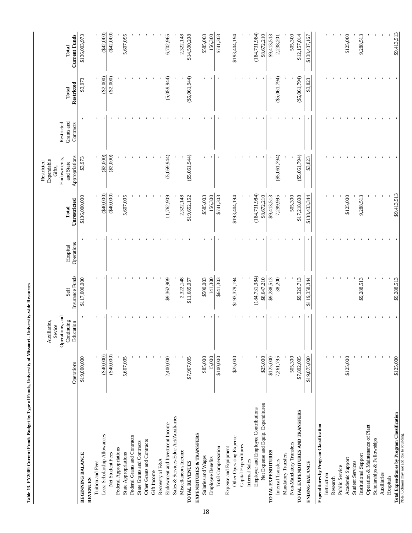| Table 13. FY2009 Current Funds Budget by Type of Funds, University of Missouri - University-wide Resources |                    |                                                                      |                         |                        |                       |                                                                                  |                                       |                     |                        |
|------------------------------------------------------------------------------------------------------------|--------------------|----------------------------------------------------------------------|-------------------------|------------------------|-----------------------|----------------------------------------------------------------------------------|---------------------------------------|---------------------|------------------------|
|                                                                                                            | Operations         | Operations, and<br>Continuing<br>Auxiliaries,<br>Education<br>Sevice | Insurance Funds<br>Self | Operations<br>Hospital | Unrestricted<br>Total | Appropriations<br>Endowments,<br>Expendable<br>Restricted<br>and State<br>Gifts, | Grants and<br>Restricted<br>Contracts | Restricted<br>Total | Current Funds<br>Total |
| BEGINNING BALANCE                                                                                          | \$19,000,000       |                                                                      | \$117,000,000           |                        | \$136,000,000         | \$3,973                                                                          |                                       | \$3,973             | \$136,003,973          |
| Tuition and Fees<br><b>REVENUES</b>                                                                        |                    |                                                                      |                         |                        |                       |                                                                                  |                                       |                     |                        |
| Less: Scholarship Allowances                                                                               | $(*40,000)$        |                                                                      |                         |                        | $(*40,000)$           | $(\$2,000)$                                                                      |                                       | (\$2,000)           | $(*42,000)$            |
| Net Student Fees                                                                                           | $(*40,000)$        |                                                                      |                         |                        | (340,000)             | (\$2,000)                                                                        |                                       | (\$2,000)           | ( \$42,000)            |
| Federal Appropriations                                                                                     |                    |                                                                      |                         |                        |                       |                                                                                  |                                       |                     |                        |
| State Appropriations                                                                                       | 5,607,095          |                                                                      |                         |                        | 5,607,095             |                                                                                  |                                       |                     | 5,607,095              |
| Federal Grants and Contracts<br>State Grants and Contracts                                                 |                    |                                                                      |                         |                        |                       |                                                                                  |                                       |                     |                        |
| Other Grants and Contracts                                                                                 |                    |                                                                      |                         |                        |                       |                                                                                  |                                       |                     |                        |
| Gift Income                                                                                                |                    |                                                                      |                         |                        |                       |                                                                                  |                                       |                     |                        |
| Recovery of F&A                                                                                            |                    |                                                                      |                         |                        |                       |                                                                                  |                                       |                     |                        |
| Endowment and Investment Income                                                                            | 2,400,000          |                                                                      | \$9,362,909             |                        | 11,762,909            | (5,059,944)                                                                      |                                       | (5,059,944)         | 6,702,965              |
| Sales & Services-Educ Act/Auxiliaries                                                                      |                    |                                                                      |                         |                        |                       |                                                                                  |                                       |                     |                        |
| Miscellaneous Income                                                                                       |                    |                                                                      | 2,322,148               |                        | 2,322,148             |                                                                                  |                                       |                     | 2,322,148              |
| <b>TOTAL REVENUES</b>                                                                                      | \$7,967,095        |                                                                      | \$11,685,057            |                        | \$19,652,152          | $(\$5,061,944)$                                                                  |                                       | ( \$5,061,944)      | \$14,590,208           |
| EXPENDITURES & TRANSFERS                                                                                   |                    |                                                                      |                         |                        |                       |                                                                                  |                                       |                     |                        |
| Salaries and Wages<br>Employee Benefits                                                                    | \$85,000<br>15,000 |                                                                      | \$500,003<br>141,300    |                        | \$585,003<br>156,300  |                                                                                  |                                       |                     | \$585,003<br>156,300   |
| Total Compensation                                                                                         | \$100,000          |                                                                      | \$641,303               |                        | \$741,303             |                                                                                  |                                       |                     | \$741,303              |
| Expense and Equipment                                                                                      |                    |                                                                      |                         |                        |                       |                                                                                  |                                       |                     |                        |
| Other Operating Expense                                                                                    | \$25,000           |                                                                      | \$193,379,194           |                        | \$193,404,194         |                                                                                  |                                       |                     | \$193,404,194          |
| Capital Expenditures                                                                                       |                    |                                                                      |                         |                        |                       |                                                                                  |                                       |                     |                        |
| Internal Sales                                                                                             |                    |                                                                      |                         |                        |                       |                                                                                  |                                       |                     |                        |
| Employer and Employee Contributions                                                                        |                    |                                                                      | (184, 731, 984)         |                        | (184, 731, 984)       |                                                                                  |                                       |                     | (184, 731, 984)        |
| Net Expense and Equip. Expenditures                                                                        | \$25,000           |                                                                      | \$8,647,210             |                        | \$8,672,210           |                                                                                  |                                       |                     | \$8,672,210            |
| TOTAL EXPENDITURES                                                                                         | \$125,000          |                                                                      | \$9,288,513             |                        | \$9,413,513           |                                                                                  |                                       |                     | \$9,413,513            |
| Internal Transfers                                                                                         | 7,261,795          |                                                                      | 38,200                  |                        | 7,299,995             | $(\$5,061,794)$                                                                  |                                       | $(\$5,061,794)$     | 2,238,201              |
| Non-Mandatory Transfers<br>Mandatory Transfers                                                             | 505,300            |                                                                      |                         |                        | 505,300               |                                                                                  |                                       |                     | 505,300                |
| TOTAL EXPENDITURES AND TRANSFERS                                                                           | \$7,892,095        |                                                                      | \$9,326,713             |                        | \$17,218,808          | ( \$5,061,794)                                                                   |                                       | ( \$5,061,794)      | \$12,157,014           |
| <b>ENDING BALANCE</b>                                                                                      | \$19,075,000       |                                                                      | \$119,358,344           |                        | \$138,433,344         | \$3,823                                                                          |                                       | \$3,823             | \$138,437,167          |
| Expenditures by Program Classification                                                                     |                    |                                                                      |                         |                        |                       |                                                                                  |                                       |                     |                        |
| Instruction                                                                                                |                    |                                                                      |                         |                        |                       |                                                                                  |                                       |                     |                        |
| Research                                                                                                   |                    |                                                                      |                         |                        |                       |                                                                                  |                                       |                     |                        |
| Public Service                                                                                             |                    |                                                                      |                         |                        |                       |                                                                                  |                                       |                     |                        |
| Academic Support                                                                                           | \$125,000          |                                                                      |                         |                        | \$125,000             |                                                                                  |                                       |                     | \$125,000              |
| <b>Student Services</b>                                                                                    |                    |                                                                      |                         |                        |                       |                                                                                  |                                       |                     |                        |
| Institutional Support                                                                                      |                    |                                                                      | \$9,288,513             |                        | 9,288,513             |                                                                                  |                                       |                     | 9,288,513              |
| Operation & Maintenance of Plant<br>Scholarships & Fellowships                                             |                    |                                                                      |                         |                        |                       |                                                                                  |                                       |                     |                        |
| Auxiliaries                                                                                                |                    |                                                                      |                         |                        |                       |                                                                                  |                                       |                     |                        |
| Hospitals                                                                                                  |                    |                                                                      |                         |                        |                       |                                                                                  |                                       |                     |                        |
| <b>Total Expenditures by Program Classification</b>                                                        | \$125,000          |                                                                      | \$9,288,513             |                        | \$9,413,513           |                                                                                  |                                       |                     | \$9,413,513            |
| Note: Columns may not add due to rounding.                                                                 |                    |                                                                      |                         |                        |                       |                                                                                  |                                       |                     |                        |

18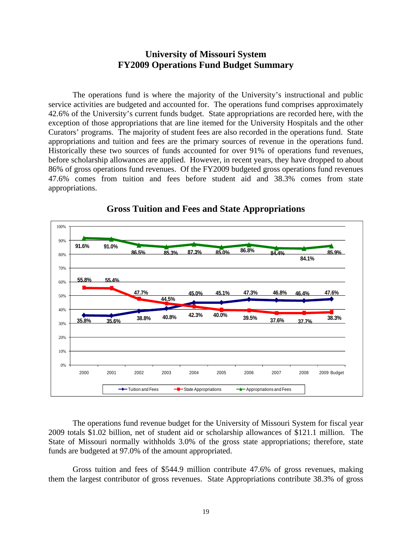# **University of Missouri System FY2009 Operations Fund Budget Summary**

The operations fund is where the majority of the University's instructional and public service activities are budgeted and accounted for. The operations fund comprises approximately 42.6% of the University's current funds budget. State appropriations are recorded here, with the exception of those appropriations that are line itemed for the University Hospitals and the other Curators' programs. The majority of student fees are also recorded in the operations fund. State appropriations and tuition and fees are the primary sources of revenue in the operations fund. Historically these two sources of funds accounted for over 91% of operations fund revenues, before scholarship allowances are applied. However, in recent years, they have dropped to about 86% of gross operations fund revenues. Of the FY2009 budgeted gross operations fund revenues 47.6% comes from tuition and fees before student aid and 38.3% comes from state appropriations.



## **Gross Tuition and Fees and State Appropriations**

The operations fund revenue budget for the University of Missouri System for fiscal year 2009 totals \$1.02 billion, net of student aid or scholarship allowances of \$121.1 million. The State of Missouri normally withholds 3.0% of the gross state appropriations; therefore, state funds are budgeted at 97.0% of the amount appropriated.

Gross tuition and fees of \$544.9 million contribute 47.6% of gross revenues, making them the largest contributor of gross revenues. State Appropriations contribute 38.3% of gross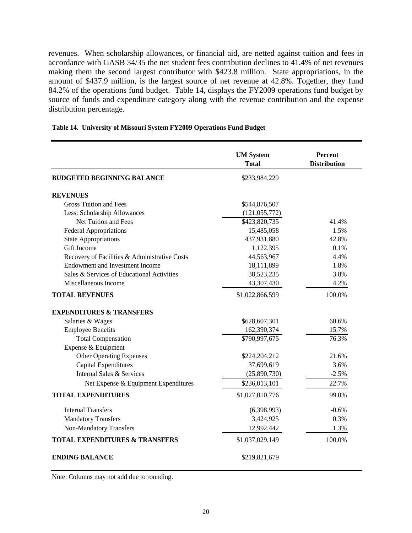revenues. When scholarship allowances, or financial aid, are netted against tuition and fees in accordance with GASB 34/35 the net student fees contribution declines to 41.4% of net revenues making them the second largest contributor with \$423.8 million. State appropriations, in the amount of \$437.9 million, is the largest source of net revenue at 42.8%. Together, they fund 84.2% of the operations fund budget. Table 14, displays the FY2009 operations fund budget by source of funds and expenditure category along with the revenue contribution and the expense distribution percentage.

|                                               | <b>UM System</b><br><b>Total</b> | Percent<br><b>Distribution</b> |
|-----------------------------------------------|----------------------------------|--------------------------------|
| <b>BUDGETED BEGINNING BALANCE</b>             | \$233,984,229                    |                                |
| <b>REVENUES</b>                               |                                  |                                |
| <b>Gross Tuition and Fees</b>                 | \$544,876,507                    |                                |
| Less: Scholarship Allowances                  | (121, 055, 772)                  |                                |
| Net Tuition and Fees                          | \$423,820,735                    | 41.4%                          |
| <b>Federal Appropriations</b>                 | 15,485,058                       | 1.5%                           |
| <b>State Appropriations</b>                   | 437,931,880                      | 42.8%                          |
| Gift Income                                   | 1,122,395                        | 0.1%                           |
| Recovery of Facilities & Administrative Costs | 44,563,967                       | 4.4%                           |
| <b>Endowment and Investment Income</b>        | 18,111,899                       | 1.8%                           |
| Sales & Services of Educational Activities    | 38,523,235                       | 3.8%                           |
| Miscellaneous Income                          | 43,307,430                       | 4.2%                           |
| <b>TOTAL REVENUES</b>                         | \$1,022,866,599                  | 100.0%                         |
| <b>EXPENDITURES &amp; TRANSFERS</b>           |                                  |                                |
| Salaries & Wages                              | \$628,607,301                    | 60.6%                          |
| <b>Employee Benefits</b>                      | 162,390,374                      | 15.7%                          |
| <b>Total Compensation</b>                     | \$790,997,675                    | 76.3%                          |
| Expense & Equipment                           |                                  |                                |
| <b>Other Operating Expenses</b>               | \$224,204,212                    | 21.6%                          |
| Capital Expenditures                          | 37,699,619                       | 3.6%                           |
| Internal Sales & Services                     | (25,890,730)                     | $-2.5%$                        |
| Net Expense & Equipment Expenditures          | \$236,013,101                    | 22.7%                          |
| <b>TOTAL EXPENDITURES</b>                     | \$1,027,010,776                  | 99.0%                          |
| <b>Internal Transfers</b>                     | (6,398,993)                      | $-0.6%$                        |
| <b>Mandatory Transfers</b>                    | 3,424,925                        | 0.3%                           |
| Non-Mandatory Transfers                       | 12,992,442                       | 1.3%                           |
| <b>TOTAL EXPENDITURES &amp; TRANSFERS</b>     | \$1,037,029,149                  | 100.0%                         |
| <b>ENDING BALANCE</b>                         | \$219,821,679                    |                                |

### **Table 14. University of Missouri System FY2009 Operations Fund Budget**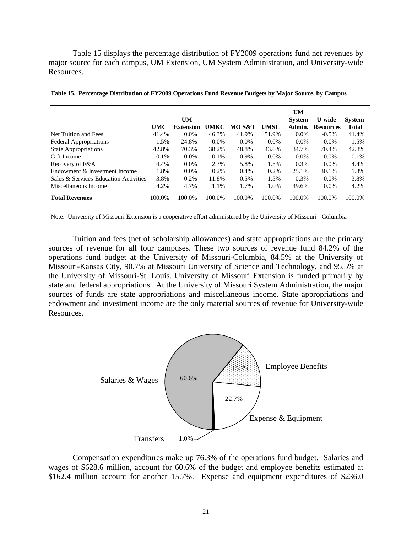Table 15 displays the percentage distribution of FY2009 operations fund net revenues by major source for each campus, UM Extension, UM System Administration, and University-wide Resources.

|                                       |        | <b>UM</b>        |         |         |             | UM<br><b>System</b> | <b>U-wide</b>    | <b>System</b> |
|---------------------------------------|--------|------------------|---------|---------|-------------|---------------------|------------------|---------------|
|                                       | UMC    | <b>Extension</b> | UMKC    | MO S&T  | <b>UMSL</b> | Admin.              | <b>Resources</b> | <b>Total</b>  |
| Net Tuition and Fees                  | 41.4%  | $0.0\%$          | 46.3%   | 41.9%   | 51.9%       | $0.0\%$             | $-0.5\%$         | 41.4%         |
| <b>Federal Appropriations</b>         | 1.5%   | 24.8%            | $0.0\%$ | $0.0\%$ | $0.0\%$     | $0.0\%$             | $0.0\%$          | 1.5%          |
| <b>State Appropriations</b>           | 42.8%  | 70.3%            | 38.2%   | 48.8%   | 43.6%       | 34.7%               | 70.4%            | 42.8%         |
| Gift Income                           | 0.1%   | $0.0\%$          | 0.1%    | 0.9%    | $0.0\%$     | $0.0\%$             | $0.0\%$          | 0.1%          |
| Recovery of F&A                       | 4.4%   | $0.0\%$          | 2.3%    | 5.8%    | 1.8%        | 0.3%                | $0.0\%$          | 4.4%          |
| Endowment & Investment Income         | 1.8%   | $0.0\%$          | 0.2%    | 0.4%    | 0.2%        | 25.1%               | 30.1%            | 1.8%          |
| Sales & Services-Education Activities | 3.8%   | 0.2%             | 11.8%   | 0.5%    | 1.5%        | 0.3%                | $0.0\%$          | 3.8%          |
| Miscellaneous Income                  | 4.2%   | 4.7%             | 1.1%    | 1.7%    | 1.0%        | 39.6%               | $0.0\%$          | 4.2%          |
| <b>Total Revenues</b>                 | 100.0% | 100.0%           | 100.0%  | 100.0%  | 100.0%      | 100.0%              | 100.0%           | 100.0%        |

**Table 15. Percentage Distribution of FY2009 Operations Fund Revenue Budgets by Major Source, by Campus**

Note: University of Missouri Extension is a cooperative effort administered by the University of Missouri - Columbia

Tuition and fees (net of scholarship allowances) and state appropriations are the primary sources of revenue for all four campuses. These two sources of revenue fund 84.2% of the operations fund budget at the University of Missouri-Columbia, 84.5% at the University of Missouri-Kansas City, 90.7% at Missouri University of Science and Technology, and 95.5% at the University of Missouri-St. Louis. University of Missouri Extension is funded primarily by state and federal appropriations. At the University of Missouri System Administration, the major sources of funds are state appropriations and miscellaneous income. State appropriations and endowment and investment income are the only material sources of revenue for University-wide Resources.



Compensation expenditures make up 76.3% of the operations fund budget. Salaries and wages of \$628.6 million, account for 60.6% of the budget and employee benefits estimated at \$162.4 million account for another 15.7%. Expense and equipment expenditures of \$236.0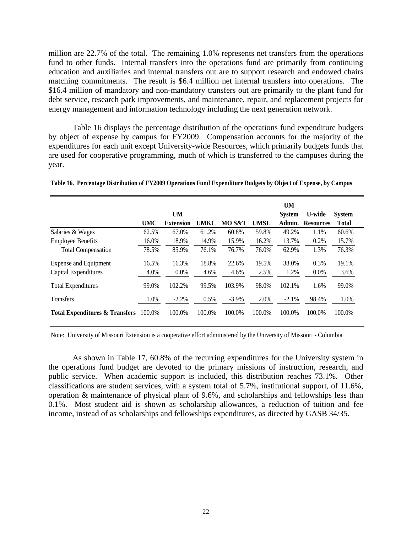million are 22.7% of the total. The remaining 1.0% represents net transfers from the operations fund to other funds. Internal transfers into the operations fund are primarily from continuing education and auxiliaries and internal transfers out are to support research and endowed chairs matching commitments. The result is \$6.4 million net internal transfers into operations. The \$16.4 million of mandatory and non-mandatory transfers out are primarily to the plant fund for debt service, research park improvements, and maintenance, repair, and replacement projects for energy management and information technology including the next generation network.

Table 16 displays the percentage distribution of the operations fund expenditure budgets by object of expense by campus for FY2009. Compensation accounts for the majority of the expenditures for each unit except University-wide Resources, which primarily budgets funds that are used for cooperative programming, much of which is transferred to the campuses during the year.

|                                           |            |                  |             |          |             | <b>UM</b>     |                  |               |
|-------------------------------------------|------------|------------------|-------------|----------|-------------|---------------|------------------|---------------|
|                                           |            | <b>UM</b>        |             |          |             | <b>System</b> | U-wide           | <b>System</b> |
|                                           | <b>UMC</b> | <b>Extension</b> | <b>UMKC</b> | MO S&T   | <b>UMSL</b> | Admin.        | <b>Resources</b> | Total         |
| Salaries & Wages                          | 62.5%      | 67.0%            | 61.2%       | 60.8%    | 59.8%       | 49.2%         | 1.1%             | 60.6%         |
| <b>Employee Benefits</b>                  | 16.0%      | 18.9%            | 14.9%       | 15.9%    | 16.2%       | 13.7%         | 0.2%             | 15.7%         |
| <b>Total Compensation</b>                 | 78.5%      | 85.9%            | 76.1%       | 76.7%    | 76.0%       | 62.9%         | 1.3%             | 76.3%         |
| <b>Expense and Equipment</b>              | 16.5%      | 16.3%            | 18.8%       | 22.6%    | 19.5%       | 38.0%         | 0.3%             | 19.1%         |
| Capital Expenditures                      | 4.0%       | 0.0%             | 4.6%        | 4.6%     | 2.5%        | 1.2%          | $0.0\%$          | 3.6%          |
| <b>Total Expenditures</b>                 | 99.0%      | 102.2%           | 99.5%       | 103.9%   | 98.0%       | 102.1%        | 1.6%             | 99.0%         |
| <b>Transfers</b>                          | 1.0%       | $-2.2%$          | 0.5%        | $-3.9\%$ | 2.0%        | $-2.1%$       | 98.4%            | 1.0%          |
| <b>Total Expenditures &amp; Transfers</b> | 100.0%     | 100.0%           | 100.0%      | 100.0%   | 100.0%      | 100.0%        | 100.0%           | 100.0%        |

**Table 16. Percentage Distribution of FY2009 Operations Fund Expenditure Budgets by Object of Expense, by Campus**

Note: University of Missouri Extension is a cooperative effort administered by the University of Missouri - Columbia

As shown in Table 17, 60.8% of the recurring expenditures for the University system in the operations fund budget are devoted to the primary missions of instruction, research, and public service. When academic support is included, this distribution reaches 73.1%. Other classifications are student services, with a system total of 5.7%, institutional support, of 11.6%, operation & maintenance of physical plant of 9.6%, and scholarships and fellowships less than 0.1%. Most student aid is shown as scholarship allowances, a reduction of tuition and fee income, instead of as scholarships and fellowships expenditures, as directed by GASB 34/35.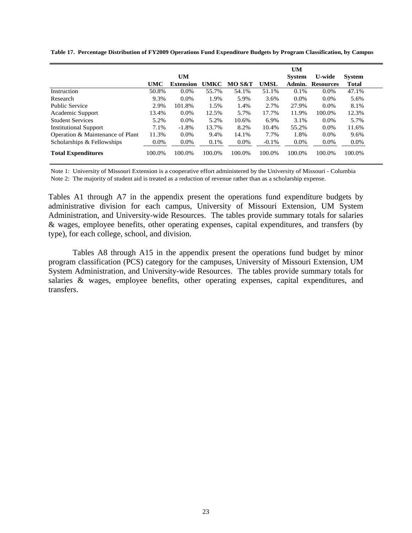|                                  |            | UM               |        |        |             | <b>UM</b><br><b>System</b> | <b>U-wide</b>    | <b>System</b> |
|----------------------------------|------------|------------------|--------|--------|-------------|----------------------------|------------------|---------------|
|                                  | <b>UMC</b> | <b>Extension</b> | UMKC   | MO S&T | <b>UMSL</b> | Admin.                     | <b>Resources</b> | <b>Total</b>  |
| Instruction                      | 50.8%      | $0.0\%$          | 55.7%  | 54.1%  | 51.1%       | 0.1%                       | $0.0\%$          | 47.1%         |
| Research                         | 9.3%       | $0.0\%$          | 1.9%   | 5.9%   | 3.6%        | $0.0\%$                    | $0.0\%$          | 5.6%          |
| <b>Public Service</b>            | 2.9%       | 101.8%           | 1.5%   | 1.4%   | 2.7%        | 27.9%                      | $0.0\%$          | 8.1%          |
| Academic Support                 | 13.4%      | 0.0%             | 12.5%  | 5.7%   | 17.7%       | 11.9%                      | 100.0%           | 12.3%         |
| <b>Student Services</b>          | 5.2%       | $0.0\%$          | 5.2%   | 10.6%  | 6.9%        | 3.1%                       | $0.0\%$          | 5.7%          |
| <b>Institutional Support</b>     | 7.1%       | $-1.8%$          | 13.7%  | 8.2%   | 10.4%       | 55.2%                      | $0.0\%$          | 11.6%         |
| Operation & Maintenance of Plant | 11.3%      | $0.0\%$          | 9.4%   | 14.1%  | 7.7%        | 1.8%                       | $0.0\%$          | 9.6%          |
| Scholarships & Fellowships       | 0.0%       | 0.0%             | 0.1%   | 0.0%   | $-0.1\%$    | 0.0%                       | 0.0%             | $0.0\%$       |
| <b>Total Expenditures</b>        | 100.0%     | 100.0%           | 100.0% | 100.0% | 100.0%      | 100.0%                     | 100.0%           | 100.0%        |

**Table 17. Percentage Distribution of FY2009 Operations Fund Expenditure Budgets by Program Classification, by Campus**

Note 1: University of Missouri Extension is a cooperative effort administered by the University of Missouri - Columbia Note 2: The majority of student aid is treated as a reduction of revenue rather than as a scholarship expense.

Tables A1 through A7 in the appendix present the operations fund expenditure budgets by administrative division for each campus, University of Missouri Extension, UM System Administration, and University-wide Resources. The tables provide summary totals for salaries & wages, employee benefits, other operating expenses, capital expenditures, and transfers (by type), for each college, school, and division.

Tables A8 through A15 in the appendix present the operations fund budget by minor program classification (PCS) category for the campuses, University of Missouri Extension, UM System Administration, and University-wide Resources. The tables provide summary totals for salaries & wages, employee benefits, other operating expenses, capital expenditures, and transfers.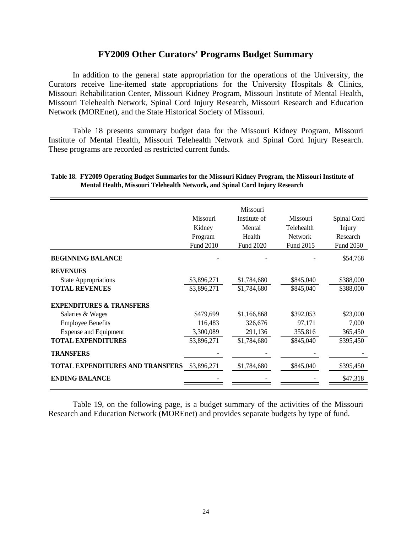# **FY2009 Other Curators' Programs Budget Summary**

 In addition to the general state appropriation for the operations of the University, the Curators receive line-itemed state appropriations for the University Hospitals & Clinics, Missouri Rehabilitation Center, Missouri Kidney Program, Missouri Institute of Mental Health, Missouri Telehealth Network, Spinal Cord Injury Research, Missouri Research and Education Network (MOREnet), and the State Historical Society of Missouri.

 Table 18 presents summary budget data for the Missouri Kidney Program, Missouri Institute of Mental Health, Missouri Telehealth Network and Spinal Cord Injury Research. These programs are recorded as restricted current funds.

|                                         |             | Missouri     |                |                  |
|-----------------------------------------|-------------|--------------|----------------|------------------|
|                                         | Missouri    | Institute of | Missouri       | Spinal Cord      |
|                                         | Kidney      | Mental       | Telehealth     | Injury           |
|                                         | Program     | Health       | <b>Network</b> | Research         |
|                                         | Fund 2010   | Fund 2020    | Fund 2015      | <b>Fund 2050</b> |
| <b>BEGINNING BALANCE</b>                |             |              |                | \$54,768         |
| <b>REVENUES</b>                         |             |              |                |                  |
| <b>State Appropriations</b>             | \$3,896,271 | \$1,784,680  | \$845,040      | \$388,000        |
| <b>TOTAL REVENUES</b>                   | \$3,896,271 | \$1,784,680  | \$845,040      | \$388,000        |
| <b>EXPENDITURES &amp; TRANSFERS</b>     |             |              |                |                  |
| Salaries & Wages                        | \$479,699   | \$1,166,868  | \$392,053      | \$23,000         |
| <b>Employee Benefits</b>                | 116,483     | 326,676      | 97,171         | 7,000            |
| <b>Expense and Equipment</b>            | 3,300,089   | 291,136      | 355,816        | 365,450          |
| <b>TOTAL EXPENDITURES</b>               | \$3,896,271 | \$1,784,680  | \$845,040      | \$395,450        |
| <b>TRANSFERS</b>                        |             |              |                |                  |
| <b>TOTAL EXPENDITURES AND TRANSFERS</b> | \$3,896,271 | \$1,784,680  | \$845,040      | \$395,450        |
| <b>ENDING BALANCE</b>                   |             |              |                | \$47,318         |
|                                         |             |              |                |                  |

### **Table 18. FY2009 Operating Budget Summaries for the Missouri Kidney Program, the Missouri Institute of Mental Health, Missouri Telehealth Network, and Spinal Cord Injury Research**

Table 19, on the following page, is a budget summary of the activities of the Missouri Research and Education Network (MOREnet) and provides separate budgets by type of fund.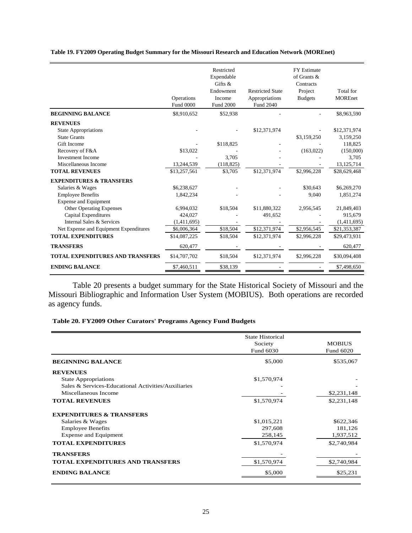**Table 19. FY2009 Operating Budget Summary for the Missouri Research and Education Network (MOREnet)**

|                                                | Operations<br><b>Fund 0000</b> | Restricted<br>Expendable<br>Gifts $\&$<br>Endowment<br>Income<br><b>Fund 2000</b> | <b>Restricted State</b><br>Appropriations<br>Fund 2040 | <b>FY Estimate</b><br>of Grants $\&$<br>Contracts<br>Project<br><b>Budgets</b> | Total for<br><b>MOREnet</b> |
|------------------------------------------------|--------------------------------|-----------------------------------------------------------------------------------|--------------------------------------------------------|--------------------------------------------------------------------------------|-----------------------------|
| <b>BEGINNING BALANCE</b>                       | \$8,910,652                    | \$52,938                                                                          |                                                        |                                                                                | \$8,963,590                 |
| <b>REVENUES</b><br><b>State Appropriations</b> |                                |                                                                                   | \$12,371,974                                           |                                                                                | \$12,371,974                |
| <b>State Grants</b>                            |                                |                                                                                   |                                                        | \$3,159,250                                                                    | 3,159,250                   |
| Gift Income                                    |                                | \$118,825                                                                         |                                                        |                                                                                | 118,825                     |
| Recovery of F&A                                | \$13,022                       |                                                                                   |                                                        | (163, 022)                                                                     | (150,000)                   |
| <b>Investment Income</b>                       |                                | 3,705                                                                             |                                                        |                                                                                | 3,705                       |
| Miscellaneous Income                           | 13,244,539                     | (118, 825)                                                                        |                                                        |                                                                                | 13, 125, 714                |
| <b>TOTAL REVENUES</b>                          | \$13,257,561                   | \$3,705                                                                           | \$12,371,974                                           | \$2,996,228                                                                    | \$28,629,468                |
| <b>EXPENDITURES &amp; TRANSFERS</b>            |                                |                                                                                   |                                                        |                                                                                |                             |
| Salaries & Wages                               | \$6,238,627                    |                                                                                   |                                                        | \$30.643                                                                       | \$6,269,270                 |
| <b>Employee Benefits</b>                       | 1,842,234                      |                                                                                   |                                                        | 9,040                                                                          | 1,851,274                   |
| <b>Expense and Equipment</b>                   |                                |                                                                                   |                                                        |                                                                                |                             |
| <b>Other Operating Expenses</b>                | 6.994.032                      | \$18,504                                                                          | \$11,880,322                                           | 2,956,545                                                                      | 21,849,403                  |
| <b>Capital Expenditures</b>                    | 424,027                        |                                                                                   | 491,652                                                |                                                                                | 915,679                     |
| Internal Sales & Services                      | (1,411,695)                    |                                                                                   |                                                        |                                                                                | (1,411,695)                 |
| Net Expense and Equipment Expenditures         | \$6,006,364                    | \$18,504                                                                          | \$12,371,974                                           | \$2,956,545                                                                    | \$21,353,387                |
| <b>TOTAL EXPENDITURES</b>                      | \$14,087,225                   | \$18,504                                                                          | \$12,371,974                                           | \$2,996,228                                                                    | \$29,473,931                |
| <b>TRANSFERS</b>                               | 620,477                        |                                                                                   |                                                        |                                                                                | 620,477                     |
| <b>TOTAL EXPENDITURES AND TRANSFERS</b>        | \$14,707,702                   | \$18,504                                                                          | \$12,371,974                                           | \$2,996,228                                                                    | \$30,094,408                |
| <b>ENDING BALANCE</b>                          | \$7,460,511                    | \$38,139                                                                          |                                                        |                                                                                | \$7,498,650                 |

 Table 20 presents a budget summary for the State Historical Society of Missouri and the Missouri Bibliographic and Information User System (MOBIUS). Both operations are recorded as agency funds.

**Table 20. FY2009 Other Curators' Programs Agency Fund Budgets**

|                                                     | <b>State Historical</b> |               |
|-----------------------------------------------------|-------------------------|---------------|
|                                                     | Society                 | <b>MOBIUS</b> |
|                                                     | Fund 6030               | Fund 6020     |
| <b>BEGINNING BALANCE</b>                            | \$5,000                 | \$535,067     |
| <b>REVENUES</b>                                     |                         |               |
| <b>State Appropriations</b>                         | \$1,570,974             |               |
| Sales & Services-Educational Activities/Auxiliaries |                         |               |
| Miscellaneous Income                                |                         | \$2,231,148   |
| <b>TOTAL REVENUES</b>                               | \$1,570,974             | \$2,231,148   |
| <b>EXPENDITURES &amp; TRANSFERS</b>                 |                         |               |
| Salaries & Wages                                    | \$1,015,221             | \$622,346     |
| <b>Employee Benefits</b>                            | 297,608                 | 181,126       |
| <b>Expense and Equipment</b>                        | 258,145                 | 1,937,512     |
| <b>TOTAL EXPENDITURES</b>                           | \$1,570,974             | \$2,740,984   |
| <b>TRANSFERS</b>                                    |                         |               |
| <b>TOTAL EXPENDITURES AND TRANSFERS</b>             | \$1,570,974             | \$2,740,984   |
| <b>ENDING BALANCE</b>                               | \$5,000                 | \$25,231      |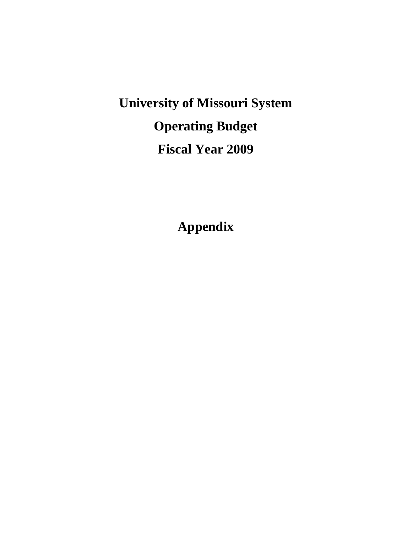**University of Missouri System Operating Budget Fiscal Year 2009** 

**Appendix**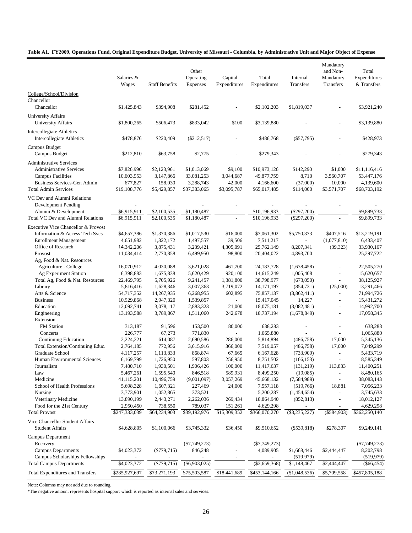### **Table A1. FY2009, Operations Fund, Original Expenditure Budget, University of Missouri - Columbia, by Administrative Unit and Major Object of Expense**

|                                                               | Salaries &<br>Wages        | <b>Staff Benefits</b>   | Other<br>Operating<br><b>Expenses</b> | Capital<br>Expenditures | Total<br>Expenditures      | Internal<br>Transfers | Mandatory<br>and Non-<br>Mandatory<br>Transfers | Total<br>Expenditures<br>& Transfers |
|---------------------------------------------------------------|----------------------------|-------------------------|---------------------------------------|-------------------------|----------------------------|-----------------------|-------------------------------------------------|--------------------------------------|
| College/School/Division                                       |                            |                         |                                       |                         |                            |                       |                                                 |                                      |
| Chancellor                                                    |                            |                         |                                       |                         |                            |                       |                                                 |                                      |
| Chancellor                                                    | \$1,425,843                | \$394,908               | \$281,452                             |                         | \$2,102,203                | \$1,819,037           |                                                 | \$3,921,240                          |
| <b>University Affairs</b><br><b>University Affairs</b>        | \$1,800,265                | \$506,473               | \$833,042                             | \$100                   | \$3,139,880                |                       |                                                 | \$3,139,880                          |
| Intercollegiate Athletics<br><b>Intercollegiate Athletics</b> | \$478,876                  | \$220,409               | $(\$212,517)$                         |                         | \$486,768                  | $(\$57,795)$          |                                                 | \$428,973                            |
| Campus Budget<br>Campus Budget                                | \$212,810                  | \$63,758                | \$2,775                               |                         | \$279,343                  |                       |                                                 | \$279,343                            |
| <b>Administrative Services</b>                                |                            |                         |                                       |                         |                            |                       |                                                 |                                      |
| <b>Administrative Services</b>                                | \$7,826,996                | \$2,123,961             | \$1,013,069                           | \$9,100                 | \$10,973,126               | \$142,290             | \$1,000                                         | \$11,116,416                         |
| <b>Campus Facilities</b>                                      | 10,603,953                 | 3,147,866               | 33,081,253                            | 3,044,687               | 49,877,759                 | 8,710                 | 3,560,707                                       | 53,447,176                           |
| <b>Business Services-Gen Admin</b>                            | 677,827                    | 158,030                 | 3,288,743                             | 42,000                  | 4,166,600                  | (37,000)              | 10,000                                          | 4,139,600                            |
| <b>Total Admin Services</b>                                   | \$19,108,776               | \$5,429,857             | \$37,383,065                          | \$3,095,787             | \$65,017,485               | \$114,000             | \$3,571,707                                     | \$68,703,192                         |
| VC Dev and Alumni Relations                                   |                            |                         |                                       |                         |                            |                       |                                                 |                                      |
| <b>Development Pending</b>                                    |                            |                         |                                       |                         |                            |                       |                                                 |                                      |
| Alumni & Development                                          | \$6,915,911                | \$2,100,535             | \$1,180,487                           |                         | \$10,196,933               | $(\$297,200)$         |                                                 | \$9,899,733                          |
| Total VC Dev and Alumni Relations                             | \$6,915,911                | \$2,100,535             | \$1,180,487                           |                         | \$10,196,933               | $(\$297,200)$         |                                                 | \$9,899,733                          |
| Executive Vice Chancellor & Provost                           |                            |                         |                                       |                         |                            |                       |                                                 |                                      |
| Information & Access Tech Svcs                                | \$4,657,386                | \$1,370,386             | \$1,017,530                           | \$16,000                | \$7,061,302                | \$5,750,373           | \$407,516                                       | \$13,219,191                         |
| <b>Enrollment Management</b>                                  | 4,651,982                  | 1,322,172               | 1,497,557                             | 39,506                  | 7,511,217                  |                       | (1,077,810)                                     | 6,433,407                            |
| Office of Research                                            | 14,342,206                 | 3,875,431               | 3,239,421                             | 4,305,091               | 25,762,149                 | 8,207,341             | (39, 323)                                       | 33,930,167                           |
| Provost                                                       | 11,034,414                 | 2,770,858               | 6,499,950                             | 98,800                  | 20,404,022                 | 4,893,700             |                                                 | 25,297,722                           |
| Ag, Food & Nat. Resources                                     |                            |                         |                                       |                         |                            |                       |                                                 |                                      |
| Agriculture - College                                         | 16,070,912                 | 4,030,088               | 3,621,028                             | 461,700                 | 24,183,728                 | (1,678,458)           | $\overline{a}$                                  | 22,505,270                           |
| Ag Experiment Station                                         | 6,398,883                  | 1,675,838               | 5,620,429                             | 920,100                 | 14,615,249                 | 1,005,408             |                                                 | 15,620,657                           |
| Total Ag, Food & Nat. Resources                               | 22,469,795                 | 5,705,926               | 9,241,457                             | 1,381,800               | 38,798,977                 | (673,050)             |                                                 | 38,125,927                           |
| Library                                                       | 5,816,416                  | 1,628,346               | 3,007,363                             | 3,719,072               | 14, 171, 197               | (854, 731)            | (25,000)                                        | 13,291,466                           |
| Arts & Science                                                | 54,717,352                 | 14,267,935              | 6,268,955                             | 602,895                 | 75,857,137                 | (3,862,411)           |                                                 | 71,994,726                           |
| <b>Business</b>                                               | 10,929,868                 | 2,947,320               | 1,539,857                             |                         | 15,417,045                 | 14,227                | $\overline{a}$                                  | 15,431,272                           |
| Education                                                     | 12,092,741                 | 3,078,117               | 2,883,323                             | 21,000                  | 18,075,181                 | (3,082,481)           | $\overline{a}$                                  | 14,992,700                           |
| Engineering                                                   | 13,193,588                 | 3,789,867               | 1,511,060                             | 242,678                 | 18,737,194                 | (1,678,849)           | $\overline{\phantom{a}}$                        | 17,058,345                           |
| Extension                                                     |                            |                         |                                       |                         |                            |                       |                                                 |                                      |
| <b>FM</b> Station                                             | 313,187                    | 91,596                  | 153,500                               | 80,000                  | 638,283                    |                       |                                                 | 638,283                              |
| Concerts                                                      | 226,777                    | 67,273                  | 771,830                               | $\overline{a}$          | 1,065,880                  |                       | $\overline{a}$                                  | 1,065,880                            |
| <b>Continuing Education</b>                                   | 2,224,221                  | 614,087                 | 2,690,586                             | 286,000                 | 5,814,894                  | (486, 758)            | 17,000                                          | 5,345,136                            |
| Total Extension/Continuing Educ.                              | 2,764,185                  | 772,956                 | 3,615,916                             | 366,000                 | 7,519,057                  | (486, 758)            | 17,000                                          | 7,049,299                            |
| Graduate School                                               | 4,117,257                  | 1,113,833               | 868,874                               | 67,665                  | 6,167,628                  | (733,909)             | $\overline{\phantom{a}}$                        | 5,433,719                            |
| Human Environmental Sciences                                  | 6,169,799                  | 1,726,950               | 597,803                               | 256,950                 | 8,751,502                  | (166, 153)            |                                                 | 8,585,349                            |
| Journalism                                                    | 7,480,710                  | 1,930,501               | 1,906,426                             | 100,000                 | 11,417,637                 | (131,219)             | 113,833                                         | 11,400,251                           |
| Law                                                           | 5,467,261                  | 1,595,540               | 846,518                               | 589,931                 | 8,499,250                  | (19,085)              | $\overline{a}$                                  | 8,480,165                            |
| Medicine                                                      | 41,115,201                 | 10,496,759              | (9,001,097)                           | 3,057,269               | 45,668,132                 | (7, 584, 989)         | $\overline{\phantom{a}}$                        | 38,083,143                           |
| School of Health Professions                                  | 5,698,328                  | 1,607,321               | 227,469                               | 24,000                  | 7,557,118                  | (519,766)             | 18,881                                          | 7,056,233                            |
| Nursing                                                       | 3,773,901                  | 1,052,865               | 373,521                               |                         | 5,200,287                  | (1,454,654)           | $\overline{\phantom{a}}$                        | 3,745,633                            |
| Veterinary Medicine                                           | 13,890,199                 | 2,443,271               | 2,262,036                             | 269,434                 | 18,864,940                 | (852, 813)            | $\overline{a}$                                  | 18,012,127                           |
| Food for the 21st Century<br><b>Total Provost</b>             | 2,950,450<br>\$247,333,039 | 738,550<br>\$64,234,903 | 789,037<br>\$39,192,976               | 151,261<br>\$15,309,352 | 4,629,298<br>\$366,070,270 | $(\$3,235,227)$       | $(\$584,903)$                                   | 4,629,298<br>\$362,250,140           |
|                                                               |                            |                         |                                       |                         |                            |                       |                                                 |                                      |
| Vice Chancellor Student Affairs<br><b>Student Affairs</b>     | \$4,628,805                | \$1,100,066             | \$3,745,332                           | \$36,450                | \$9,510,652                | $(\$539,818)$         | \$278,307                                       | \$9,249,141                          |
| Campus Department                                             |                            |                         |                                       |                         |                            |                       |                                                 |                                      |
| Recovery                                                      |                            |                         | $(\$7,749,273)$                       |                         | $(\$7,749,273)$            |                       |                                                 | $(\$7,749,273)$                      |
| <b>Campus Departments</b>                                     | \$4,023,372                | $(\$779,715)$           | 846,248                               |                         | 4,089,905                  | \$1,668,446           | \$2,444,447                                     | 8,202,798                            |
| Campus Scholarships Fellowships                               |                            |                         |                                       |                         |                            | (519, 979)            |                                                 | (519, 979)                           |
| <b>Total Campus Departments</b>                               | \$4,023,372                | $(\$779,715)$           | $(\$6,903,025)$                       |                         | $($ \$3,659,368)           | \$1,148,467           | \$2,444,447                                     | $(\$66,454)$                         |
| <b>Total Expenditures and Transfers</b>                       | \$285,927,697              | \$73,271,193            | \$75,503,587                          | \$18,441,689            | \$453,144,166              | $(\$1,048,536)$       | \$5,709,558                                     | \$457,805,188                        |

Note: Columns may not add due to rounding.

\*The negative amount represents hospital support which is reported as internal sales and services.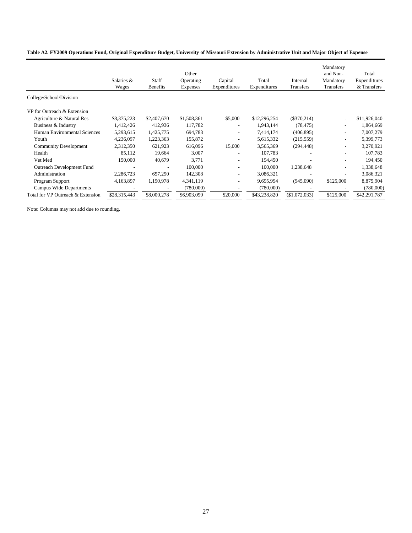|  |  | Table A2. FY2009 Operations Fund, Original Expenditure Budget, University of Missouri Extension by Administrative Unit and Major Object of Expense |  |
|--|--|----------------------------------------------------------------------------------------------------------------------------------------------------|--|
|  |  |                                                                                                                                                    |  |

|                                   | Salaries &<br>Wages | Staff<br>Benefits | Other<br>Operating<br><b>Expenses</b> | Capital<br>Expenditures  | Total<br>Expenditures | Internal<br>Transfers | Mandatory<br>and Non-<br>Mandatory<br><b>Transfers</b> | Total<br>Expenditures<br>& Transfers |
|-----------------------------------|---------------------|-------------------|---------------------------------------|--------------------------|-----------------------|-----------------------|--------------------------------------------------------|--------------------------------------|
| College/School/Division           |                     |                   |                                       |                          |                       |                       |                                                        |                                      |
| VP for Outreach & Extension       |                     |                   |                                       |                          |                       |                       |                                                        |                                      |
| Agriculture & Natural Res         | \$8,375,223         | \$2,407,670       | \$1,508,361                           | \$5,000                  | \$12,296,254          | $(\$370,214)$         | $\overline{\phantom{a}}$                               | \$11,926,040                         |
| Business & Industry               | 1,412,426           | 412,936           | 117,782                               |                          | 1,943,144             | (78, 475)             |                                                        | 1,864,669                            |
| Human Environmental Sciences      | 5,293,615           | 1,425,775         | 694,783                               | $\sim$                   | 7,414,174             | (406, 895)            | $\overline{\phantom{a}}$                               | 7,007,279                            |
| Youth                             | 4,236,097           | 1,223,363         | 155,872                               | $\overline{\phantom{a}}$ | 5,615,332             | (215, 559)            | $\overline{\phantom{a}}$                               | 5,399,773                            |
| <b>Community Development</b>      | 2,312,350           | 621,923           | 616,096                               | 15,000                   | 3,565,369             | (294, 448)            |                                                        | 3,270,921                            |
| Health                            | 85,112              | 19,664            | 3,007                                 |                          | 107,783               |                       |                                                        | 107,783                              |
| Vet Med                           | 150,000             | 40,679            | 3,771                                 | $\overline{\phantom{a}}$ | 194,450               |                       |                                                        | 194,450                              |
| Outreach Development Fund         |                     |                   | 100,000                               | $\overline{\phantom{a}}$ | 100,000               | 1,238,648             | $\overline{\phantom{a}}$                               | 1,338,648                            |
| Administration                    | 2,286,723           | 657,290           | 142,308                               | $\overline{\phantom{a}}$ | 3,086,321             |                       |                                                        | 3,086,321                            |
| Program Support                   | 4,163,897           | 1,190,978         | 4,341,119                             | $\overline{\phantom{a}}$ | 9,695,994             | (945,090)             | \$125,000                                              | 8,875,904                            |
| Campus Wide Departments           |                     |                   | (780,000)                             |                          | (780,000)             |                       |                                                        | (780,000)                            |
| Total for VP Outreach & Extension | \$28,315,443        | \$8,000,278       | \$6,903,099                           | \$20,000                 | \$43,238,820          | (\$1,072,033)         | \$125,000                                              | \$42,291,787                         |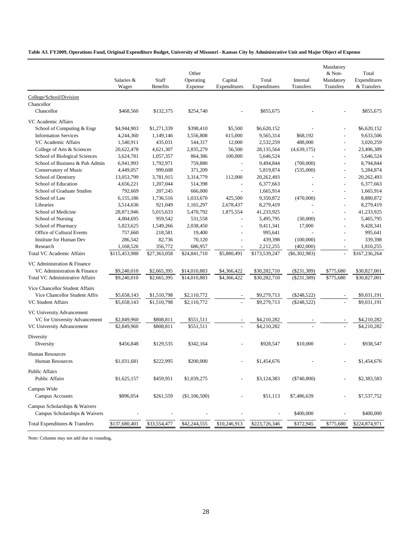**Table A3. FY2009, Operations Fund, Original Expenditure Budget, University of Missouri - Kansas City by Administrative Unit and Major Object of Expense**

|                                        | Salaries &    | Staff           | Other<br>Operating | Capital        | Total         | Internal        | Mandatory<br>& Non-<br>Mandatory | Total<br>Expenditures |
|----------------------------------------|---------------|-----------------|--------------------|----------------|---------------|-----------------|----------------------------------|-----------------------|
|                                        | Wages         | <b>Benefits</b> | Expense            | Expenditures   | Expenditures  | Transfers       | Transfers                        | & Transfers           |
| College/School/Division                |               |                 |                    |                |               |                 |                                  |                       |
| Chancellor                             |               |                 |                    |                |               |                 |                                  |                       |
| Chancellor                             | \$468,560     | \$132,375       | \$254,740          |                | \$855,675     |                 |                                  | \$855,675             |
| VC Academic Affairs                    |               |                 |                    |                |               |                 |                                  |                       |
| School of Computing & Engr             | \$4,944,903   | \$1,271,339     | \$398,410          | \$5,500        | \$6,620,152   |                 |                                  | \$6,620,152           |
| <b>Information Services</b>            | 4,244,360     | 1,149,146       | 3,556,808          | 615,000        | 9,565,314     | \$68,192        |                                  | 9,633,506             |
| VC Academic Affairs                    | 1,540,911     | 435,031         | 544,317            | 12,000         | 2,532,259     | 488,000         | $\overline{a}$                   | 3,020,259             |
| College of Arts & Sciences             | 20,622,478    | 4,621,307       | 2,835,279          | 56,500         | 28,135,564    | (4,639,175)     |                                  | 23,496,389            |
| School of Biological Sciences          | 3,624,781     | 1,057,357       | 864,386            | 100,000        | 5,646,524     |                 |                                  | 5,646,524             |
| School of Business & Pub Admin         | 6,941,993     | 1,792,971       | 759,880            | $\overline{a}$ | 9,494,844     | (700,000)       | $\overline{a}$                   | 8,794,844             |
| Conservatory of Music                  | 4,449,057     | 999,608         | 371,209            | $\overline{a}$ | 5,819,874     | (535,000)       | $\overline{a}$                   | 5,284,874             |
| School of Dentistry                    | 13,053,799    | 3,781,915       | 3,314,779          | 112,000        | 20,262,493    |                 | $\overline{a}$                   | 20,262,493            |
| School of Education                    | 4,656,221     | 1,207,044       | 514,398            |                | 6,377,663     |                 | $\overline{a}$                   | 6,377,663             |
| School of Graduate Studies             | 792,669       | 207,245         | 666,000            | $\overline{a}$ | 1,665,914     |                 | $\overline{a}$                   | 1,665,914             |
| School of Law                          | 6,155,186     | 1,736,516       | 1,033,670          | 425,500        | 9,350,872     | (470,000)       | $\overline{a}$                   | 8,880,872             |
| Libraries                              | 3,514,636     | 921,049         | 1,165,297          | 2,678,437      | 8,279,419     |                 | $\overline{a}$                   | 8,279,419             |
| School of Medicine                     | 28,871,946    | 5,015,633       | 5,470,792          | 1,875,554      | 41,233,925    |                 | $\overline{a}$                   | 41,233,925            |
| School of Nursing                      | 4,004,695     | 959,542         | 531,558            |                | 5,495,795     | (30,000)        | $\overline{a}$                   | 5,465,795             |
| School of Pharmacy                     | 5,823,625     | 1,549,266       | 2,038,450          |                | 9,411,341     | 17,000          |                                  | 9,428,341             |
| Office of Cultural Events              | 757,660       | 218,581         | 19,400             |                | 995,641       |                 |                                  | 995,641               |
| <b>Institute for Human Dev</b>         | 286,542       | 82,736          | 70,120             | $\overline{a}$ | 439,398       | (100,000)       |                                  | 339,398               |
| Research                               | 1,168,526     | 356,772         | 686,957            |                | 2,212,255     | (402,000)       |                                  | 1,810,255             |
| <b>Total VC Academic Affairs</b>       | \$115,453,988 | \$27,363,058    | \$24,841,710       | \$5,880,491    | \$173,539,247 | $(\$6,302,983)$ | $\overline{a}$                   | \$167,236,264         |
| VC Administration & Finance            |               |                 |                    |                |               |                 |                                  |                       |
| VC Administration & Finance            | \$9,240,010   | \$2,665,395     | \$14,010,883       | \$4,366,422    | \$30,282,710  | $(\$231,389)$   | \$775,680                        | \$30,827,001          |
| <b>Total VC Administrative Affairs</b> | \$9,240,010   | \$2,665,395     | \$14,010,883       | \$4,366,422    | \$30,282,710  | $(\$231,389)$   | \$775,680                        | \$30,827,001          |
|                                        |               |                 |                    |                |               |                 |                                  |                       |
| Vice Chancellor Student Affairs        |               |                 |                    |                |               |                 |                                  |                       |
| Vice Chancellor Student Affrs          | \$5,658,143   | \$1,510,798     | \$2,110,772        |                | \$9,279,713   | $(\$248,522)$   |                                  | \$9,031,191           |
| VC Student Affairs                     | \$5,658,143   | \$1,510,798     | \$2,110,772        |                | \$9,279,713   | (\$248,522)     |                                  | \$9,031,191           |
| VC University Advancement              |               |                 |                    |                |               |                 |                                  |                       |
| VC for University Advancement          | \$2,849,960   | \$808,811       | \$551,511          |                | \$4,210,282   |                 |                                  | \$4,210,282           |
| VC University Advancement              | \$2,849,960   | \$808,811       | \$551,511          |                | \$4,210,282   |                 |                                  | \$4,210,282           |
|                                        |               |                 |                    |                |               |                 |                                  |                       |
| Diversity<br>Diversity                 | \$456,848     | \$129,535       | \$342,164          |                | \$928,547     | \$10,000        |                                  | \$938,547             |
|                                        |               |                 |                    |                |               |                 |                                  |                       |
| <b>Human Resources</b>                 |               |                 |                    |                |               |                 |                                  |                       |
| <b>Human Resources</b>                 | \$1,031,681   | \$222,995       | \$200,000          |                | \$1,454,676   |                 |                                  | \$1,454,676           |
| <b>Public Affairs</b>                  |               |                 |                    |                |               |                 |                                  |                       |
| <b>Public Affairs</b>                  | \$1,625,157   | \$459,951       | \$1,039,275        |                | \$3,124,383   | $(\$740,800)$   |                                  | \$2,383,583           |
|                                        |               |                 |                    |                |               |                 |                                  |                       |
| Campus Wide                            |               |                 |                    |                |               |                 |                                  |                       |
| Campus Accounts                        | \$896,054     | \$261,559       | (\$1,106,500)      |                | \$51,113      | \$7,486,639     |                                  | \$7,537,752           |
| Campus Scholarships & Waivers          |               |                 |                    |                |               |                 |                                  |                       |
| Campus Scholarships & Waivers          |               |                 |                    |                |               | \$400,000       |                                  | \$400,000             |
|                                        |               |                 |                    |                |               |                 |                                  |                       |
| Total Expenditures & Transfers         | \$137,680,401 | \$33,554,477    | \$42,244,555       | \$10,246,913   | \$223,726,346 | \$372,945       | \$775,680                        | \$224,874,971         |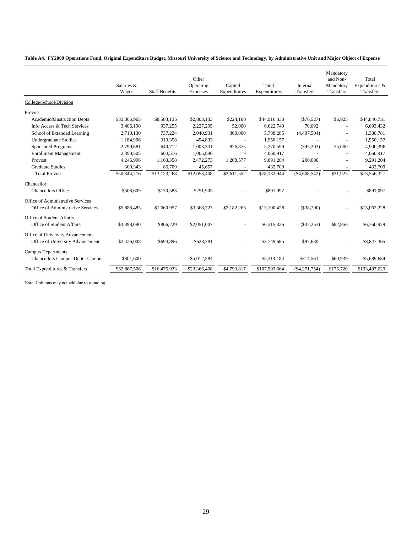|  |  |  | Table A4. FY2009 Operations Fund, Original Expenditure Budget, Missouri University of Science and Technology, by Administrative Unit and Major Object of Expense |  |  |
|--|--|--|------------------------------------------------------------------------------------------------------------------------------------------------------------------|--|--|
|--|--|--|------------------------------------------------------------------------------------------------------------------------------------------------------------------|--|--|

|                                                                      | Salaries &<br>Wages | <b>Staff Benefits</b> | Other<br>Operating<br>Expenses | Capital<br>Expenditures | Total<br>Expenditures | Internal<br>Transfers | Mandatory<br>and Non-<br>Mandatory<br>Transfers | Total<br>Expenditures &<br><b>Transfers</b> |
|----------------------------------------------------------------------|---------------------|-----------------------|--------------------------------|-------------------------|-----------------------|-----------------------|-------------------------------------------------|---------------------------------------------|
| College/School/Division                                              |                     |                       |                                |                         |                       |                       |                                                 |                                             |
| Provost                                                              |                     |                       |                                |                         |                       |                       |                                                 |                                             |
| Academic&Instruction Depts                                           | \$33,305,965        | \$8,583,135           | \$2,803,133                    | \$224,100               | \$44,916,333          | $(\$76,527)$          | \$6,925                                         | \$44,846,731                                |
| Info Access & Tech Services                                          | 3.406.190           | 937,255               | 2,227,295                      | 52,000                  | 6,622,740             | 70,692                | $\overline{\phantom{a}}$                        | 6,693,432                                   |
| School of Extended Learning                                          | 2,710,130           | 737,224               | 2,040,931                      | 300,000                 | 5,788,285             | (4,407,504)           | $\blacksquare$                                  | 1,380,781                                   |
| <b>Undergraduate Studies</b>                                         | 1,184,906           | 310,358               | 454,893                        |                         | 1,950,157             |                       | $\overline{a}$                                  | 1,950,157                                   |
| <b>Sponsored Programs</b>                                            | 2,799,681           | 640,712               | 1,003,331                      | 826,875                 | 5,270,599             | (395,203)             | 25,000                                          | 4,900,396                                   |
| <b>Enrollment Management</b>                                         | 2,390,505           | 664,516               | 1,005,896                      |                         | 4,060,917             |                       |                                                 | 4,060,917                                   |
| Provost                                                              | 4,246,996           | 1,163,358             | 2,472,273                      | 1,208,577               | 9,091,204             | 200,000               |                                                 | 9,291,204                                   |
| <b>Graduate Studies</b>                                              | 300,343             | 86,709                | 45,657                         |                         | 432,709               |                       | $\overline{\phantom{a}}$                        | 432,709                                     |
| <b>Total Provost</b>                                                 | \$50,344,716        | \$13,123,268          | \$12,053,408                   | \$2,611,552             | \$78,132,944          | (\$4,608,542)         | \$31,925                                        | \$73,556,327                                |
| Chancellor                                                           |                     |                       |                                |                         |                       |                       |                                                 |                                             |
| <b>Chancellors Office</b>                                            | \$508,609           | \$130,583             | \$251,905                      |                         | \$891,097             |                       |                                                 | \$891,097                                   |
| Office of Administrative Services                                    |                     |                       |                                |                         |                       |                       |                                                 |                                             |
| Office of Administrative Services                                    | \$5,888,483         | \$1,660,957           | \$3,368,723                    | \$2,182,265             | \$13,100,428          | (\$38,200)            |                                                 | \$13,062,228                                |
| Office of Student Affairs<br><b>Office of Student Affairs</b>        | \$3,398,090         | \$866,229             | \$2,051,007                    |                         | \$6,315,326           | $(\$37,253)$          | \$82,856                                        | \$6,360,929                                 |
|                                                                      |                     |                       |                                |                         |                       |                       |                                                 |                                             |
| Office of University Advancement<br>Office of University Advancement | \$2,426,008         | \$694.896             | \$628,781                      |                         | \$3,749,685           | \$97,680              |                                                 | \$3,847,365                                 |
| <b>Campus Departments</b><br><b>Chancellors Campus Dept - Campus</b> | \$301,600           |                       | \$5,012,584                    |                         | \$5,314,184           | \$314,561             | \$60,939                                        | \$5,689,684                                 |
| Total Expenditures & Transfers                                       | \$62,867,506        | \$16,475,933          | \$23,366,408                   | \$4,793,817             | \$107,503,664         | ( \$4, 271, 754)      | \$175,720                                       | \$103,407,629                               |
|                                                                      |                     |                       |                                |                         |                       |                       |                                                 |                                             |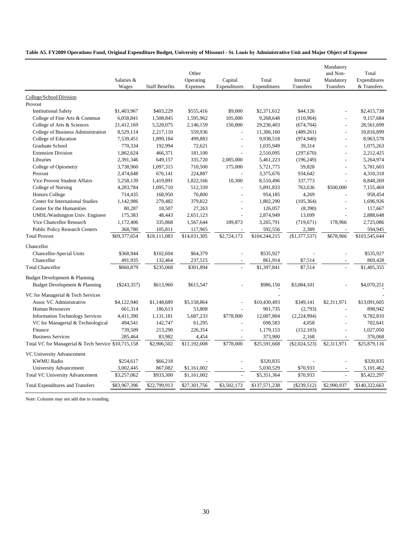### **Table A5. FY2009 Operations Fund, Original Expenditure Budget, University of Missouri - St. Louis by Administrative Unit and Major Object of Expense**

|                                                                             | Salaries &<br>Wages | <b>Staff Benefits</b> | Other<br>Operating<br>Expenses | Capital<br>Expenditures | Total<br>Expenditures | Internal<br>Transfers | Mandatory<br>and Non-<br>Mandatory<br>Transfers | Total<br>Expenditures<br>& Transfers |
|-----------------------------------------------------------------------------|---------------------|-----------------------|--------------------------------|-------------------------|-----------------------|-----------------------|-------------------------------------------------|--------------------------------------|
| College/School/Division                                                     |                     |                       |                                |                         |                       |                       |                                                 |                                      |
| Provost                                                                     |                     |                       |                                |                         |                       |                       |                                                 |                                      |
| <b>Institutional Safety</b>                                                 | \$1,403,967         | \$403,229             | \$555,416                      | \$9,000                 | \$2,371,612           | \$44,126              |                                                 | \$2,415,738                          |
| College of Fine Arts & Commun                                               | 6,058,841           | 1,508,845             | 1,595,962                      | 105,000                 | 9,268,648             | (110, 964)            |                                                 | 9,157,684                            |
| College of Arts & Sciences                                                  | 21,412,169          | 5,528,075             | 2,146,159                      | 150,000                 | 29,236,403            | (674, 704)            | $\overline{a}$                                  | 28,561,699                           |
| College of Business Administration                                          | 8,529,114           | 2,217,110             | 559,936                        |                         | 11,306,160            | (489, 261)            |                                                 | 10,816,899                           |
| College of Education                                                        | 7,539,451           | 1,899,184             | 499,883                        | $\overline{a}$          | 9,938,518             | (974, 940)            | $\overline{a}$                                  | 8,963,578                            |
| Graduate School                                                             | 770,334             | 192,994               | 72,621                         | $\overline{a}$          | 1,035,949             | 39,314                | L,                                              | 1,075,263                            |
| <b>Extension Division</b>                                                   | 1,862,624           | 466,371               | 181,100                        |                         | 2,510,095             | (297, 670)            |                                                 | 2,212,425                            |
| Libraries                                                                   | 2,391,346           | 649,157               | 335,720                        | 2,085,000               | 5,461,223             | (196, 249)            | $\overline{a}$                                  | 5,264,974                            |
| College of Optometry                                                        | 3,738,960           | 1,097,315             | 710,500                        | 175,000                 | 5,721,775             | 59,828                |                                                 | 5,781,603                            |
| Provost                                                                     | 2,474,648           | 676,141               | 224,887                        |                         | 3,375,676             | 934,642               | L,                                              | 4,310,318                            |
| Vice Provost Student Affairs                                                | 5,258,139           | 1,419,891             | 1,822,166                      | 10,300                  | 8,510,496             | 337,773               |                                                 | 8,848,269                            |
| College of Nursing                                                          | 4,283,784           | 1,095,710             | 512,339                        |                         | 5,891,833             | 763,636               | \$500,000                                       | 7,155,469                            |
| <b>Honors College</b>                                                       | 714,435             | 168,950               | 70,800                         | $\overline{a}$          | 954,185               | 4,269                 |                                                 | 958,454                              |
| Center for International Studies                                            | 1,142,986           | 279,482               | 379,822                        | $\overline{a}$          | 1,802,290             | (105, 364)            | $\overline{a}$                                  | 1,696,926                            |
| Center for the Humanities                                                   | 80,287              | 18,507                | 27,263                         | $\overline{a}$          | 126,057               | (8,390)               |                                                 | 117,667                              |
| UMSL/Washington Univ. Engineer                                              | 175,383             | 48,443                | 2,651,123                      |                         | 2,874,949             | 13,699                |                                                 | 2,888,648                            |
| Vice Chancellor Research                                                    | 1,172,406           | 335,868               | 1,567,644                      | 189,873                 | 3,265,791             | (719, 671)            | 178,966                                         | 2,725,086                            |
| <b>Public Policy Research Centers</b>                                       | 368,780             | 105,811               | 117,965                        |                         | 592,556               | 2,389                 |                                                 | 594,945                              |
| <b>Total Provost</b>                                                        | \$69,377,654        | \$18,111,083          | \$14,031,305                   | \$2,724,173             | \$104,244,215         | (\$1,377,537)         | \$678,966                                       | \$103,545,644                        |
| Chancellor                                                                  |                     |                       |                                |                         |                       |                       |                                                 |                                      |
| Chancellor-Special Units                                                    | \$368,944           | \$102,604             | \$64,379                       |                         | \$535,927             |                       |                                                 | \$535,927                            |
| Chancellor                                                                  | 491,935             | 132,464               | 237,515                        |                         | 861,914               | \$7,514               |                                                 | 869,428                              |
| <b>Total Chancellor</b>                                                     | \$860,879           | \$235,068             | \$301,894                      |                         | \$1,397,841           | \$7.514               |                                                 | \$1,405,355                          |
| Budget Development & Planning                                               |                     |                       |                                |                         |                       |                       |                                                 |                                      |
| Budget Development & Planning                                               | $(\$243,357)$       | \$613,960             | \$615,547                      |                         | \$986,150             | \$3,084,101           |                                                 | \$4,070,251                          |
| VC for Managerial & Tech Services                                           |                     |                       |                                |                         |                       |                       |                                                 |                                      |
| Assoc VC Administrative                                                     | \$4,122,940         | \$1,148,689           | \$5,158,864                    | L,                      | \$10,430,493          | \$349,141             | \$2,311,971                                     | \$13,091,605                         |
| <b>Human Resources</b>                                                      | 661,314             | 186,613               | 53,808                         |                         | 901,735               | (2,793)               |                                                 | 898,942                              |
|                                                                             | 4,411,390           | 1,131,181             | 5,687,233                      | \$778,000               | 12,007,804            | (2,224,994)           | $\overline{a}$                                  | 9,782,810                            |
| <b>Information Technology Services</b><br>VC for Managerial & Technological | 494,541             | 142,747               | 61,295                         |                         | 698,583               | 4,058                 |                                                 | 702,641                              |
| Finance                                                                     | 739,509             | 213,290               | 226,354                        |                         | 1,179,153             | (152, 103)            |                                                 | 1,027,050                            |
| <b>Business Services</b>                                                    | 285,464             | 83,982                | 4,454                          |                         | 373,900               | 2,168                 |                                                 | 376,068                              |
| Total VC for Managerial & Tech Service \$10,715,158                         |                     | \$2,906,502           | \$11,192,008                   | \$778,000               | \$25,591,668          | $(\$2,024,523)$       | \$2,311,971                                     | \$25,879,116                         |
|                                                                             |                     |                       |                                |                         |                       |                       |                                                 |                                      |
| VC University Advancement                                                   |                     |                       |                                |                         |                       |                       |                                                 |                                      |
| <b>KWMU Radio</b>                                                           | \$254,617           | \$66,218              |                                |                         | \$320,835             |                       |                                                 | \$320.835                            |
| University Advancement                                                      | 3,002,445           | 867,082               | \$1,161,002                    |                         | 5,030,529             | \$70,933              |                                                 | 5,101,462                            |
| <b>Total VC University Advancement</b>                                      | \$3,257,062         | \$933,300             | \$1.161.002                    |                         | \$5,351,364           | \$70.933              |                                                 | \$5.422.297                          |
| <b>Total Expenditures and Transfers</b>                                     | \$83,967,396        | \$22,799,913          | \$27,301,756                   | \$3,502,173             | \$137,571,238         | $(\$239,512)$         | \$2,990,937                                     | \$140,322,663                        |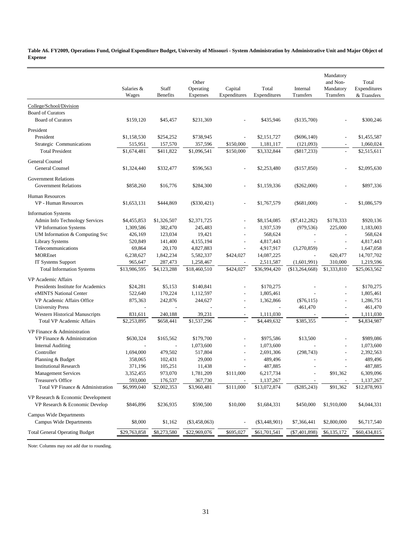**Table A6. FY2009, Operations Fund, Original Expenditure Budget, University of Missouri - System Administration by Administrative Unit and Major Object of Expense**

|                                       | Salaries &<br>Wages | Staff<br><b>Benefits</b> | Other<br>Operating<br>Expenses | Capital<br>Expenditures | Total<br>Expenditures | Internal<br>Transfers    | Mandatory<br>and Non-<br>Mandatory<br>Transfers | Total<br>Expenditures<br>& Transfers |
|---------------------------------------|---------------------|--------------------------|--------------------------------|-------------------------|-----------------------|--------------------------|-------------------------------------------------|--------------------------------------|
| College/School/Division               |                     |                          |                                |                         |                       |                          |                                                 |                                      |
| <b>Board of Curators</b>              |                     |                          |                                |                         |                       |                          |                                                 |                                      |
| <b>Board of Curators</b>              | \$159,120           | \$45,457                 | \$231,369                      |                         | \$435,946             | (\$135,700)              |                                                 | \$300,246                            |
| President                             |                     |                          |                                |                         |                       |                          |                                                 |                                      |
| President                             | \$1,158,530         | \$254,252                | \$738,945                      |                         | \$2,151,727           | $(\$696,140)$            |                                                 | \$1,455,587                          |
| Strategic Communications              | 515,951             | 157,570                  | 357,596                        | \$150,000               | 1,181,117             | (121,093)                |                                                 | 1,060,024                            |
| <b>Total President</b>                | \$1,674,481         | \$411,822                | \$1,096,541                    | \$150,000               | \$3,332,844           | $(\$817,233)$            | $\mathbb{L}$                                    | \$2,515,611                          |
| General Counsel                       |                     |                          |                                |                         |                       |                          |                                                 |                                      |
| General Counsel                       | \$1,324,440         | \$332,477                | \$596,563                      |                         | \$2,253,480           | (\$157,850)              |                                                 | \$2,095,630                          |
|                                       |                     |                          |                                |                         |                       |                          |                                                 |                                      |
| <b>Government Relations</b>           |                     |                          |                                |                         |                       |                          |                                                 |                                      |
| <b>Government Relations</b>           | \$858,260           | \$16,776                 | \$284,300                      |                         | \$1,159,336           | $(\$262,000)$            |                                                 | \$897,336                            |
| <b>Human Resources</b>                |                     |                          |                                |                         |                       |                          |                                                 |                                      |
| <b>VP</b> - Human Resources           | \$1,653,131         | \$444,869                | $(\$330,421)$                  |                         | \$1,767,579           | $(\$681,000)$            |                                                 | \$1,086,579                          |
| <b>Information Systems</b>            |                     |                          |                                |                         |                       |                          |                                                 |                                      |
| Admin Info Technology Services        | \$4,455,853         | \$1,326,507              | \$2,371,725                    |                         | \$8,154,085           | $(\$7,412,282)$          | \$178,333                                       | \$920,136                            |
| VP Information Systems                | 1,309,586           | 382,470                  | 245,483                        | $\overline{a}$          | 1,937,539             | (979, 536)               | 225,000                                         | 1,183,003                            |
| UM Information & Computing Svc        | 426,169             | 123,034                  | 19,421                         |                         | 568,624               | $\overline{\phantom{a}}$ | ÷                                               | 568,624                              |
| <b>Library Systems</b>                | 520,849             | 141,400                  | 4,155,194                      |                         | 4,817,443             | $\overline{a}$           | $\overline{a}$                                  | 4,817,443                            |
| Telecommunications                    | 69,864              | 20,170                   | 4,827,883                      |                         | 4,917,917             | (3,270,859)              | $\overline{\phantom{a}}$                        | 1,647,058                            |
| <b>MOREnet</b>                        | 6,238,627           | 1,842,234                | 5,582,337                      | \$424,027               | 14,087,225            | $\overline{\phantom{a}}$ | 620,477                                         | 14,707,702                           |
| IT Systems Support                    | 965,647             | 287,473                  | 1,258,467                      |                         | 2,511,587             | (1,601,991)              | 310,000                                         | 1,219,596                            |
| <b>Total Information Systems</b>      | \$13,986,595        | \$4,123,288              | \$18,460,510                   | \$424,027               | \$36,994,420          | $(\$13,264,668)$         | \$1,333,810                                     | \$25,063,562                         |
| VP Academic Affairs                   |                     |                          |                                |                         |                       |                          |                                                 |                                      |
| Presidents Institute for Academics    | \$24,281            | \$5,153                  | \$140,841                      |                         | \$170,275             |                          |                                                 | \$170,275                            |
| eMINTS National Center                | 522,640             | 170,224                  | 1,112,597                      | $\overline{a}$          | 1,805,461             |                          | L,                                              | 1,805,461                            |
| VP Academic Affairs Office            | 875,363             | 242,876                  | 244,627                        | $\overline{a}$          | 1,362,866             | $(\$76,115)$             | $\overline{a}$                                  | 1,286,751                            |
| <b>University Press</b>               |                     |                          |                                |                         |                       | 461,470                  | $\overline{a}$                                  | 461,470                              |
| Western Historical Manuscripts        | 831,611             | 240,188                  | 39,231                         | $\sim$                  | 1,111,030             |                          |                                                 | 1,111,030                            |
| <b>Total VP Academic Affairs</b>      | \$2,253,895         | \$658,441                | \$1,537,296                    | $\overline{a}$          | \$4,449,632           | \$385,355                | $\overline{a}$                                  | \$4,834,987                          |
| VP Finance & Administration           |                     |                          |                                |                         |                       |                          |                                                 |                                      |
| VP Finance & Administration           | \$630,324           | \$165,562                | \$179,700                      |                         | \$975,586             | \$13,500                 |                                                 | \$989,086                            |
| <b>Internal Auditing</b>              |                     | $\overline{a}$           | 1,073,600                      |                         | 1,073,600             |                          | $\overline{a}$                                  | 1,073,600                            |
| Controller                            | 1,694,000           | 479,502                  | 517,804                        |                         | 2,691,306             | (298, 743)               | ÷                                               | 2,392,563                            |
| Planning & Budget                     | 358,065             | 102,431                  | 29,000                         |                         | 489,496               |                          | $\overline{a}$                                  | 489,496                              |
| <b>Institutional Research</b>         | 371,196             | 105,251                  | 11,438                         |                         | 487,885               | $\overline{a}$           |                                                 | 487,885                              |
| <b>Management Services</b>            | 3,352,455           | 973,070                  | 1,781,209                      | \$111,000               | 6,217,734             |                          | \$91,362                                        | 6,309,096                            |
| Treasurer's Office                    | 593,000             | 176,537                  | 367,730                        |                         | 1,137,267             |                          |                                                 | 1,137,267                            |
| Total VP Finance & Administration     | \$6,999,040         | \$2,002,353              | \$3,960,481                    | \$111,000               | \$13,072,874          | $(\$285,243)$            | \$91,362                                        | \$12,878,993                         |
| VP Research & Economic Development    |                     |                          |                                |                         |                       |                          |                                                 |                                      |
| VP Research & Economic Develop        | \$846,896           | \$236,935                | \$590,500                      | \$10,000                | \$1,684,331           | \$450,000                | \$1,910,000                                     | \$4,044,331                          |
| <b>Campus Wide Departments</b>        |                     |                          |                                |                         |                       |                          |                                                 |                                      |
| <b>Campus Wide Departments</b>        | \$8,000             | \$1,162                  | $(\$3,458,063)$                |                         | $(\$3,448,901)$       | \$7,366,441              | \$2,800,000                                     | \$6,717,540                          |
| <b>Total General Operating Budget</b> | \$29,763,858        | \$8,273,580              | \$22,969,076                   | \$695,027               | \$61,701,541          | $(\$7,401,898)$          | \$6,135,172                                     | \$60,434,815                         |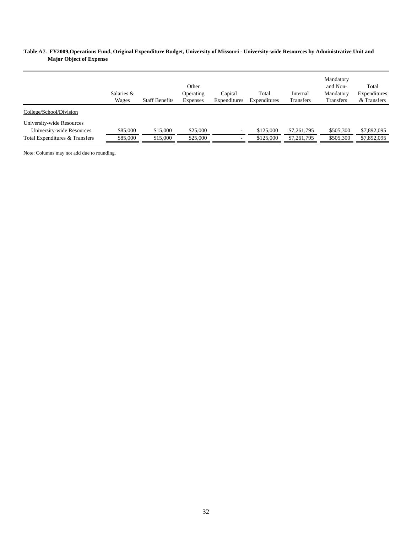### **Table A7. FY2009,Operations Fund, Original Expenditure Budget, University of Missouri - University-wide Resources by Administrative Unit and Major Object of Expense**

|                                | Salaries &<br>Wages | <b>Staff Benefits</b> | Other<br>Operating<br><b>Expenses</b> | Capital<br>Expenditures | Total<br>Expenditures | Internal<br><b>Transfers</b> | Mandatory<br>and Non-<br>Mandatory<br>Transfers | Total<br>Expenditures<br>& Transfers |
|--------------------------------|---------------------|-----------------------|---------------------------------------|-------------------------|-----------------------|------------------------------|-------------------------------------------------|--------------------------------------|
| College/School/Division        |                     |                       |                                       |                         |                       |                              |                                                 |                                      |
| University-wide Resources      |                     |                       |                                       |                         |                       |                              |                                                 |                                      |
| University-wide Resources      | \$85,000            | \$15,000              | \$25,000                              | ۰.                      | \$125,000             | \$7,261,795                  | \$505,300                                       | \$7,892,095                          |
| Total Expenditures & Transfers | \$85,000            | \$15,000              | \$25,000                              | ۰                       | \$125,000             | \$7,261,795                  | \$505,300                                       | \$7,892,095                          |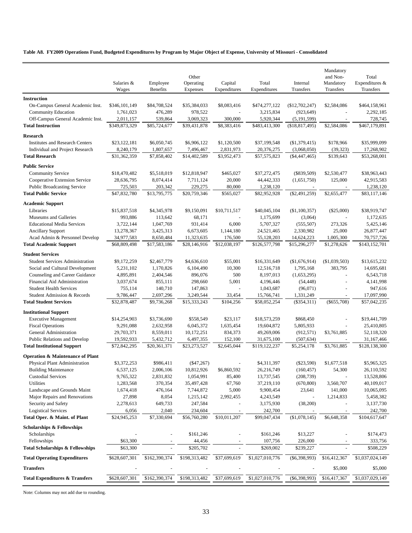### **Table A8. FY2009 Operations Fund, Budgeted Expenditures by Program by Major Object of Expense, University of Missouri - Consolidated**

| Mandatory<br>Other<br>and Non-<br>Total<br>Expenditures &<br>Salaries &<br>Employee<br>Operating<br>Capital<br>Total<br>Internal<br>Mandatory<br>Wages<br><b>Benefits</b><br>Expenses<br>Expenditures<br>Expenditures<br>Transfers<br>Transfers<br>Transfers<br><b>Instruction</b><br>On-Campus General Academic Inst.<br>\$346,101,149<br>\$84,708,524<br>\$35,384,033<br>\$8,083,416<br>\$474,277,122<br>(\$12,702,247)<br>\$2,584,086<br>\$464,158,961<br><b>Community Education</b><br>476,289<br>978,522<br>3,215,834<br>(923, 649)<br>2,292,185<br>1,761,023<br>Off-Campus General Academic Inst.<br>300,000<br>728,745<br>2,011,157<br>539,864<br>3,069,323<br>5,920,344<br>(5, 191, 599)<br><b>Total Instruction</b><br>\$349,873,329<br>\$2,584,086<br>\$467,179,891<br>\$85,724,677<br>\$39,431,878<br>\$8,383,416<br>\$483,413,300<br>(\$18,817,495)<br>Research<br><b>Institutes and Research Centers</b><br>\$23,122,181<br>\$6,050,745<br>\$6,906,122<br>\$1,120,500<br>\$37,199,548<br>(\$1,379,415)<br>\$178,966<br>\$35,999,099<br>Individual and Project Research<br>8,240,179<br>1,807,657<br>2,831,973<br>20,376,275<br>(3,068,050)<br>(39, 323)<br>17,268,902<br>7,496,467<br><b>Total Research</b><br>\$31,362,359<br>\$7,858,402<br>\$14,402,589<br>\$3,952,473<br>\$57,575,823<br>\$139,643<br>$(\$4,447,465)$<br>\$53,268,001<br><b>Public Service</b><br>\$5,518,019<br><b>Community Service</b><br>\$18,470,482<br>\$12,818,947<br>\$465,027<br>\$37,272,475<br>$(\$839,509)$<br>\$2,530,477<br>\$38,963,443<br>Cooperative Extension Service<br>8,074,414<br>7,711,124<br>20,000<br>44,442,333<br>125,000<br>42,915,583<br>28,636,795<br>(1,651,750)<br>Public Broadcasting Service<br>1,238,120<br>725,503<br>203,342<br>229,275<br>80,000<br>1,238,120<br><b>Total Public Service</b><br>\$47,832,780<br>\$13,795,775<br>\$20,759,346<br>\$565,027<br>\$82,952,928<br>$(\$2,491,259)$<br>\$2,655,477<br>\$83,117,146<br><b>Academic Support</b><br>\$38,919,747<br>Libraries<br>\$15,837,518<br>\$4,345,978<br>\$9,150,091<br>\$10,711,517<br>\$40,045,104<br>(\$1,100,357)<br>(\$25,000)<br>Museums and Galleries<br>993,886<br>(3,064)<br>1,172,635<br>113,642<br>68,171<br>1,175,699<br><b>Educational Media Services</b><br>3,722,144<br>1,047,769<br>6,000<br>5,707,327<br>5,425,146<br>931,414<br>(555, 507)<br>273,326<br>24,521,465<br>25,000<br>26,877,447<br><b>Ancillary Support</b><br>13,278,367<br>3,425,313<br>6,673,605<br>1,144,180<br>2,330,982<br>70,757,726<br>Acad Admin & Personnel Develop<br>34,977,583<br>8,650,484<br>11,323,635<br>176,500<br>55,128,203<br>14,624,223<br>1,005,300<br>$\overline{$12,038,197}$<br><b>Total Academic Support</b><br>\$68,809,498<br>\$17,583,186<br>\$28,146,916<br>\$126,577,798<br>\$15,296,277<br>\$1,278,626<br>\$143,152,701<br><b>Student Services</b><br>\$2,467,779<br>\$55,001<br>\$16,331,649<br>(\$1,039,503)<br>\$13,615,232<br><b>Student Services Administration</b><br>\$9,172,259<br>\$4,636,610<br>(\$1,676,914)<br>1,170,826<br>10,300<br>1,795,168<br>Social and Cultural Development<br>5,231,102<br>6,104,490<br>12,516,718<br>383,795<br>14,695,681<br>Counseling and Career Guidance<br>896,076<br>500<br>8,197,013<br>6,543,718<br>4,895,891<br>2,404,546<br>(1,653,295)<br>Financial Aid Administration<br>855,111<br>298,660<br>5,001<br>4,141,998<br>3,037,674<br>4,196,446<br>(54, 448)<br>÷,<br>947,616<br><b>Student Health Services</b><br>755,114<br>140,710<br>147,863<br>1,043,687<br>(96,071)<br>3,249,544<br>1,331,249<br>Student Admission & Records<br>9,786,447<br>2,697,296<br>33,454<br>15,766,741<br>17,097,990<br>\$32,878,487<br>\$9,736,268<br>\$15,333,243<br>\$104,256<br>\$58,052,254<br>$(\$354,311)$<br>$(\$655,708)$<br>\$57,042,235<br><b>Total Student Services</b><br><b>Institutional Support</b><br><b>Executive Management</b><br>\$14,254,903<br>\$3,736,690<br>\$558,549<br>\$23,117<br>\$18,573,259<br>\$868,450<br>\$19,441,709<br><b>Fiscal Operations</b><br>2,632,958<br>9,291,088<br>6,045,372<br>1,635,454<br>19,604,872<br>5,805,933<br>25,410,805<br>$\overline{\phantom{a}}$<br>General Administration<br>29,703,371<br>8,559,011<br>10,172,251<br>834,373<br>49,269,006<br>(912, 571)<br>\$3,761,885<br>52,118,320<br>5,432,712<br>6,497,355<br>Public Relations and Develop<br>19,592,933<br>152,100<br>31,675,100<br>(507, 634)<br>31,167,466<br>\$72,842,295<br>\$20,361,371<br>\$23,273,527<br>\$2,645,044<br>\$119,122,237<br>\$5,254,178<br>\$3,761,885<br>\$128,138,300<br><b>Total Institutional Support</b><br><b>Operation &amp; Maintenance of Plant</b><br>Physical Plant Administration<br>\$3,372,253<br>\$986,411<br>$(\$47,267)$<br>\$4,311,397<br>$(\$23,590)$<br>\$1,677,518<br>\$5,965,325<br><b>Building Maintenance</b><br>6,537,125<br>2,006,106<br>10,812,926<br>\$6,860,592<br>26,216,749<br>(160, 457)<br>54,300<br>26,110,592<br><b>Custodial Services</b><br>9,765,322<br>2,831,832<br>1,054,991<br>13,737,545<br>(208, 739)<br>13,528,806<br>85,400<br>Utilities<br>370,354<br>37,219,110<br>40,109,017<br>1,283,568<br>35,497,428<br>67,760<br>(670, 800)<br>3,560,707<br>5,000<br>10,065,095<br>Landscape and Grounds Maint<br>1,674,418<br>476,164<br>7,744,872<br>9,900,454<br>23,641<br>141,000<br>Major Repairs and Renovations<br>27,898<br>8,054<br>1,215,142<br>2,992,455<br>4,243,549<br>1,214,833<br>5,458,382<br>649,733<br>3,137,730<br>Security and Safety<br>2,278,613<br>247,584<br>3,175,930<br>(38,200)<br><b>Logistical Services</b><br>6,056<br>2,040<br>234,604<br>242,700<br>242,700<br>Total Oper. & Maint. of Plant<br>\$24,945,253<br>\$7,330,694<br>\$56,760,280<br>\$10,011,207<br>\$99,047,434<br>(\$1,078,145)<br>\$6,648,358<br>\$104,617,647<br><b>Scholarships &amp; Fellowships</b><br>Scholarships<br>\$161,246<br>\$161,246<br>\$13,227<br>\$174,473<br>Fellowships<br>\$63,300<br>44,456<br>107,756<br>226,000<br>333,756<br><b>Total Scholarships &amp; Fellowships</b><br>\$205,702<br>\$269,002<br>\$508,229<br>\$63,300<br>\$239,227<br>\$628,607,301<br>\$162,390,374<br>\$198,313,482<br>\$37,699,619<br>\$1,027,010,776<br>( \$6,398,993)<br>\$1,037,024,149<br><b>Total Operating Expenditures</b><br>\$16,412,367<br><b>Transfers</b><br>\$5,000<br>\$5,000<br><b>Total Expenditures &amp; Transfers</b><br>\$162,390,374<br>\$198,313,482<br>\$37,699,619<br>\$1,027,010,776<br>\$1,037,029,149<br>\$628,607,301<br>$(\$6,398,993)$<br>\$16,417,367 |  |  |  |  |  |
|----------------------------------------------------------------------------------------------------------------------------------------------------------------------------------------------------------------------------------------------------------------------------------------------------------------------------------------------------------------------------------------------------------------------------------------------------------------------------------------------------------------------------------------------------------------------------------------------------------------------------------------------------------------------------------------------------------------------------------------------------------------------------------------------------------------------------------------------------------------------------------------------------------------------------------------------------------------------------------------------------------------------------------------------------------------------------------------------------------------------------------------------------------------------------------------------------------------------------------------------------------------------------------------------------------------------------------------------------------------------------------------------------------------------------------------------------------------------------------------------------------------------------------------------------------------------------------------------------------------------------------------------------------------------------------------------------------------------------------------------------------------------------------------------------------------------------------------------------------------------------------------------------------------------------------------------------------------------------------------------------------------------------------------------------------------------------------------------------------------------------------------------------------------------------------------------------------------------------------------------------------------------------------------------------------------------------------------------------------------------------------------------------------------------------------------------------------------------------------------------------------------------------------------------------------------------------------------------------------------------------------------------------------------------------------------------------------------------------------------------------------------------------------------------------------------------------------------------------------------------------------------------------------------------------------------------------------------------------------------------------------------------------------------------------------------------------------------------------------------------------------------------------------------------------------------------------------------------------------------------------------------------------------------------------------------------------------------------------------------------------------------------------------------------------------------------------------------------------------------------------------------------------------------------------------------------------------------------------------------------------------------------------------------------------------------------------------------------------------------------------------------------------------------------------------------------------------------------------------------------------------------------------------------------------------------------------------------------------------------------------------------------------------------------------------------------------------------------------------------------------------------------------------------------------------------------------------------------------------------------------------------------------------------------------------------------------------------------------------------------------------------------------------------------------------------------------------------------------------------------------------------------------------------------------------------------------------------------------------------------------------------------------------------------------------------------------------------------------------------------------------------------------------------------------------------------------------------------------------------------------------------------------------------------------------------------------------------------------------------------------------------------------------------------------------------------------------------------------------------------------------------------------------------------------------------------------------------------------------------------------------------------------------------------------------------------------------------------------------------------------------------------------------------------------------------------------------------------------------------------------------------------------------------------------------------------------------------------------------------------------------------------------------------------------------------------------------------------------------------------------------------------------------------------------------------------------------------------------------------------------------------------------------------------------------------------------------------------------------------------------------------------------------------------------------------------------------------------------------------------------------------------------------------------------------------------------------------------------------------------------------------------------------------------------------------------------------------------------------------------------------------------------------------------------------------------------------------------------------------------|--|--|--|--|--|
|                                                                                                                                                                                                                                                                                                                                                                                                                                                                                                                                                                                                                                                                                                                                                                                                                                                                                                                                                                                                                                                                                                                                                                                                                                                                                                                                                                                                                                                                                                                                                                                                                                                                                                                                                                                                                                                                                                                                                                                                                                                                                                                                                                                                                                                                                                                                                                                                                                                                                                                                                                                                                                                                                                                                                                                                                                                                                                                                                                                                                                                                                                                                                                                                                                                                                                                                                                                                                                                                                                                                                                                                                                                                                                                                                                                                                                                                                                                                                                                                                                                                                                                                                                                                                                                                                                                                                                                                                                                                                                                                                                                                                                                                                                                                                                                                                                                                                                                                                                                                                                                                                                                                                                                                                                                                                                                                                                                                                                                                                                                                                                                                                                                                                                                                                                                                                                                                                                                                                                                                                                                                                                                                                                                                                                                                                                                                                                                                                                                                                              |  |  |  |  |  |
|                                                                                                                                                                                                                                                                                                                                                                                                                                                                                                                                                                                                                                                                                                                                                                                                                                                                                                                                                                                                                                                                                                                                                                                                                                                                                                                                                                                                                                                                                                                                                                                                                                                                                                                                                                                                                                                                                                                                                                                                                                                                                                                                                                                                                                                                                                                                                                                                                                                                                                                                                                                                                                                                                                                                                                                                                                                                                                                                                                                                                                                                                                                                                                                                                                                                                                                                                                                                                                                                                                                                                                                                                                                                                                                                                                                                                                                                                                                                                                                                                                                                                                                                                                                                                                                                                                                                                                                                                                                                                                                                                                                                                                                                                                                                                                                                                                                                                                                                                                                                                                                                                                                                                                                                                                                                                                                                                                                                                                                                                                                                                                                                                                                                                                                                                                                                                                                                                                                                                                                                                                                                                                                                                                                                                                                                                                                                                                                                                                                                                              |  |  |  |  |  |
|                                                                                                                                                                                                                                                                                                                                                                                                                                                                                                                                                                                                                                                                                                                                                                                                                                                                                                                                                                                                                                                                                                                                                                                                                                                                                                                                                                                                                                                                                                                                                                                                                                                                                                                                                                                                                                                                                                                                                                                                                                                                                                                                                                                                                                                                                                                                                                                                                                                                                                                                                                                                                                                                                                                                                                                                                                                                                                                                                                                                                                                                                                                                                                                                                                                                                                                                                                                                                                                                                                                                                                                                                                                                                                                                                                                                                                                                                                                                                                                                                                                                                                                                                                                                                                                                                                                                                                                                                                                                                                                                                                                                                                                                                                                                                                                                                                                                                                                                                                                                                                                                                                                                                                                                                                                                                                                                                                                                                                                                                                                                                                                                                                                                                                                                                                                                                                                                                                                                                                                                                                                                                                                                                                                                                                                                                                                                                                                                                                                                                              |  |  |  |  |  |
|                                                                                                                                                                                                                                                                                                                                                                                                                                                                                                                                                                                                                                                                                                                                                                                                                                                                                                                                                                                                                                                                                                                                                                                                                                                                                                                                                                                                                                                                                                                                                                                                                                                                                                                                                                                                                                                                                                                                                                                                                                                                                                                                                                                                                                                                                                                                                                                                                                                                                                                                                                                                                                                                                                                                                                                                                                                                                                                                                                                                                                                                                                                                                                                                                                                                                                                                                                                                                                                                                                                                                                                                                                                                                                                                                                                                                                                                                                                                                                                                                                                                                                                                                                                                                                                                                                                                                                                                                                                                                                                                                                                                                                                                                                                                                                                                                                                                                                                                                                                                                                                                                                                                                                                                                                                                                                                                                                                                                                                                                                                                                                                                                                                                                                                                                                                                                                                                                                                                                                                                                                                                                                                                                                                                                                                                                                                                                                                                                                                                                              |  |  |  |  |  |
|                                                                                                                                                                                                                                                                                                                                                                                                                                                                                                                                                                                                                                                                                                                                                                                                                                                                                                                                                                                                                                                                                                                                                                                                                                                                                                                                                                                                                                                                                                                                                                                                                                                                                                                                                                                                                                                                                                                                                                                                                                                                                                                                                                                                                                                                                                                                                                                                                                                                                                                                                                                                                                                                                                                                                                                                                                                                                                                                                                                                                                                                                                                                                                                                                                                                                                                                                                                                                                                                                                                                                                                                                                                                                                                                                                                                                                                                                                                                                                                                                                                                                                                                                                                                                                                                                                                                                                                                                                                                                                                                                                                                                                                                                                                                                                                                                                                                                                                                                                                                                                                                                                                                                                                                                                                                                                                                                                                                                                                                                                                                                                                                                                                                                                                                                                                                                                                                                                                                                                                                                                                                                                                                                                                                                                                                                                                                                                                                                                                                                              |  |  |  |  |  |
|                                                                                                                                                                                                                                                                                                                                                                                                                                                                                                                                                                                                                                                                                                                                                                                                                                                                                                                                                                                                                                                                                                                                                                                                                                                                                                                                                                                                                                                                                                                                                                                                                                                                                                                                                                                                                                                                                                                                                                                                                                                                                                                                                                                                                                                                                                                                                                                                                                                                                                                                                                                                                                                                                                                                                                                                                                                                                                                                                                                                                                                                                                                                                                                                                                                                                                                                                                                                                                                                                                                                                                                                                                                                                                                                                                                                                                                                                                                                                                                                                                                                                                                                                                                                                                                                                                                                                                                                                                                                                                                                                                                                                                                                                                                                                                                                                                                                                                                                                                                                                                                                                                                                                                                                                                                                                                                                                                                                                                                                                                                                                                                                                                                                                                                                                                                                                                                                                                                                                                                                                                                                                                                                                                                                                                                                                                                                                                                                                                                                                              |  |  |  |  |  |
|                                                                                                                                                                                                                                                                                                                                                                                                                                                                                                                                                                                                                                                                                                                                                                                                                                                                                                                                                                                                                                                                                                                                                                                                                                                                                                                                                                                                                                                                                                                                                                                                                                                                                                                                                                                                                                                                                                                                                                                                                                                                                                                                                                                                                                                                                                                                                                                                                                                                                                                                                                                                                                                                                                                                                                                                                                                                                                                                                                                                                                                                                                                                                                                                                                                                                                                                                                                                                                                                                                                                                                                                                                                                                                                                                                                                                                                                                                                                                                                                                                                                                                                                                                                                                                                                                                                                                                                                                                                                                                                                                                                                                                                                                                                                                                                                                                                                                                                                                                                                                                                                                                                                                                                                                                                                                                                                                                                                                                                                                                                                                                                                                                                                                                                                                                                                                                                                                                                                                                                                                                                                                                                                                                                                                                                                                                                                                                                                                                                                                              |  |  |  |  |  |
|                                                                                                                                                                                                                                                                                                                                                                                                                                                                                                                                                                                                                                                                                                                                                                                                                                                                                                                                                                                                                                                                                                                                                                                                                                                                                                                                                                                                                                                                                                                                                                                                                                                                                                                                                                                                                                                                                                                                                                                                                                                                                                                                                                                                                                                                                                                                                                                                                                                                                                                                                                                                                                                                                                                                                                                                                                                                                                                                                                                                                                                                                                                                                                                                                                                                                                                                                                                                                                                                                                                                                                                                                                                                                                                                                                                                                                                                                                                                                                                                                                                                                                                                                                                                                                                                                                                                                                                                                                                                                                                                                                                                                                                                                                                                                                                                                                                                                                                                                                                                                                                                                                                                                                                                                                                                                                                                                                                                                                                                                                                                                                                                                                                                                                                                                                                                                                                                                                                                                                                                                                                                                                                                                                                                                                                                                                                                                                                                                                                                                              |  |  |  |  |  |
|                                                                                                                                                                                                                                                                                                                                                                                                                                                                                                                                                                                                                                                                                                                                                                                                                                                                                                                                                                                                                                                                                                                                                                                                                                                                                                                                                                                                                                                                                                                                                                                                                                                                                                                                                                                                                                                                                                                                                                                                                                                                                                                                                                                                                                                                                                                                                                                                                                                                                                                                                                                                                                                                                                                                                                                                                                                                                                                                                                                                                                                                                                                                                                                                                                                                                                                                                                                                                                                                                                                                                                                                                                                                                                                                                                                                                                                                                                                                                                                                                                                                                                                                                                                                                                                                                                                                                                                                                                                                                                                                                                                                                                                                                                                                                                                                                                                                                                                                                                                                                                                                                                                                                                                                                                                                                                                                                                                                                                                                                                                                                                                                                                                                                                                                                                                                                                                                                                                                                                                                                                                                                                                                                                                                                                                                                                                                                                                                                                                                                              |  |  |  |  |  |
|                                                                                                                                                                                                                                                                                                                                                                                                                                                                                                                                                                                                                                                                                                                                                                                                                                                                                                                                                                                                                                                                                                                                                                                                                                                                                                                                                                                                                                                                                                                                                                                                                                                                                                                                                                                                                                                                                                                                                                                                                                                                                                                                                                                                                                                                                                                                                                                                                                                                                                                                                                                                                                                                                                                                                                                                                                                                                                                                                                                                                                                                                                                                                                                                                                                                                                                                                                                                                                                                                                                                                                                                                                                                                                                                                                                                                                                                                                                                                                                                                                                                                                                                                                                                                                                                                                                                                                                                                                                                                                                                                                                                                                                                                                                                                                                                                                                                                                                                                                                                                                                                                                                                                                                                                                                                                                                                                                                                                                                                                                                                                                                                                                                                                                                                                                                                                                                                                                                                                                                                                                                                                                                                                                                                                                                                                                                                                                                                                                                                                              |  |  |  |  |  |
|                                                                                                                                                                                                                                                                                                                                                                                                                                                                                                                                                                                                                                                                                                                                                                                                                                                                                                                                                                                                                                                                                                                                                                                                                                                                                                                                                                                                                                                                                                                                                                                                                                                                                                                                                                                                                                                                                                                                                                                                                                                                                                                                                                                                                                                                                                                                                                                                                                                                                                                                                                                                                                                                                                                                                                                                                                                                                                                                                                                                                                                                                                                                                                                                                                                                                                                                                                                                                                                                                                                                                                                                                                                                                                                                                                                                                                                                                                                                                                                                                                                                                                                                                                                                                                                                                                                                                                                                                                                                                                                                                                                                                                                                                                                                                                                                                                                                                                                                                                                                                                                                                                                                                                                                                                                                                                                                                                                                                                                                                                                                                                                                                                                                                                                                                                                                                                                                                                                                                                                                                                                                                                                                                                                                                                                                                                                                                                                                                                                                                              |  |  |  |  |  |
|                                                                                                                                                                                                                                                                                                                                                                                                                                                                                                                                                                                                                                                                                                                                                                                                                                                                                                                                                                                                                                                                                                                                                                                                                                                                                                                                                                                                                                                                                                                                                                                                                                                                                                                                                                                                                                                                                                                                                                                                                                                                                                                                                                                                                                                                                                                                                                                                                                                                                                                                                                                                                                                                                                                                                                                                                                                                                                                                                                                                                                                                                                                                                                                                                                                                                                                                                                                                                                                                                                                                                                                                                                                                                                                                                                                                                                                                                                                                                                                                                                                                                                                                                                                                                                                                                                                                                                                                                                                                                                                                                                                                                                                                                                                                                                                                                                                                                                                                                                                                                                                                                                                                                                                                                                                                                                                                                                                                                                                                                                                                                                                                                                                                                                                                                                                                                                                                                                                                                                                                                                                                                                                                                                                                                                                                                                                                                                                                                                                                                              |  |  |  |  |  |
|                                                                                                                                                                                                                                                                                                                                                                                                                                                                                                                                                                                                                                                                                                                                                                                                                                                                                                                                                                                                                                                                                                                                                                                                                                                                                                                                                                                                                                                                                                                                                                                                                                                                                                                                                                                                                                                                                                                                                                                                                                                                                                                                                                                                                                                                                                                                                                                                                                                                                                                                                                                                                                                                                                                                                                                                                                                                                                                                                                                                                                                                                                                                                                                                                                                                                                                                                                                                                                                                                                                                                                                                                                                                                                                                                                                                                                                                                                                                                                                                                                                                                                                                                                                                                                                                                                                                                                                                                                                                                                                                                                                                                                                                                                                                                                                                                                                                                                                                                                                                                                                                                                                                                                                                                                                                                                                                                                                                                                                                                                                                                                                                                                                                                                                                                                                                                                                                                                                                                                                                                                                                                                                                                                                                                                                                                                                                                                                                                                                                                              |  |  |  |  |  |
|                                                                                                                                                                                                                                                                                                                                                                                                                                                                                                                                                                                                                                                                                                                                                                                                                                                                                                                                                                                                                                                                                                                                                                                                                                                                                                                                                                                                                                                                                                                                                                                                                                                                                                                                                                                                                                                                                                                                                                                                                                                                                                                                                                                                                                                                                                                                                                                                                                                                                                                                                                                                                                                                                                                                                                                                                                                                                                                                                                                                                                                                                                                                                                                                                                                                                                                                                                                                                                                                                                                                                                                                                                                                                                                                                                                                                                                                                                                                                                                                                                                                                                                                                                                                                                                                                                                                                                                                                                                                                                                                                                                                                                                                                                                                                                                                                                                                                                                                                                                                                                                                                                                                                                                                                                                                                                                                                                                                                                                                                                                                                                                                                                                                                                                                                                                                                                                                                                                                                                                                                                                                                                                                                                                                                                                                                                                                                                                                                                                                                              |  |  |  |  |  |
|                                                                                                                                                                                                                                                                                                                                                                                                                                                                                                                                                                                                                                                                                                                                                                                                                                                                                                                                                                                                                                                                                                                                                                                                                                                                                                                                                                                                                                                                                                                                                                                                                                                                                                                                                                                                                                                                                                                                                                                                                                                                                                                                                                                                                                                                                                                                                                                                                                                                                                                                                                                                                                                                                                                                                                                                                                                                                                                                                                                                                                                                                                                                                                                                                                                                                                                                                                                                                                                                                                                                                                                                                                                                                                                                                                                                                                                                                                                                                                                                                                                                                                                                                                                                                                                                                                                                                                                                                                                                                                                                                                                                                                                                                                                                                                                                                                                                                                                                                                                                                                                                                                                                                                                                                                                                                                                                                                                                                                                                                                                                                                                                                                                                                                                                                                                                                                                                                                                                                                                                                                                                                                                                                                                                                                                                                                                                                                                                                                                                                              |  |  |  |  |  |
|                                                                                                                                                                                                                                                                                                                                                                                                                                                                                                                                                                                                                                                                                                                                                                                                                                                                                                                                                                                                                                                                                                                                                                                                                                                                                                                                                                                                                                                                                                                                                                                                                                                                                                                                                                                                                                                                                                                                                                                                                                                                                                                                                                                                                                                                                                                                                                                                                                                                                                                                                                                                                                                                                                                                                                                                                                                                                                                                                                                                                                                                                                                                                                                                                                                                                                                                                                                                                                                                                                                                                                                                                                                                                                                                                                                                                                                                                                                                                                                                                                                                                                                                                                                                                                                                                                                                                                                                                                                                                                                                                                                                                                                                                                                                                                                                                                                                                                                                                                                                                                                                                                                                                                                                                                                                                                                                                                                                                                                                                                                                                                                                                                                                                                                                                                                                                                                                                                                                                                                                                                                                                                                                                                                                                                                                                                                                                                                                                                                                                              |  |  |  |  |  |
|                                                                                                                                                                                                                                                                                                                                                                                                                                                                                                                                                                                                                                                                                                                                                                                                                                                                                                                                                                                                                                                                                                                                                                                                                                                                                                                                                                                                                                                                                                                                                                                                                                                                                                                                                                                                                                                                                                                                                                                                                                                                                                                                                                                                                                                                                                                                                                                                                                                                                                                                                                                                                                                                                                                                                                                                                                                                                                                                                                                                                                                                                                                                                                                                                                                                                                                                                                                                                                                                                                                                                                                                                                                                                                                                                                                                                                                                                                                                                                                                                                                                                                                                                                                                                                                                                                                                                                                                                                                                                                                                                                                                                                                                                                                                                                                                                                                                                                                                                                                                                                                                                                                                                                                                                                                                                                                                                                                                                                                                                                                                                                                                                                                                                                                                                                                                                                                                                                                                                                                                                                                                                                                                                                                                                                                                                                                                                                                                                                                                                              |  |  |  |  |  |
|                                                                                                                                                                                                                                                                                                                                                                                                                                                                                                                                                                                                                                                                                                                                                                                                                                                                                                                                                                                                                                                                                                                                                                                                                                                                                                                                                                                                                                                                                                                                                                                                                                                                                                                                                                                                                                                                                                                                                                                                                                                                                                                                                                                                                                                                                                                                                                                                                                                                                                                                                                                                                                                                                                                                                                                                                                                                                                                                                                                                                                                                                                                                                                                                                                                                                                                                                                                                                                                                                                                                                                                                                                                                                                                                                                                                                                                                                                                                                                                                                                                                                                                                                                                                                                                                                                                                                                                                                                                                                                                                                                                                                                                                                                                                                                                                                                                                                                                                                                                                                                                                                                                                                                                                                                                                                                                                                                                                                                                                                                                                                                                                                                                                                                                                                                                                                                                                                                                                                                                                                                                                                                                                                                                                                                                                                                                                                                                                                                                                                              |  |  |  |  |  |
|                                                                                                                                                                                                                                                                                                                                                                                                                                                                                                                                                                                                                                                                                                                                                                                                                                                                                                                                                                                                                                                                                                                                                                                                                                                                                                                                                                                                                                                                                                                                                                                                                                                                                                                                                                                                                                                                                                                                                                                                                                                                                                                                                                                                                                                                                                                                                                                                                                                                                                                                                                                                                                                                                                                                                                                                                                                                                                                                                                                                                                                                                                                                                                                                                                                                                                                                                                                                                                                                                                                                                                                                                                                                                                                                                                                                                                                                                                                                                                                                                                                                                                                                                                                                                                                                                                                                                                                                                                                                                                                                                                                                                                                                                                                                                                                                                                                                                                                                                                                                                                                                                                                                                                                                                                                                                                                                                                                                                                                                                                                                                                                                                                                                                                                                                                                                                                                                                                                                                                                                                                                                                                                                                                                                                                                                                                                                                                                                                                                                                              |  |  |  |  |  |
|                                                                                                                                                                                                                                                                                                                                                                                                                                                                                                                                                                                                                                                                                                                                                                                                                                                                                                                                                                                                                                                                                                                                                                                                                                                                                                                                                                                                                                                                                                                                                                                                                                                                                                                                                                                                                                                                                                                                                                                                                                                                                                                                                                                                                                                                                                                                                                                                                                                                                                                                                                                                                                                                                                                                                                                                                                                                                                                                                                                                                                                                                                                                                                                                                                                                                                                                                                                                                                                                                                                                                                                                                                                                                                                                                                                                                                                                                                                                                                                                                                                                                                                                                                                                                                                                                                                                                                                                                                                                                                                                                                                                                                                                                                                                                                                                                                                                                                                                                                                                                                                                                                                                                                                                                                                                                                                                                                                                                                                                                                                                                                                                                                                                                                                                                                                                                                                                                                                                                                                                                                                                                                                                                                                                                                                                                                                                                                                                                                                                                              |  |  |  |  |  |
|                                                                                                                                                                                                                                                                                                                                                                                                                                                                                                                                                                                                                                                                                                                                                                                                                                                                                                                                                                                                                                                                                                                                                                                                                                                                                                                                                                                                                                                                                                                                                                                                                                                                                                                                                                                                                                                                                                                                                                                                                                                                                                                                                                                                                                                                                                                                                                                                                                                                                                                                                                                                                                                                                                                                                                                                                                                                                                                                                                                                                                                                                                                                                                                                                                                                                                                                                                                                                                                                                                                                                                                                                                                                                                                                                                                                                                                                                                                                                                                                                                                                                                                                                                                                                                                                                                                                                                                                                                                                                                                                                                                                                                                                                                                                                                                                                                                                                                                                                                                                                                                                                                                                                                                                                                                                                                                                                                                                                                                                                                                                                                                                                                                                                                                                                                                                                                                                                                                                                                                                                                                                                                                                                                                                                                                                                                                                                                                                                                                                                              |  |  |  |  |  |
|                                                                                                                                                                                                                                                                                                                                                                                                                                                                                                                                                                                                                                                                                                                                                                                                                                                                                                                                                                                                                                                                                                                                                                                                                                                                                                                                                                                                                                                                                                                                                                                                                                                                                                                                                                                                                                                                                                                                                                                                                                                                                                                                                                                                                                                                                                                                                                                                                                                                                                                                                                                                                                                                                                                                                                                                                                                                                                                                                                                                                                                                                                                                                                                                                                                                                                                                                                                                                                                                                                                                                                                                                                                                                                                                                                                                                                                                                                                                                                                                                                                                                                                                                                                                                                                                                                                                                                                                                                                                                                                                                                                                                                                                                                                                                                                                                                                                                                                                                                                                                                                                                                                                                                                                                                                                                                                                                                                                                                                                                                                                                                                                                                                                                                                                                                                                                                                                                                                                                                                                                                                                                                                                                                                                                                                                                                                                                                                                                                                                                              |  |  |  |  |  |
|                                                                                                                                                                                                                                                                                                                                                                                                                                                                                                                                                                                                                                                                                                                                                                                                                                                                                                                                                                                                                                                                                                                                                                                                                                                                                                                                                                                                                                                                                                                                                                                                                                                                                                                                                                                                                                                                                                                                                                                                                                                                                                                                                                                                                                                                                                                                                                                                                                                                                                                                                                                                                                                                                                                                                                                                                                                                                                                                                                                                                                                                                                                                                                                                                                                                                                                                                                                                                                                                                                                                                                                                                                                                                                                                                                                                                                                                                                                                                                                                                                                                                                                                                                                                                                                                                                                                                                                                                                                                                                                                                                                                                                                                                                                                                                                                                                                                                                                                                                                                                                                                                                                                                                                                                                                                                                                                                                                                                                                                                                                                                                                                                                                                                                                                                                                                                                                                                                                                                                                                                                                                                                                                                                                                                                                                                                                                                                                                                                                                                              |  |  |  |  |  |
|                                                                                                                                                                                                                                                                                                                                                                                                                                                                                                                                                                                                                                                                                                                                                                                                                                                                                                                                                                                                                                                                                                                                                                                                                                                                                                                                                                                                                                                                                                                                                                                                                                                                                                                                                                                                                                                                                                                                                                                                                                                                                                                                                                                                                                                                                                                                                                                                                                                                                                                                                                                                                                                                                                                                                                                                                                                                                                                                                                                                                                                                                                                                                                                                                                                                                                                                                                                                                                                                                                                                                                                                                                                                                                                                                                                                                                                                                                                                                                                                                                                                                                                                                                                                                                                                                                                                                                                                                                                                                                                                                                                                                                                                                                                                                                                                                                                                                                                                                                                                                                                                                                                                                                                                                                                                                                                                                                                                                                                                                                                                                                                                                                                                                                                                                                                                                                                                                                                                                                                                                                                                                                                                                                                                                                                                                                                                                                                                                                                                                              |  |  |  |  |  |
|                                                                                                                                                                                                                                                                                                                                                                                                                                                                                                                                                                                                                                                                                                                                                                                                                                                                                                                                                                                                                                                                                                                                                                                                                                                                                                                                                                                                                                                                                                                                                                                                                                                                                                                                                                                                                                                                                                                                                                                                                                                                                                                                                                                                                                                                                                                                                                                                                                                                                                                                                                                                                                                                                                                                                                                                                                                                                                                                                                                                                                                                                                                                                                                                                                                                                                                                                                                                                                                                                                                                                                                                                                                                                                                                                                                                                                                                                                                                                                                                                                                                                                                                                                                                                                                                                                                                                                                                                                                                                                                                                                                                                                                                                                                                                                                                                                                                                                                                                                                                                                                                                                                                                                                                                                                                                                                                                                                                                                                                                                                                                                                                                                                                                                                                                                                                                                                                                                                                                                                                                                                                                                                                                                                                                                                                                                                                                                                                                                                                                              |  |  |  |  |  |
|                                                                                                                                                                                                                                                                                                                                                                                                                                                                                                                                                                                                                                                                                                                                                                                                                                                                                                                                                                                                                                                                                                                                                                                                                                                                                                                                                                                                                                                                                                                                                                                                                                                                                                                                                                                                                                                                                                                                                                                                                                                                                                                                                                                                                                                                                                                                                                                                                                                                                                                                                                                                                                                                                                                                                                                                                                                                                                                                                                                                                                                                                                                                                                                                                                                                                                                                                                                                                                                                                                                                                                                                                                                                                                                                                                                                                                                                                                                                                                                                                                                                                                                                                                                                                                                                                                                                                                                                                                                                                                                                                                                                                                                                                                                                                                                                                                                                                                                                                                                                                                                                                                                                                                                                                                                                                                                                                                                                                                                                                                                                                                                                                                                                                                                                                                                                                                                                                                                                                                                                                                                                                                                                                                                                                                                                                                                                                                                                                                                                                              |  |  |  |  |  |
|                                                                                                                                                                                                                                                                                                                                                                                                                                                                                                                                                                                                                                                                                                                                                                                                                                                                                                                                                                                                                                                                                                                                                                                                                                                                                                                                                                                                                                                                                                                                                                                                                                                                                                                                                                                                                                                                                                                                                                                                                                                                                                                                                                                                                                                                                                                                                                                                                                                                                                                                                                                                                                                                                                                                                                                                                                                                                                                                                                                                                                                                                                                                                                                                                                                                                                                                                                                                                                                                                                                                                                                                                                                                                                                                                                                                                                                                                                                                                                                                                                                                                                                                                                                                                                                                                                                                                                                                                                                                                                                                                                                                                                                                                                                                                                                                                                                                                                                                                                                                                                                                                                                                                                                                                                                                                                                                                                                                                                                                                                                                                                                                                                                                                                                                                                                                                                                                                                                                                                                                                                                                                                                                                                                                                                                                                                                                                                                                                                                                                              |  |  |  |  |  |
|                                                                                                                                                                                                                                                                                                                                                                                                                                                                                                                                                                                                                                                                                                                                                                                                                                                                                                                                                                                                                                                                                                                                                                                                                                                                                                                                                                                                                                                                                                                                                                                                                                                                                                                                                                                                                                                                                                                                                                                                                                                                                                                                                                                                                                                                                                                                                                                                                                                                                                                                                                                                                                                                                                                                                                                                                                                                                                                                                                                                                                                                                                                                                                                                                                                                                                                                                                                                                                                                                                                                                                                                                                                                                                                                                                                                                                                                                                                                                                                                                                                                                                                                                                                                                                                                                                                                                                                                                                                                                                                                                                                                                                                                                                                                                                                                                                                                                                                                                                                                                                                                                                                                                                                                                                                                                                                                                                                                                                                                                                                                                                                                                                                                                                                                                                                                                                                                                                                                                                                                                                                                                                                                                                                                                                                                                                                                                                                                                                                                                              |  |  |  |  |  |
|                                                                                                                                                                                                                                                                                                                                                                                                                                                                                                                                                                                                                                                                                                                                                                                                                                                                                                                                                                                                                                                                                                                                                                                                                                                                                                                                                                                                                                                                                                                                                                                                                                                                                                                                                                                                                                                                                                                                                                                                                                                                                                                                                                                                                                                                                                                                                                                                                                                                                                                                                                                                                                                                                                                                                                                                                                                                                                                                                                                                                                                                                                                                                                                                                                                                                                                                                                                                                                                                                                                                                                                                                                                                                                                                                                                                                                                                                                                                                                                                                                                                                                                                                                                                                                                                                                                                                                                                                                                                                                                                                                                                                                                                                                                                                                                                                                                                                                                                                                                                                                                                                                                                                                                                                                                                                                                                                                                                                                                                                                                                                                                                                                                                                                                                                                                                                                                                                                                                                                                                                                                                                                                                                                                                                                                                                                                                                                                                                                                                                              |  |  |  |  |  |
|                                                                                                                                                                                                                                                                                                                                                                                                                                                                                                                                                                                                                                                                                                                                                                                                                                                                                                                                                                                                                                                                                                                                                                                                                                                                                                                                                                                                                                                                                                                                                                                                                                                                                                                                                                                                                                                                                                                                                                                                                                                                                                                                                                                                                                                                                                                                                                                                                                                                                                                                                                                                                                                                                                                                                                                                                                                                                                                                                                                                                                                                                                                                                                                                                                                                                                                                                                                                                                                                                                                                                                                                                                                                                                                                                                                                                                                                                                                                                                                                                                                                                                                                                                                                                                                                                                                                                                                                                                                                                                                                                                                                                                                                                                                                                                                                                                                                                                                                                                                                                                                                                                                                                                                                                                                                                                                                                                                                                                                                                                                                                                                                                                                                                                                                                                                                                                                                                                                                                                                                                                                                                                                                                                                                                                                                                                                                                                                                                                                                                              |  |  |  |  |  |
|                                                                                                                                                                                                                                                                                                                                                                                                                                                                                                                                                                                                                                                                                                                                                                                                                                                                                                                                                                                                                                                                                                                                                                                                                                                                                                                                                                                                                                                                                                                                                                                                                                                                                                                                                                                                                                                                                                                                                                                                                                                                                                                                                                                                                                                                                                                                                                                                                                                                                                                                                                                                                                                                                                                                                                                                                                                                                                                                                                                                                                                                                                                                                                                                                                                                                                                                                                                                                                                                                                                                                                                                                                                                                                                                                                                                                                                                                                                                                                                                                                                                                                                                                                                                                                                                                                                                                                                                                                                                                                                                                                                                                                                                                                                                                                                                                                                                                                                                                                                                                                                                                                                                                                                                                                                                                                                                                                                                                                                                                                                                                                                                                                                                                                                                                                                                                                                                                                                                                                                                                                                                                                                                                                                                                                                                                                                                                                                                                                                                                              |  |  |  |  |  |
|                                                                                                                                                                                                                                                                                                                                                                                                                                                                                                                                                                                                                                                                                                                                                                                                                                                                                                                                                                                                                                                                                                                                                                                                                                                                                                                                                                                                                                                                                                                                                                                                                                                                                                                                                                                                                                                                                                                                                                                                                                                                                                                                                                                                                                                                                                                                                                                                                                                                                                                                                                                                                                                                                                                                                                                                                                                                                                                                                                                                                                                                                                                                                                                                                                                                                                                                                                                                                                                                                                                                                                                                                                                                                                                                                                                                                                                                                                                                                                                                                                                                                                                                                                                                                                                                                                                                                                                                                                                                                                                                                                                                                                                                                                                                                                                                                                                                                                                                                                                                                                                                                                                                                                                                                                                                                                                                                                                                                                                                                                                                                                                                                                                                                                                                                                                                                                                                                                                                                                                                                                                                                                                                                                                                                                                                                                                                                                                                                                                                                              |  |  |  |  |  |
|                                                                                                                                                                                                                                                                                                                                                                                                                                                                                                                                                                                                                                                                                                                                                                                                                                                                                                                                                                                                                                                                                                                                                                                                                                                                                                                                                                                                                                                                                                                                                                                                                                                                                                                                                                                                                                                                                                                                                                                                                                                                                                                                                                                                                                                                                                                                                                                                                                                                                                                                                                                                                                                                                                                                                                                                                                                                                                                                                                                                                                                                                                                                                                                                                                                                                                                                                                                                                                                                                                                                                                                                                                                                                                                                                                                                                                                                                                                                                                                                                                                                                                                                                                                                                                                                                                                                                                                                                                                                                                                                                                                                                                                                                                                                                                                                                                                                                                                                                                                                                                                                                                                                                                                                                                                                                                                                                                                                                                                                                                                                                                                                                                                                                                                                                                                                                                                                                                                                                                                                                                                                                                                                                                                                                                                                                                                                                                                                                                                                                              |  |  |  |  |  |
|                                                                                                                                                                                                                                                                                                                                                                                                                                                                                                                                                                                                                                                                                                                                                                                                                                                                                                                                                                                                                                                                                                                                                                                                                                                                                                                                                                                                                                                                                                                                                                                                                                                                                                                                                                                                                                                                                                                                                                                                                                                                                                                                                                                                                                                                                                                                                                                                                                                                                                                                                                                                                                                                                                                                                                                                                                                                                                                                                                                                                                                                                                                                                                                                                                                                                                                                                                                                                                                                                                                                                                                                                                                                                                                                                                                                                                                                                                                                                                                                                                                                                                                                                                                                                                                                                                                                                                                                                                                                                                                                                                                                                                                                                                                                                                                                                                                                                                                                                                                                                                                                                                                                                                                                                                                                                                                                                                                                                                                                                                                                                                                                                                                                                                                                                                                                                                                                                                                                                                                                                                                                                                                                                                                                                                                                                                                                                                                                                                                                                              |  |  |  |  |  |
|                                                                                                                                                                                                                                                                                                                                                                                                                                                                                                                                                                                                                                                                                                                                                                                                                                                                                                                                                                                                                                                                                                                                                                                                                                                                                                                                                                                                                                                                                                                                                                                                                                                                                                                                                                                                                                                                                                                                                                                                                                                                                                                                                                                                                                                                                                                                                                                                                                                                                                                                                                                                                                                                                                                                                                                                                                                                                                                                                                                                                                                                                                                                                                                                                                                                                                                                                                                                                                                                                                                                                                                                                                                                                                                                                                                                                                                                                                                                                                                                                                                                                                                                                                                                                                                                                                                                                                                                                                                                                                                                                                                                                                                                                                                                                                                                                                                                                                                                                                                                                                                                                                                                                                                                                                                                                                                                                                                                                                                                                                                                                                                                                                                                                                                                                                                                                                                                                                                                                                                                                                                                                                                                                                                                                                                                                                                                                                                                                                                                                              |  |  |  |  |  |
|                                                                                                                                                                                                                                                                                                                                                                                                                                                                                                                                                                                                                                                                                                                                                                                                                                                                                                                                                                                                                                                                                                                                                                                                                                                                                                                                                                                                                                                                                                                                                                                                                                                                                                                                                                                                                                                                                                                                                                                                                                                                                                                                                                                                                                                                                                                                                                                                                                                                                                                                                                                                                                                                                                                                                                                                                                                                                                                                                                                                                                                                                                                                                                                                                                                                                                                                                                                                                                                                                                                                                                                                                                                                                                                                                                                                                                                                                                                                                                                                                                                                                                                                                                                                                                                                                                                                                                                                                                                                                                                                                                                                                                                                                                                                                                                                                                                                                                                                                                                                                                                                                                                                                                                                                                                                                                                                                                                                                                                                                                                                                                                                                                                                                                                                                                                                                                                                                                                                                                                                                                                                                                                                                                                                                                                                                                                                                                                                                                                                                              |  |  |  |  |  |
|                                                                                                                                                                                                                                                                                                                                                                                                                                                                                                                                                                                                                                                                                                                                                                                                                                                                                                                                                                                                                                                                                                                                                                                                                                                                                                                                                                                                                                                                                                                                                                                                                                                                                                                                                                                                                                                                                                                                                                                                                                                                                                                                                                                                                                                                                                                                                                                                                                                                                                                                                                                                                                                                                                                                                                                                                                                                                                                                                                                                                                                                                                                                                                                                                                                                                                                                                                                                                                                                                                                                                                                                                                                                                                                                                                                                                                                                                                                                                                                                                                                                                                                                                                                                                                                                                                                                                                                                                                                                                                                                                                                                                                                                                                                                                                                                                                                                                                                                                                                                                                                                                                                                                                                                                                                                                                                                                                                                                                                                                                                                                                                                                                                                                                                                                                                                                                                                                                                                                                                                                                                                                                                                                                                                                                                                                                                                                                                                                                                                                              |  |  |  |  |  |
|                                                                                                                                                                                                                                                                                                                                                                                                                                                                                                                                                                                                                                                                                                                                                                                                                                                                                                                                                                                                                                                                                                                                                                                                                                                                                                                                                                                                                                                                                                                                                                                                                                                                                                                                                                                                                                                                                                                                                                                                                                                                                                                                                                                                                                                                                                                                                                                                                                                                                                                                                                                                                                                                                                                                                                                                                                                                                                                                                                                                                                                                                                                                                                                                                                                                                                                                                                                                                                                                                                                                                                                                                                                                                                                                                                                                                                                                                                                                                                                                                                                                                                                                                                                                                                                                                                                                                                                                                                                                                                                                                                                                                                                                                                                                                                                                                                                                                                                                                                                                                                                                                                                                                                                                                                                                                                                                                                                                                                                                                                                                                                                                                                                                                                                                                                                                                                                                                                                                                                                                                                                                                                                                                                                                                                                                                                                                                                                                                                                                                              |  |  |  |  |  |
|                                                                                                                                                                                                                                                                                                                                                                                                                                                                                                                                                                                                                                                                                                                                                                                                                                                                                                                                                                                                                                                                                                                                                                                                                                                                                                                                                                                                                                                                                                                                                                                                                                                                                                                                                                                                                                                                                                                                                                                                                                                                                                                                                                                                                                                                                                                                                                                                                                                                                                                                                                                                                                                                                                                                                                                                                                                                                                                                                                                                                                                                                                                                                                                                                                                                                                                                                                                                                                                                                                                                                                                                                                                                                                                                                                                                                                                                                                                                                                                                                                                                                                                                                                                                                                                                                                                                                                                                                                                                                                                                                                                                                                                                                                                                                                                                                                                                                                                                                                                                                                                                                                                                                                                                                                                                                                                                                                                                                                                                                                                                                                                                                                                                                                                                                                                                                                                                                                                                                                                                                                                                                                                                                                                                                                                                                                                                                                                                                                                                                              |  |  |  |  |  |
|                                                                                                                                                                                                                                                                                                                                                                                                                                                                                                                                                                                                                                                                                                                                                                                                                                                                                                                                                                                                                                                                                                                                                                                                                                                                                                                                                                                                                                                                                                                                                                                                                                                                                                                                                                                                                                                                                                                                                                                                                                                                                                                                                                                                                                                                                                                                                                                                                                                                                                                                                                                                                                                                                                                                                                                                                                                                                                                                                                                                                                                                                                                                                                                                                                                                                                                                                                                                                                                                                                                                                                                                                                                                                                                                                                                                                                                                                                                                                                                                                                                                                                                                                                                                                                                                                                                                                                                                                                                                                                                                                                                                                                                                                                                                                                                                                                                                                                                                                                                                                                                                                                                                                                                                                                                                                                                                                                                                                                                                                                                                                                                                                                                                                                                                                                                                                                                                                                                                                                                                                                                                                                                                                                                                                                                                                                                                                                                                                                                                                              |  |  |  |  |  |
|                                                                                                                                                                                                                                                                                                                                                                                                                                                                                                                                                                                                                                                                                                                                                                                                                                                                                                                                                                                                                                                                                                                                                                                                                                                                                                                                                                                                                                                                                                                                                                                                                                                                                                                                                                                                                                                                                                                                                                                                                                                                                                                                                                                                                                                                                                                                                                                                                                                                                                                                                                                                                                                                                                                                                                                                                                                                                                                                                                                                                                                                                                                                                                                                                                                                                                                                                                                                                                                                                                                                                                                                                                                                                                                                                                                                                                                                                                                                                                                                                                                                                                                                                                                                                                                                                                                                                                                                                                                                                                                                                                                                                                                                                                                                                                                                                                                                                                                                                                                                                                                                                                                                                                                                                                                                                                                                                                                                                                                                                                                                                                                                                                                                                                                                                                                                                                                                                                                                                                                                                                                                                                                                                                                                                                                                                                                                                                                                                                                                                              |  |  |  |  |  |
|                                                                                                                                                                                                                                                                                                                                                                                                                                                                                                                                                                                                                                                                                                                                                                                                                                                                                                                                                                                                                                                                                                                                                                                                                                                                                                                                                                                                                                                                                                                                                                                                                                                                                                                                                                                                                                                                                                                                                                                                                                                                                                                                                                                                                                                                                                                                                                                                                                                                                                                                                                                                                                                                                                                                                                                                                                                                                                                                                                                                                                                                                                                                                                                                                                                                                                                                                                                                                                                                                                                                                                                                                                                                                                                                                                                                                                                                                                                                                                                                                                                                                                                                                                                                                                                                                                                                                                                                                                                                                                                                                                                                                                                                                                                                                                                                                                                                                                                                                                                                                                                                                                                                                                                                                                                                                                                                                                                                                                                                                                                                                                                                                                                                                                                                                                                                                                                                                                                                                                                                                                                                                                                                                                                                                                                                                                                                                                                                                                                                                              |  |  |  |  |  |
|                                                                                                                                                                                                                                                                                                                                                                                                                                                                                                                                                                                                                                                                                                                                                                                                                                                                                                                                                                                                                                                                                                                                                                                                                                                                                                                                                                                                                                                                                                                                                                                                                                                                                                                                                                                                                                                                                                                                                                                                                                                                                                                                                                                                                                                                                                                                                                                                                                                                                                                                                                                                                                                                                                                                                                                                                                                                                                                                                                                                                                                                                                                                                                                                                                                                                                                                                                                                                                                                                                                                                                                                                                                                                                                                                                                                                                                                                                                                                                                                                                                                                                                                                                                                                                                                                                                                                                                                                                                                                                                                                                                                                                                                                                                                                                                                                                                                                                                                                                                                                                                                                                                                                                                                                                                                                                                                                                                                                                                                                                                                                                                                                                                                                                                                                                                                                                                                                                                                                                                                                                                                                                                                                                                                                                                                                                                                                                                                                                                                                              |  |  |  |  |  |
|                                                                                                                                                                                                                                                                                                                                                                                                                                                                                                                                                                                                                                                                                                                                                                                                                                                                                                                                                                                                                                                                                                                                                                                                                                                                                                                                                                                                                                                                                                                                                                                                                                                                                                                                                                                                                                                                                                                                                                                                                                                                                                                                                                                                                                                                                                                                                                                                                                                                                                                                                                                                                                                                                                                                                                                                                                                                                                                                                                                                                                                                                                                                                                                                                                                                                                                                                                                                                                                                                                                                                                                                                                                                                                                                                                                                                                                                                                                                                                                                                                                                                                                                                                                                                                                                                                                                                                                                                                                                                                                                                                                                                                                                                                                                                                                                                                                                                                                                                                                                                                                                                                                                                                                                                                                                                                                                                                                                                                                                                                                                                                                                                                                                                                                                                                                                                                                                                                                                                                                                                                                                                                                                                                                                                                                                                                                                                                                                                                                                                              |  |  |  |  |  |
|                                                                                                                                                                                                                                                                                                                                                                                                                                                                                                                                                                                                                                                                                                                                                                                                                                                                                                                                                                                                                                                                                                                                                                                                                                                                                                                                                                                                                                                                                                                                                                                                                                                                                                                                                                                                                                                                                                                                                                                                                                                                                                                                                                                                                                                                                                                                                                                                                                                                                                                                                                                                                                                                                                                                                                                                                                                                                                                                                                                                                                                                                                                                                                                                                                                                                                                                                                                                                                                                                                                                                                                                                                                                                                                                                                                                                                                                                                                                                                                                                                                                                                                                                                                                                                                                                                                                                                                                                                                                                                                                                                                                                                                                                                                                                                                                                                                                                                                                                                                                                                                                                                                                                                                                                                                                                                                                                                                                                                                                                                                                                                                                                                                                                                                                                                                                                                                                                                                                                                                                                                                                                                                                                                                                                                                                                                                                                                                                                                                                                              |  |  |  |  |  |
|                                                                                                                                                                                                                                                                                                                                                                                                                                                                                                                                                                                                                                                                                                                                                                                                                                                                                                                                                                                                                                                                                                                                                                                                                                                                                                                                                                                                                                                                                                                                                                                                                                                                                                                                                                                                                                                                                                                                                                                                                                                                                                                                                                                                                                                                                                                                                                                                                                                                                                                                                                                                                                                                                                                                                                                                                                                                                                                                                                                                                                                                                                                                                                                                                                                                                                                                                                                                                                                                                                                                                                                                                                                                                                                                                                                                                                                                                                                                                                                                                                                                                                                                                                                                                                                                                                                                                                                                                                                                                                                                                                                                                                                                                                                                                                                                                                                                                                                                                                                                                                                                                                                                                                                                                                                                                                                                                                                                                                                                                                                                                                                                                                                                                                                                                                                                                                                                                                                                                                                                                                                                                                                                                                                                                                                                                                                                                                                                                                                                                              |  |  |  |  |  |
|                                                                                                                                                                                                                                                                                                                                                                                                                                                                                                                                                                                                                                                                                                                                                                                                                                                                                                                                                                                                                                                                                                                                                                                                                                                                                                                                                                                                                                                                                                                                                                                                                                                                                                                                                                                                                                                                                                                                                                                                                                                                                                                                                                                                                                                                                                                                                                                                                                                                                                                                                                                                                                                                                                                                                                                                                                                                                                                                                                                                                                                                                                                                                                                                                                                                                                                                                                                                                                                                                                                                                                                                                                                                                                                                                                                                                                                                                                                                                                                                                                                                                                                                                                                                                                                                                                                                                                                                                                                                                                                                                                                                                                                                                                                                                                                                                                                                                                                                                                                                                                                                                                                                                                                                                                                                                                                                                                                                                                                                                                                                                                                                                                                                                                                                                                                                                                                                                                                                                                                                                                                                                                                                                                                                                                                                                                                                                                                                                                                                                              |  |  |  |  |  |
|                                                                                                                                                                                                                                                                                                                                                                                                                                                                                                                                                                                                                                                                                                                                                                                                                                                                                                                                                                                                                                                                                                                                                                                                                                                                                                                                                                                                                                                                                                                                                                                                                                                                                                                                                                                                                                                                                                                                                                                                                                                                                                                                                                                                                                                                                                                                                                                                                                                                                                                                                                                                                                                                                                                                                                                                                                                                                                                                                                                                                                                                                                                                                                                                                                                                                                                                                                                                                                                                                                                                                                                                                                                                                                                                                                                                                                                                                                                                                                                                                                                                                                                                                                                                                                                                                                                                                                                                                                                                                                                                                                                                                                                                                                                                                                                                                                                                                                                                                                                                                                                                                                                                                                                                                                                                                                                                                                                                                                                                                                                                                                                                                                                                                                                                                                                                                                                                                                                                                                                                                                                                                                                                                                                                                                                                                                                                                                                                                                                                                              |  |  |  |  |  |
|                                                                                                                                                                                                                                                                                                                                                                                                                                                                                                                                                                                                                                                                                                                                                                                                                                                                                                                                                                                                                                                                                                                                                                                                                                                                                                                                                                                                                                                                                                                                                                                                                                                                                                                                                                                                                                                                                                                                                                                                                                                                                                                                                                                                                                                                                                                                                                                                                                                                                                                                                                                                                                                                                                                                                                                                                                                                                                                                                                                                                                                                                                                                                                                                                                                                                                                                                                                                                                                                                                                                                                                                                                                                                                                                                                                                                                                                                                                                                                                                                                                                                                                                                                                                                                                                                                                                                                                                                                                                                                                                                                                                                                                                                                                                                                                                                                                                                                                                                                                                                                                                                                                                                                                                                                                                                                                                                                                                                                                                                                                                                                                                                                                                                                                                                                                                                                                                                                                                                                                                                                                                                                                                                                                                                                                                                                                                                                                                                                                                                              |  |  |  |  |  |
|                                                                                                                                                                                                                                                                                                                                                                                                                                                                                                                                                                                                                                                                                                                                                                                                                                                                                                                                                                                                                                                                                                                                                                                                                                                                                                                                                                                                                                                                                                                                                                                                                                                                                                                                                                                                                                                                                                                                                                                                                                                                                                                                                                                                                                                                                                                                                                                                                                                                                                                                                                                                                                                                                                                                                                                                                                                                                                                                                                                                                                                                                                                                                                                                                                                                                                                                                                                                                                                                                                                                                                                                                                                                                                                                                                                                                                                                                                                                                                                                                                                                                                                                                                                                                                                                                                                                                                                                                                                                                                                                                                                                                                                                                                                                                                                                                                                                                                                                                                                                                                                                                                                                                                                                                                                                                                                                                                                                                                                                                                                                                                                                                                                                                                                                                                                                                                                                                                                                                                                                                                                                                                                                                                                                                                                                                                                                                                                                                                                                                              |  |  |  |  |  |
|                                                                                                                                                                                                                                                                                                                                                                                                                                                                                                                                                                                                                                                                                                                                                                                                                                                                                                                                                                                                                                                                                                                                                                                                                                                                                                                                                                                                                                                                                                                                                                                                                                                                                                                                                                                                                                                                                                                                                                                                                                                                                                                                                                                                                                                                                                                                                                                                                                                                                                                                                                                                                                                                                                                                                                                                                                                                                                                                                                                                                                                                                                                                                                                                                                                                                                                                                                                                                                                                                                                                                                                                                                                                                                                                                                                                                                                                                                                                                                                                                                                                                                                                                                                                                                                                                                                                                                                                                                                                                                                                                                                                                                                                                                                                                                                                                                                                                                                                                                                                                                                                                                                                                                                                                                                                                                                                                                                                                                                                                                                                                                                                                                                                                                                                                                                                                                                                                                                                                                                                                                                                                                                                                                                                                                                                                                                                                                                                                                                                                              |  |  |  |  |  |
|                                                                                                                                                                                                                                                                                                                                                                                                                                                                                                                                                                                                                                                                                                                                                                                                                                                                                                                                                                                                                                                                                                                                                                                                                                                                                                                                                                                                                                                                                                                                                                                                                                                                                                                                                                                                                                                                                                                                                                                                                                                                                                                                                                                                                                                                                                                                                                                                                                                                                                                                                                                                                                                                                                                                                                                                                                                                                                                                                                                                                                                                                                                                                                                                                                                                                                                                                                                                                                                                                                                                                                                                                                                                                                                                                                                                                                                                                                                                                                                                                                                                                                                                                                                                                                                                                                                                                                                                                                                                                                                                                                                                                                                                                                                                                                                                                                                                                                                                                                                                                                                                                                                                                                                                                                                                                                                                                                                                                                                                                                                                                                                                                                                                                                                                                                                                                                                                                                                                                                                                                                                                                                                                                                                                                                                                                                                                                                                                                                                                                              |  |  |  |  |  |
|                                                                                                                                                                                                                                                                                                                                                                                                                                                                                                                                                                                                                                                                                                                                                                                                                                                                                                                                                                                                                                                                                                                                                                                                                                                                                                                                                                                                                                                                                                                                                                                                                                                                                                                                                                                                                                                                                                                                                                                                                                                                                                                                                                                                                                                                                                                                                                                                                                                                                                                                                                                                                                                                                                                                                                                                                                                                                                                                                                                                                                                                                                                                                                                                                                                                                                                                                                                                                                                                                                                                                                                                                                                                                                                                                                                                                                                                                                                                                                                                                                                                                                                                                                                                                                                                                                                                                                                                                                                                                                                                                                                                                                                                                                                                                                                                                                                                                                                                                                                                                                                                                                                                                                                                                                                                                                                                                                                                                                                                                                                                                                                                                                                                                                                                                                                                                                                                                                                                                                                                                                                                                                                                                                                                                                                                                                                                                                                                                                                                                              |  |  |  |  |  |
|                                                                                                                                                                                                                                                                                                                                                                                                                                                                                                                                                                                                                                                                                                                                                                                                                                                                                                                                                                                                                                                                                                                                                                                                                                                                                                                                                                                                                                                                                                                                                                                                                                                                                                                                                                                                                                                                                                                                                                                                                                                                                                                                                                                                                                                                                                                                                                                                                                                                                                                                                                                                                                                                                                                                                                                                                                                                                                                                                                                                                                                                                                                                                                                                                                                                                                                                                                                                                                                                                                                                                                                                                                                                                                                                                                                                                                                                                                                                                                                                                                                                                                                                                                                                                                                                                                                                                                                                                                                                                                                                                                                                                                                                                                                                                                                                                                                                                                                                                                                                                                                                                                                                                                                                                                                                                                                                                                                                                                                                                                                                                                                                                                                                                                                                                                                                                                                                                                                                                                                                                                                                                                                                                                                                                                                                                                                                                                                                                                                                                              |  |  |  |  |  |
|                                                                                                                                                                                                                                                                                                                                                                                                                                                                                                                                                                                                                                                                                                                                                                                                                                                                                                                                                                                                                                                                                                                                                                                                                                                                                                                                                                                                                                                                                                                                                                                                                                                                                                                                                                                                                                                                                                                                                                                                                                                                                                                                                                                                                                                                                                                                                                                                                                                                                                                                                                                                                                                                                                                                                                                                                                                                                                                                                                                                                                                                                                                                                                                                                                                                                                                                                                                                                                                                                                                                                                                                                                                                                                                                                                                                                                                                                                                                                                                                                                                                                                                                                                                                                                                                                                                                                                                                                                                                                                                                                                                                                                                                                                                                                                                                                                                                                                                                                                                                                                                                                                                                                                                                                                                                                                                                                                                                                                                                                                                                                                                                                                                                                                                                                                                                                                                                                                                                                                                                                                                                                                                                                                                                                                                                                                                                                                                                                                                                                              |  |  |  |  |  |
|                                                                                                                                                                                                                                                                                                                                                                                                                                                                                                                                                                                                                                                                                                                                                                                                                                                                                                                                                                                                                                                                                                                                                                                                                                                                                                                                                                                                                                                                                                                                                                                                                                                                                                                                                                                                                                                                                                                                                                                                                                                                                                                                                                                                                                                                                                                                                                                                                                                                                                                                                                                                                                                                                                                                                                                                                                                                                                                                                                                                                                                                                                                                                                                                                                                                                                                                                                                                                                                                                                                                                                                                                                                                                                                                                                                                                                                                                                                                                                                                                                                                                                                                                                                                                                                                                                                                                                                                                                                                                                                                                                                                                                                                                                                                                                                                                                                                                                                                                                                                                                                                                                                                                                                                                                                                                                                                                                                                                                                                                                                                                                                                                                                                                                                                                                                                                                                                                                                                                                                                                                                                                                                                                                                                                                                                                                                                                                                                                                                                                              |  |  |  |  |  |
|                                                                                                                                                                                                                                                                                                                                                                                                                                                                                                                                                                                                                                                                                                                                                                                                                                                                                                                                                                                                                                                                                                                                                                                                                                                                                                                                                                                                                                                                                                                                                                                                                                                                                                                                                                                                                                                                                                                                                                                                                                                                                                                                                                                                                                                                                                                                                                                                                                                                                                                                                                                                                                                                                                                                                                                                                                                                                                                                                                                                                                                                                                                                                                                                                                                                                                                                                                                                                                                                                                                                                                                                                                                                                                                                                                                                                                                                                                                                                                                                                                                                                                                                                                                                                                                                                                                                                                                                                                                                                                                                                                                                                                                                                                                                                                                                                                                                                                                                                                                                                                                                                                                                                                                                                                                                                                                                                                                                                                                                                                                                                                                                                                                                                                                                                                                                                                                                                                                                                                                                                                                                                                                                                                                                                                                                                                                                                                                                                                                                                              |  |  |  |  |  |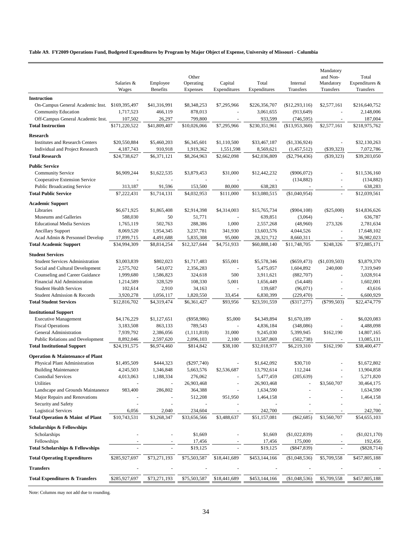**Table A9. FY2009 Operations Fund, Budgeted Expenditures by Program by Major Object of Expense, University of Missouri - Columbia**

|                                                            | Salaries &            | Employee             | Other<br>Operating      | Capital                  | Total              | Internal                 | Mandatory<br>and Non-<br>Mandatory | Total<br>Expenditures &  |
|------------------------------------------------------------|-----------------------|----------------------|-------------------------|--------------------------|--------------------|--------------------------|------------------------------------|--------------------------|
|                                                            | Wages                 | <b>Benefits</b>      | Expenses                | Expenditures             | Expenditures       | Transfers                | Transfers                          | Transfers                |
| <b>Instruction</b>                                         |                       |                      |                         |                          |                    |                          |                                    |                          |
| On-Campus General Academic Inst.                           | \$169,395,497         | \$41,316,991         | \$8,348,253             | \$7,295,966              | \$226,356,707      | (\$12,293,116)           | \$2,577,161                        | \$216,640,752            |
| <b>Community Education</b>                                 | 1,717,523             | 466,119              | 878,013                 | $\sim$                   | 3,061,655          | (913, 649)               |                                    | 2,148,006                |
| Off-Campus General Academic Inst.                          | 107,502               | 26,297               | 799,800                 |                          | 933,599            | (746, 595)               |                                    | 187,004                  |
| <b>Total Instruction</b>                                   | \$171,220,522         | \$41,809,407         | \$10,026,066            | \$7,295,966              | \$230,351,961      | (\$13,953,360)           | \$2,577,161                        | \$218,975,762            |
| Research                                                   |                       |                      |                         |                          |                    |                          |                                    |                          |
| <b>Institutes and Research Centers</b>                     | \$20,550,884          | \$5,460,203          | \$6,345,601             | \$1,110,500              | \$33,467,187       | (\$1,336,924)            |                                    | \$32,130,263             |
| Individual and Project Research                            | 4,187,743             | 910,918              | 1,919,362               | 1,551,598                | 8,569,621          | (1,457,512)              | $(\$39,323)$                       | 7,072,786                |
| <b>Total Research</b>                                      | \$24,738,627          | \$6,371,121          | \$8,264,963             | \$2,662,098              | \$42,036,809       | $(\$2,794,436)$          | (\$39,323)                         | \$39,203,050             |
| <b>Public Service</b>                                      |                       |                      |                         |                          |                    |                          |                                    |                          |
| <b>Community Service</b>                                   | \$6,909,244           | \$1,622,535          | \$3,879,453             | \$31,000                 | \$12,442,232       | $(\$906,072)$            |                                    | \$11,536,160             |
| Cooperative Extension Service                              |                       |                      |                         |                          |                    | (134, 882)               |                                    | (134, 882)               |
| <b>Public Broadcasting Service</b>                         | 313,187               | 91,596               | 153,500                 | 80,000                   | 638,283            |                          |                                    | 638,283                  |
| <b>Total Public Service</b>                                | \$7,222,431           | \$1,714,131          | \$4,032,953             | \$111,000                | \$13,080,515       | (\$1,040,954)            |                                    | \$12,039,561             |
| <b>Academic Support</b>                                    |                       |                      |                         |                          |                    |                          |                                    |                          |
| Libraries                                                  | \$6,671,925           | \$1,865,408          | \$2,914,398             | \$4,314,003              | \$15,765,734       | $(\$904,108)$            | (\$25,000)                         | \$14,836,626             |
| Museums and Galleries                                      | 588,030               | 50                   | 51,771                  | ÷,                       | 639,851            | (3,064)                  | $\overline{\phantom{a}}$           | 636,787                  |
| <b>Educational Media Services</b>                          | 1,765,119             | 502,763              | 288,386                 | 1,000                    | 2,557,268          | (48,960)                 | 273,326                            | 2,781,634                |
| <b>Ancillary Support</b>                                   | 8,069,520             | 1,954,345            | 3,237,781               | 341,930                  | 13,603,576         | 4,044,526                |                                    | 17,648,102               |
| Acad Admin & Personnel Develop                             | 17,899,715            | 4,491,688            | 5,835,308               | 95,000                   | 28,321,712         | 8,660,311                |                                    | 36,982,023               |
| <b>Total Academic Support</b>                              | \$34,994,309          | \$8,814,254          | \$12,327,644            | \$4,751,933              | \$60,888,140       | \$11,748,705             | \$248,326                          | \$72,885,171             |
| <b>Student Services</b>                                    |                       |                      |                         |                          |                    |                          |                                    |                          |
| <b>Student Services Administration</b>                     | \$3,003,839           | \$802,023            | \$1,717,483             | \$55,001                 | \$5,578,346        | $(\$659,473)$            | (\$1,039,503)                      | \$3,879,370              |
| Social and Cultural Development                            | 2,575,702             | 543,072              | 2,356,283               |                          | 5,475,057          | 1,604,892                | 240,000                            | 7,319,949                |
| Counseling and Career Guidance                             | 1,999,680             | 1,586,823            | 324,618                 | 500                      | 3,911,621          | (882,707)                | $\blacksquare$                     | 3,028,914                |
| Financial Aid Administration                               | 1,214,589             | 328,529              | 108,330                 | 5,001                    | 1,656,449          | (54, 448)                | $\overline{a}$                     | 1,602,001                |
| <b>Student Health Services</b>                             | 102,614               | 2,910                | 34,163                  |                          | 139,687            | (96,071)                 |                                    | 43,616                   |
| Student Admission & Records                                | 3,920,278             | 1,056,117            | 1,820,550               | 33,454                   | 6,830,399          | (229, 470)               |                                    | 6,600,929                |
| <b>Total Student Services</b>                              | \$12,816,702          | \$4,319,474          | \$6,361,427             | \$93,956                 | \$23,591,559       | $(\$317,277)$            | $(\$799,503)$                      | \$22,474,779             |
| <b>Institutional Support</b>                               |                       |                      |                         |                          |                    |                          |                                    |                          |
| <b>Executive Management</b>                                | \$4,176,229           | \$1,127,651          | $($ \$958,986)          | \$5,000                  | \$4,349,894        | \$1,670,189              |                                    | \$6,020,083              |
| <b>Fiscal Operations</b>                                   | 3,183,508             | 863,133              | 789,543                 |                          | 4,836,184          | (348,086)                |                                    | 4,488,098                |
| General Administration                                     | 7,939,792             | 2,386,056            | (1, 111, 818)           | 31,000                   | 9,245,030          | 5,399,945                | \$162,190                          | 14,807,165               |
| <b>Public Relations and Development</b>                    | 8,892,046             | 2,597,620            | 2,096,103               | 2,100                    | 13,587,869         | (502, 738)               |                                    | 13,085,131               |
| <b>Total Institutional Support</b>                         | \$24,191,575          | \$6,974,460          | \$814,842               | \$38,100                 | \$32,018,977       | \$6,219,310              | \$162,190                          | \$38,400,477             |
| <b>Operation &amp; Maintenance of Plant</b>                |                       |                      |                         |                          |                    |                          |                                    |                          |
| Physical Plant Administration                              | \$1,495,509           | \$444,323            | $(\$297,740)$           |                          | \$1,642,092        | \$30,710                 |                                    | \$1,672,802              |
| <b>Building Maintenance</b>                                | 4,245,503             | 1,346,848            | 5,663,576               | \$2,536,687              | 13,792,614         | 112,244                  |                                    | 13,904,858               |
| <b>Custodial Services</b>                                  | 4,013,063             | 1,188,334            | 276,062                 |                          | 5,477,459          | (205, 639)               |                                    | 5,271,820                |
| Utilities                                                  |                       | $\blacksquare$       | 26,903,468              |                          | 26,903,468         |                          | \$3,560,707                        | 30,464,175               |
| Landscape and Grounds Maintanence                          | 983,400               | 286,802              | 364,388                 |                          | 1,634,590          |                          |                                    | 1,634,590                |
| Major Repairs and Renovations                              |                       |                      | 512,208                 | 951,950                  | 1,464,158          |                          |                                    | 1,464,158                |
| Security and Safety<br><b>Logistical Services</b>          |                       |                      |                         |                          | 242,700            |                          |                                    |                          |
| Total Operation & Maint of Plant                           | 6,056<br>\$10,743,531 | 2,040<br>\$3,268,347 | 234,604<br>\$33,656,566 | \$3,488,637              | \$51,157,081       | $(\$62,685)$             | \$3,560,707                        | 242,700<br>\$54,655,103  |
|                                                            |                       |                      |                         |                          |                    |                          |                                    |                          |
| <b>Scholarships &amp; Fellowships</b>                      |                       |                      |                         |                          |                    |                          |                                    |                          |
| Scholarships                                               |                       |                      | \$1,669                 |                          | \$1,669            | (\$1,022,839)            |                                    | (\$1,021,170)            |
| Fellowships<br><b>Total Scholarships &amp; Fellowships</b> |                       |                      | 17,456<br>\$19,125      | $\overline{\phantom{a}}$ | 17,456<br>\$19,125 | 175,000<br>$(\$847,839)$ |                                    | 192,456<br>$(\$828,714)$ |
|                                                            |                       |                      |                         |                          |                    |                          |                                    |                          |
| <b>Total Operating Expenditures</b>                        | \$285,927,697         | \$73,271,193         | \$75,503,587            | \$18,441,689             | \$453,144,166      | (\$1,048,536)            | \$5,709,558                        | \$457,805,188            |
| <b>Transfers</b>                                           |                       |                      |                         |                          |                    |                          |                                    |                          |
| <b>Total Expenditures &amp; Transfers</b>                  | \$285,927,697         | \$73,271,193         | \$75,503,587            | \$18,441,689             | \$453,144,166      | (\$1,048,536)            | \$5,709,558                        | \$457,805,188            |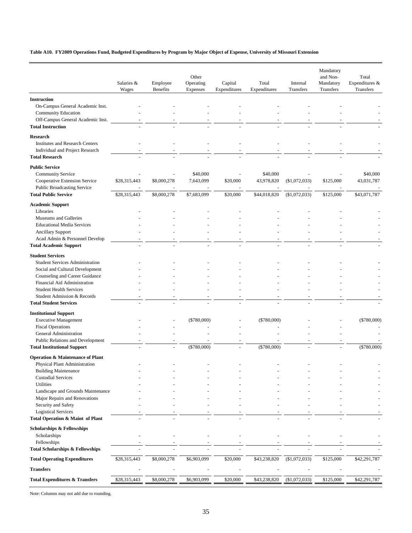### **Table A10. FY2009 Operations Fund, Budgeted Expenditures by Program by Major Object of Expense, University of Missouri Extension**

|                                                                                                                                                                                                                                                                          | Salaries &                   | Employee                   | Other<br>Operating                   | Capital              | Total                                  | Internal                       | Mandatory<br>and Non-<br>Mandatory | Total<br>Expenditures &                |
|--------------------------------------------------------------------------------------------------------------------------------------------------------------------------------------------------------------------------------------------------------------------------|------------------------------|----------------------------|--------------------------------------|----------------------|----------------------------------------|--------------------------------|------------------------------------|----------------------------------------|
|                                                                                                                                                                                                                                                                          | Wages                        | Benefits                   | Expenses                             | Expenditures         | Expenditures                           | Transfers                      | Transfers                          | Transfers                              |
| <b>Instruction</b><br>On-Campus General Academic Inst.<br><b>Community Education</b><br>Off-Campus General Academic Inst.<br><b>Total Instruction</b>                                                                                                                    |                              |                            |                                      |                      |                                        |                                |                                    |                                        |
| <b>Research</b><br><b>Institutes and Research Centers</b><br>Individual and Project Research<br><b>Total Research</b>                                                                                                                                                    |                              |                            |                                      |                      |                                        |                                |                                    |                                        |
| <b>Public Service</b><br>Community Service<br>Cooperative Extension Service<br><b>Public Broadcasting Service</b><br><b>Total Public Service</b>                                                                                                                         | \$28,315,443<br>\$28,315,443 | \$8,000,278<br>\$8,000,278 | \$40,000<br>7,643,099<br>\$7,683,099 | \$20,000<br>\$20,000 | \$40,000<br>43,978,820<br>\$44,018,820 | (\$1,072,033)<br>(\$1,072,033) | \$125,000<br>\$125,000             | \$40,000<br>43,031,787<br>\$43,071,787 |
| <b>Academic Support</b><br>Libraries<br>Museums and Galleries<br><b>Educational Media Services</b><br><b>Ancillary Support</b><br>Acad Admin & Personnel Develop<br><b>Total Academic Support</b>                                                                        |                              |                            |                                      |                      |                                        |                                |                                    |                                        |
| <b>Student Services</b><br><b>Student Services Administration</b><br>Social and Cultural Development<br>Counseling and Career Guidance<br>Financial Aid Administration<br><b>Student Health Services</b><br>Student Admission & Records<br><b>Total Student Services</b> |                              |                            |                                      |                      |                                        |                                |                                    |                                        |
| <b>Institutional Support</b><br><b>Executive Management</b><br><b>Fiscal Operations</b><br>General Administration<br>Public Relations and Development<br><b>Total Institutional Support</b>                                                                              |                              |                            | $(\$780,000)$<br>$(\$780,000)$       |                      | $(\$780,000)$<br>$(\$780,000)$         |                                |                                    | $(\$780,000)$<br>$(*780,000)$          |
| <b>Operation &amp; Maintenance of Plant</b><br>Physical Plant Administration<br><b>Building Maintenance</b><br><b>Custodial Services</b><br>Utilities<br>Landscape and Grounds Maintenance<br>Major Repairs and Renovations<br>Security and Safety                       |                              |                            |                                      |                      |                                        |                                |                                    |                                        |
| <b>Logistical Services</b><br>Total Operation & Maint of Plant                                                                                                                                                                                                           |                              |                            |                                      |                      |                                        |                                |                                    |                                        |
| <b>Scholarships &amp; Fellowships</b><br>Scholarships<br>Fellowships<br><b>Total Scholarships &amp; Fellowships</b>                                                                                                                                                      |                              |                            |                                      |                      |                                        |                                |                                    |                                        |
| <b>Total Operating Expenditures</b>                                                                                                                                                                                                                                      | \$28,315,443                 | \$8,000,278                | \$6,903,099                          | \$20,000             | \$43,238,820                           | (\$1,072,033)                  | \$125,000                          | \$42,291,787                           |
|                                                                                                                                                                                                                                                                          |                              |                            |                                      |                      |                                        |                                |                                    |                                        |
| <b>Transfers</b><br><b>Total Expenditures &amp; Transfers</b>                                                                                                                                                                                                            | \$28,315,443                 | \$8,000,278                | \$6,903,099                          | \$20,000             | \$43,238,820                           | (\$1,072,033)                  | \$125,000                          | \$42,291,787                           |
|                                                                                                                                                                                                                                                                          |                              |                            |                                      |                      |                                        |                                |                                    |                                        |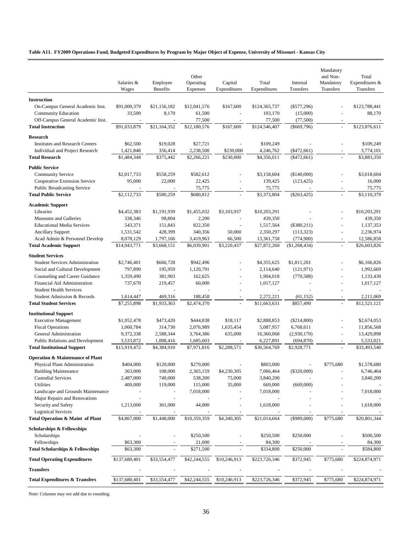### **Table A11. FY2009 Operations Fund, Budgeted Expenditures by Program by Major Object of Expense, University of Missouri - Kansas City**

|                                                                 | Salaries &                | Employee                 | Other<br>Operating       | Capital               | Total                      | Internal                   | Mandatory<br>and Non-<br>Mandatory | Total<br>Expenditures &    |
|-----------------------------------------------------------------|---------------------------|--------------------------|--------------------------|-----------------------|----------------------------|----------------------------|------------------------------------|----------------------------|
|                                                                 | Wages                     | <b>Benefits</b>          | Expenses                 | Expenditures          | Expenditures               | Transfers                  | Transfers                          | Transfers                  |
| <b>Instruction</b>                                              |                           |                          |                          |                       |                            |                            |                                    |                            |
| On-Campus General Academic Inst.                                | \$91,000,379              | \$21,156,182             | \$12,041,576             | \$167,600             | \$124,365,737              | $(\$577,296)$              |                                    | \$123,788,441              |
| Community Education                                             | 33,500                    | 8,170                    | 61,500                   |                       | 103,170                    | (15,000)                   |                                    | 88,170                     |
| Off-Campus General Academic Inst.                               | $\sim$                    | $\overline{a}$           | 77,500                   | $\sim$                | 77,500                     | (77,500)                   | $\overline{\phantom{a}}$           |                            |
| <b>Total Instruction</b>                                        | \$91,033,879              | \$21,164,352             | \$12,180,576             | \$167,600             | \$124,546,407              | $(\$669,796)$              | $\overline{a}$                     | \$123,876,611              |
| Research                                                        |                           |                          |                          |                       |                            |                            |                                    |                            |
| <b>Institutes and Research Centers</b>                          | \$62,500                  | \$19,028                 | \$27,721                 |                       | \$109,249                  |                            |                                    | \$109,249                  |
| Individual and Project Research                                 | 1,421,848                 | 356,414                  | 2,238,500                | \$230,000             | 4,246,762                  | $(*472,661)$               |                                    | 3,774,101                  |
| <b>Total Research</b>                                           | \$1,484,348               | \$375,442                | \$2,266,221              | \$230,000             | \$4,356,011                | $(\$472,661)$              |                                    | \$3,883,350                |
| <b>Public Service</b>                                           |                           |                          |                          |                       |                            |                            |                                    |                            |
| <b>Community Service</b>                                        | \$2,017,733               | \$558,259                | \$582,612                |                       | \$3,158,604                | (\$140,000)                |                                    | \$3,018,604                |
| Cooperative Extension Service                                   | 95,000                    | 22,000                   | 22,425                   |                       | 139,425                    | (123, 425)                 |                                    | 16,000                     |
| <b>Public Broadcasting Service</b>                              |                           |                          | 75,775                   |                       | 75,775                     |                            |                                    | 75,775                     |
| <b>Total Public Service</b>                                     | \$2,112,733               | \$580,259                | \$680,812                |                       | \$3,373,804                | $(\$263,425)$              |                                    | \$3,110,379                |
| <b>Academic Support</b>                                         |                           |                          |                          |                       |                            |                            |                                    |                            |
| Libraries                                                       | \$4,452,383               | \$1,191,939              | \$1,455,032              | \$3,103,937           | \$10,203,291               |                            |                                    | \$10,203,291               |
| Museums and Galleries                                           | 338,346                   | 98,804                   | 2,200                    |                       | 439,350                    |                            |                                    | 439,350                    |
| <b>Educational Media Services</b>                               | 543,371                   | 151,843                  | 822,350                  |                       | 1,517,564                  | $(\$380,211)$              | $\sim$                             | 1,137,353                  |
| <b>Ancillary Support</b>                                        | 1,531,542                 | 428,399                  | 340,356                  | 50,000                | 2,350,297                  | (113, 323)                 | $\overline{\phantom{a}}$           | 2,236,974                  |
| Acad Admin & Personnel Develop<br><b>Total Academic Support</b> | 8,078,129<br>\$14,943,771 | 1,797,166<br>\$3,668,151 | 3,419,963<br>\$6,039,901 | 66,500<br>\$3,220,437 | 13,361,758<br>\$27,872,260 | (774,900)<br>(\$1,268,434) | $\sim$<br>$\bar{\phantom{a}}$      | 12,586,858<br>\$26,603,826 |
|                                                                 |                           |                          |                          |                       |                            |                            |                                    |                            |
| <b>Student Services</b>                                         |                           |                          |                          |                       |                            |                            |                                    |                            |
| <b>Student Services Administration</b>                          | \$2,746,401               | \$666,728                | \$942,496                |                       | \$4,355,625                | \$1,811,201                |                                    | \$6,166,826                |
| Social and Cultural Development                                 | 797,890                   | 195,959                  | 1,120,791                |                       | 2,114,640                  | (121, 971)                 |                                    | 1,992,669                  |
| Counseling and Career Guidance<br>Financial Aid Administration  | 1,359,490<br>737,670      | 381,903<br>219,457       | 162,625<br>60,000        | L,                    | 1,904,018<br>1,017,127     | (770, 588)                 |                                    | 1,133,430<br>1,017,127     |
| <b>Student Health Services</b>                                  |                           | $\overline{\phantom{a}}$ |                          | $\blacksquare$        | $\overline{\phantom{a}}$   | ÷.                         | $\ddot{\phantom{1}}$               |                            |
| Student Admission & Records                                     | 1,614,447                 | 469,316                  | 188,458                  |                       | 2,272,221                  | (61, 152)                  | ÷,                                 | 2,211,069                  |
| <b>Total Student Services</b>                                   | \$7,255,898               | \$1,933,363              | \$2,474,370              |                       | \$11,663,631               | \$857,490                  | L.                                 | \$12,521,121               |
| <b>Institutional Support</b>                                    |                           |                          |                          |                       |                            |                            |                                    |                            |
| <b>Executive Management</b>                                     | \$1,952,478               | \$473,420                | \$444,838                | \$18,117              | \$2,888,853                | $(\$214,800)$              |                                    | \$2,674,053                |
| <b>Fiscal Operations</b>                                        | 1,060,784                 | 314,730                  | 2,076,989                | 1,635,454             | 5,087,957                  | 6,768,611                  | L,                                 | 11,856,568                 |
| General Administration                                          | 9,372,338                 | 2,588,344                | 3,764,386                | 635,000               | 16,360,068                 | (2,930,170)                | $\sim$                             | 13,429,898                 |
| Public Relations and Development                                | 3,533,872                 | 1,008,416                | 1,685,603                |                       | 6,227,891                  | (694, 870)                 |                                    | 5,533,021                  |
| <b>Total Institutional Support</b>                              | \$15,919,472              | \$4,384,910              | \$7,971,816              | \$2,288,571           | \$30,564,769               | \$2,928,771                |                                    | \$33,493,540               |
| <b>Operation &amp; Maintenance of Plant</b>                     |                           |                          |                          |                       |                            |                            |                                    |                            |
| Physical Plant Administration                                   | \$404,000                 | \$120,000                | \$279,000                |                       | \$803,000                  |                            | \$775,680                          | \$1,578,680                |
| <b>Building Maintenance</b>                                     | 363,000                   | 108,000                  | 2,365,159                | \$4,230,305           | 7,066,464                  | $(\$320,000)$              |                                    | 6,746,464                  |
| <b>Custodial Services</b>                                       | 2,487,000                 | 740,000                  | 538,200                  | 75,000                | 3,840,200                  |                            |                                    | 3,840,200                  |
| <b>Utilities</b>                                                | 400,000                   | 119,000                  | 115,000                  | 35,000                | 669,000                    | (669,000)                  |                                    |                            |
| Landscape and Grounds Maintenance                               |                           |                          | 7,018,000                |                       | 7,018,000                  |                            |                                    | 7,018,000                  |
| Major Repairs and Renovations                                   |                           |                          |                          |                       |                            |                            |                                    |                            |
| Security and Safety                                             | 1,213,000                 | 361,000                  | 44,000                   |                       | 1,618,000                  |                            |                                    | 1,618,000                  |
| <b>Logistical Services</b>                                      | \$4,867,000               | \$1,448,000              |                          | \$4,340,305           | \$21,014,664               | $(\$989,000)$              | \$775,680                          | \$20,801,344               |
| Total Operation & Maint of Plant                                |                           |                          | \$10,359,359             |                       |                            |                            |                                    |                            |
| <b>Scholarships &amp; Fellowships</b>                           |                           |                          |                          |                       |                            |                            |                                    |                            |
| Scholarships                                                    |                           |                          | \$250,500                |                       | \$250,500                  | \$250,000                  |                                    | \$500,500                  |
| Fellowships                                                     | \$63,300                  |                          | 21,000                   |                       | 84,300                     |                            |                                    | 84,300                     |
| <b>Total Scholarships &amp; Fellowships</b>                     | \$63,300                  |                          | \$271,500                |                       | \$334,800                  | \$250,000                  |                                    | \$584,800                  |
| <b>Total Operating Expenditures</b>                             | \$137,680,401             | \$33,554,477             | \$42,244,555             | \$10,246,913          | \$223,726,346              | \$372,945                  | \$775,680                          | \$224,874,971              |
| <b>Transfers</b>                                                |                           |                          |                          |                       |                            |                            |                                    |                            |
| <b>Total Expenditures &amp; Transfers</b>                       | \$137,680,401             | \$33,554,477             | \$42,244,555             | \$10,246,913          | \$223,726,346              | \$372,945                  | \$775,680                          | \$224,874,971              |
|                                                                 |                           |                          |                          |                       |                            |                            |                                    |                            |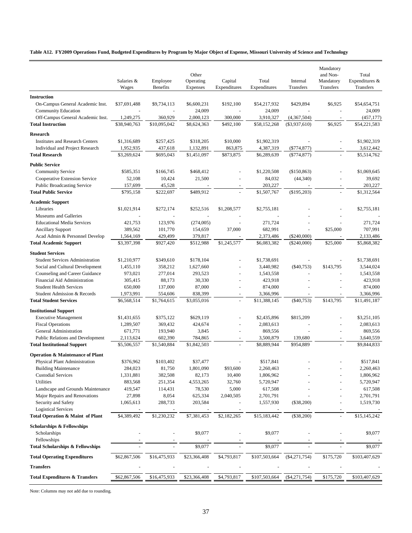### **Table A12. FY2009 Operations Fund, Budgeted Expenditures by Program by Major Object of Expense, Missouri University of Science and Technology**

|                                                                   |                      |                       | Other                 |                          |                        |                       | Mandatory<br>and Non-  | Total                       |
|-------------------------------------------------------------------|----------------------|-----------------------|-----------------------|--------------------------|------------------------|-----------------------|------------------------|-----------------------------|
|                                                                   | Salaries &<br>Wages  | Employee<br>Benefits  | Operating<br>Expenses | Capital<br>Expenditures  | Total<br>Expenditures  | Internal<br>Transfers | Mandatory<br>Transfers | Expenditures &<br>Transfers |
| <b>Instruction</b>                                                |                      |                       |                       |                          |                        |                       |                        |                             |
| On-Campus General Academic Inst.<br><b>Community Education</b>    | \$37,691,488         | \$9,734,113<br>$\sim$ | \$6,600,231<br>24,009 | \$192,100<br>$\sim$      | \$54,217,932<br>24,009 | \$429,894             | \$6,925                | \$54,654,751<br>24,009      |
| Off-Campus General Academic Inst.                                 | 1,249,275            | 360,929               | 2,000,123             | 300,000                  | 3,910,327              | (4,367,504)           |                        | (457, 177)                  |
| <b>Total Instruction</b>                                          | \$38,940,763         | \$10,095,042          | \$8,624,363           | \$492,100                | \$58,152,268           | $(\$3,937,610)$       | \$6,925                | \$54,221,583                |
| Research                                                          |                      |                       |                       |                          |                        |                       |                        |                             |
| <b>Institutes and Research Centers</b>                            | \$1,316,689          | \$257,425             | \$318,205             | \$10,000                 | \$1,902,319            |                       |                        | \$1,902,319                 |
| Individual and Project Research                                   | 1,952,935            | 437,618               | 1,132,891             | 863,875                  | 4,387,319              | $(\$774,877)$         |                        | 3,612,442                   |
| <b>Total Research</b>                                             | \$3,269,624          | \$695,043             | \$1,451,097           | \$873,875                | \$6,289,639            | $(\$774,877)$         |                        | \$5,514,762                 |
| <b>Public Service</b>                                             |                      |                       |                       |                          |                        |                       |                        |                             |
| <b>Community Service</b>                                          | \$585,351            | \$166,745             | \$468,412             |                          | \$1,220,508            | (\$150,863)           |                        | \$1,069,645                 |
| Cooperative Extension Service                                     | 52,108               | 10,424                | 21,500                |                          | 84,032                 | (44, 340)             |                        | 39,692                      |
| <b>Public Broadcasting Service</b>                                | 157,699              | 45,528                |                       |                          | 203,227                |                       |                        | 203,227                     |
| <b>Total Public Service</b>                                       | \$795,158            | \$222,697             | \$489,912             | $\overline{a}$           | \$1,507,767            | (\$195,203)           | ä,                     | \$1,312,564                 |
| <b>Academic Support</b>                                           |                      |                       |                       |                          |                        |                       |                        |                             |
| Libraries                                                         | \$1,021,914          | \$272,174             | \$252,516             | \$1,208,577              | \$2,755,181            |                       |                        | \$2,755,181                 |
| Museums and Galleries                                             |                      |                       |                       |                          |                        |                       |                        |                             |
| <b>Educational Media Services</b>                                 | 421,753              | 123,976               | (274,005)             |                          | 271,724                |                       | \$25,000               | 271,724<br>707,991          |
| <b>Ancillary Support</b><br>Acad Admin & Personnel Develop        | 389,562<br>1,564,169 | 101,770<br>429,499    | 154,659<br>379,817    | 37,000                   | 682,991<br>2,373,486   | $(\$240,000)$         |                        | 2,133,486                   |
| <b>Total Academic Support</b>                                     | \$3,397,398          | \$927,420             | \$512,988             | \$1,245,577              | \$6,083,382            | $(\$240,000)$         | \$25,000               | \$5,868,382                 |
|                                                                   |                      |                       |                       |                          |                        |                       |                        |                             |
| <b>Student Services</b><br><b>Student Services Administration</b> | \$1,210,977          | \$349,610             | \$178,104             |                          | \$1,738,691            |                       |                        | \$1,738,691                 |
| Social and Cultural Development                                   | 1,455,110            | 358,212               | 1,627,660             |                          | 3,440,982              | $(\$40,753)$          | \$143,795              | 3,544,024                   |
| Counseling and Career Guidance                                    | 973,021              | 277,014               | 293,523               |                          | 1,543,558              |                       |                        | 1,543,558                   |
| Financial Aid Administration                                      | 305,415              | 88,173                | 30,330                |                          | 423,918                |                       |                        | 423,918                     |
| <b>Student Health Services</b>                                    | 650,000              | 137,000               | 87,000                | $\overline{\phantom{a}}$ | 874,000                |                       |                        | 874,000                     |
| Student Admission & Records                                       | 1,973,991            | 554,606               | 838,399               |                          | 3,366,996              |                       |                        | 3,366,996                   |
| <b>Total Student Services</b>                                     | \$6,568,514          | \$1,764,615           | \$3,055,016           | $\omega$                 | \$11,388,145           | $(\$40,753)$          | \$143,795              | \$11,491,187                |
| <b>Institutional Support</b>                                      |                      |                       |                       |                          |                        |                       |                        |                             |
| <b>Executive Management</b>                                       | \$1,431,655          | \$375,122             | \$629,119             |                          | \$2,435,896            | \$815,209             |                        | \$3,251,105                 |
| <b>Fiscal Operations</b>                                          | 1,289,507            | 369,432               | 424,674               | $\overline{\phantom{a}}$ | 2,083,613              |                       |                        | 2,083,613                   |
| General Administration                                            | 671,771              | 193,940               | 3,845                 |                          | 869,556                |                       |                        | 869,556                     |
| Public Relations and Development                                  | 2,113,624            | 602,390               | 784,865               |                          | 3,500,879              | 139,680               |                        | 3,640,559                   |
| <b>Total Institutional Support</b>                                | \$5,506,557          | \$1,540,884           | \$1,842,503           | $\overline{a}$           | \$8,889,944            | \$954,889             |                        | \$9,844,833                 |
| <b>Operation &amp; Maintenance of Plant</b>                       |                      |                       |                       |                          |                        |                       |                        |                             |
| Physical Plant Administration                                     | \$376,962            | \$103,402             | \$37,477              |                          | \$517,841              |                       |                        | \$517,841                   |
| <b>Building Maintenance</b>                                       | 284,023              | 81,750                | 1,801,090             | \$93,600                 | 2,260,463              |                       |                        | 2,260,463                   |
| <b>Custodial Services</b>                                         | 1,331,881            | 382,508               | 82,173                | 10,400                   | 1,806,962              |                       |                        | 1,806,962                   |
| Utilities                                                         | 883,568              | 251,354               | 4,553,265             | 32,760                   | 5,720,947              |                       |                        | 5,720,947                   |
| Landscape and Grounds Maintenance                                 | 419,547              | 114,431               | 78,530                | 5,000                    | 617,508                |                       |                        | 617,508                     |
| Major Repairs and Renovations                                     | 27,898               | 8,054                 | 625,334               | 2,040,505                | 2,701,791              |                       |                        | 2,701,791                   |
| Security and Safety                                               | 1,065,613            | 288,733               | 203,584               |                          | 1,557,930              | $(\$38,200)$          |                        | 1,519,730                   |
| <b>Logistical Services</b><br>Total Operation & Maint of Plant    | \$4,389,492          | \$1,230,232           | \$7,381,453           | \$2,182,265              | \$15,183,442           | (\$38,200)            |                        | \$15,145,242                |
|                                                                   |                      |                       |                       |                          |                        |                       |                        |                             |
| <b>Scholarships &amp; Fellowships</b>                             |                      |                       |                       |                          |                        |                       |                        |                             |
| Scholarships                                                      |                      |                       | \$9,077               |                          | \$9,077                |                       |                        | \$9,077                     |
| Fellowships<br><b>Total Scholarships &amp; Fellowships</b>        |                      |                       | \$9,077               |                          | \$9,077                |                       |                        | \$9,077                     |
| <b>Total Operating Expenditures</b>                               | \$62,867,506         | \$16,475,933          | \$23,366,408          | \$4,793,817              | \$107,503,664          | $(\$4,271,754)$       | \$175,720              | \$103,407,629               |
|                                                                   |                      |                       |                       |                          |                        |                       |                        |                             |
| Transfers                                                         |                      |                       |                       |                          |                        |                       |                        |                             |
| <b>Total Expenditures &amp; Transfers</b>                         | \$62,867,506         | \$16,475,933          | \$23,366,408          | \$4,793,817              | \$107,503,664          | $(\$4,271,754)$       | \$175,720              | \$103,407,629               |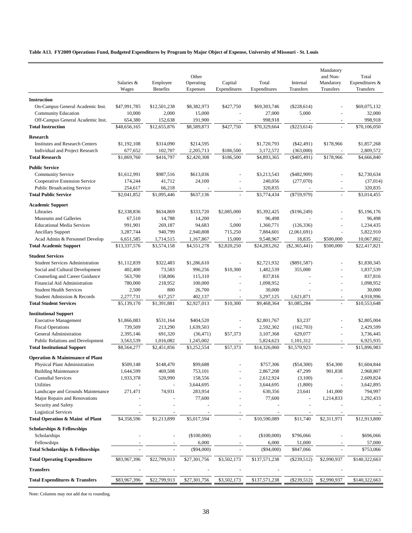**Table A13. FY2009 Operations Fund, Budgeted Expenditures by Program by Major Object of Expense, University of Missouri - St. Louis**

|                                                    | Salaries &<br>Wages      | Employee<br>Benefits     | Other<br>Operating<br>Expenses | Capital<br>Expenditures | Total<br>Expenditures     | Internal<br>Transfers    | Mandatory<br>and Non-<br>Mandatory<br>Transfers | Total<br>Expenditures &<br>Transfers |
|----------------------------------------------------|--------------------------|--------------------------|--------------------------------|-------------------------|---------------------------|--------------------------|-------------------------------------------------|--------------------------------------|
|                                                    |                          |                          |                                |                         |                           |                          |                                                 |                                      |
| <b>Instruction</b>                                 |                          |                          |                                |                         |                           |                          |                                                 |                                      |
| On-Campus General Academic Inst.                   | \$47,991,785             | \$12,501,238             | \$8,382,973                    | \$427,750               | \$69,303,746              | $(\$228,614)$            |                                                 | \$69,075,132                         |
| <b>Community Education</b>                         | 10,000                   | 2,000                    | 15,000                         |                         | 27,000                    | 5,000                    |                                                 | 32,000                               |
| Off-Campus General Academic Inst.                  | 654,380                  | 152,638                  | 191,900                        |                         | 998,918                   |                          |                                                 | 998,918                              |
| <b>Total Instruction</b>                           | \$48,656,165             | \$12,655,876             | \$8,589,873                    | \$427,750               | \$70,329,664              | $(\$223,614)$            |                                                 | \$70,106,050                         |
| Research                                           |                          |                          |                                |                         |                           |                          |                                                 |                                      |
| <b>Institutes and Research Centers</b>             | \$1,192,108              | \$314,090                | \$214,595                      |                         | \$1,720,793               | $(\$42,491)$             | \$178,966                                       | \$1,857,268                          |
| Individual and Project Research                    | 677,652                  | 102,707                  | 2,205,713                      | \$186,500               | 3,172,572                 | (363,000)                |                                                 | 2,809,572                            |
| <b>Total Research</b>                              | \$1,869,760              | \$416,797                | \$2,420,308                    | \$186,500               | \$4,893,365               | $(\$405,491)$            | \$178,966                                       | \$4,666,840                          |
| <b>Public Service</b>                              |                          |                          |                                |                         |                           |                          |                                                 |                                      |
| <b>Community Service</b>                           | \$1,612,991              | \$987,516                | \$613,036                      |                         | \$3,213,543               | $(\$482,909)$            |                                                 | \$2,730,634                          |
| Cooperative Extension Service                      | 174,244                  | 41,712                   | 24,100                         | $\sim$                  | 240,056                   | (277,070)                |                                                 | (37, 014)                            |
| <b>Public Broadcasting Service</b>                 | 254,617                  | 66,218                   |                                |                         | 320,835                   |                          |                                                 | 320,835                              |
| <b>Total Public Service</b>                        | \$2,041,852              | \$1,095,446              | \$637,136                      |                         | \$3,774,434               | $(\$759,979)$            |                                                 | \$3,014,455                          |
| <b>Academic Support</b>                            |                          |                          |                                |                         |                           |                          |                                                 |                                      |
| Libraries                                          | \$2,338,836              | \$634,869                | \$333,720                      | \$2,085,000             | \$5,392,425               | (\$196,249)              |                                                 | \$5,196,176                          |
| Museums and Galleries                              | 67,510                   | 14,788                   | 14,200                         |                         | 96,498                    |                          |                                                 | 96,498                               |
| <b>Educational Media Services</b>                  | 991,901                  | 269,187                  | 94,683                         | 5,000                   | 1,360,771                 | (126, 336)               |                                                 | 1,234,435                            |
| <b>Ancillary Support</b>                           | 3,287,744                | 940,799                  | 2,940,808                      | 715,250                 | 7,884,601                 | (2,061,691)              |                                                 | 5,822,910                            |
| Acad Admin & Personnel Develop                     | 6,651,585                | 1,714,515                | 1,167,867                      | 15,000                  | 9,548,967                 | 18,835                   | \$500,000                                       | 10,067,802                           |
| <b>Total Academic Support</b>                      | \$13,337,576             | \$3,574,158              | \$4,551,278                    | \$2,820,250             | \$24,283,262              | $(\$2,365,441)$          | \$500,000                                       | \$22,417,821                         |
| <b>Student Services</b>                            |                          |                          |                                |                         |                           |                          |                                                 |                                      |
| <b>Student Services Administration</b>             | \$1,112,839              | \$322,483                | \$1,286,610                    |                         | \$2,721,932               | $(\$891,587)$            |                                                 | \$1,830,345                          |
| Social and Cultural Development                    | 402,400                  | 73,583                   | 996,256                        | \$10,300                | 1,482,539                 | 355,000                  |                                                 | 1,837,539                            |
| Counseling and Career Guidance                     | 563,700                  | 158,806                  | 115,310                        |                         | 837,816                   |                          |                                                 | 837,816                              |
| Financial Aid Administration                       | 780,000                  | 218,952                  | 100,000                        |                         | 1,098,952                 |                          |                                                 | 1,098,952                            |
| <b>Student Health Services</b>                     | 2,500                    | 800                      | 26,700                         |                         | 30,000                    |                          | L,                                              | 30,000                               |
| Student Admission & Records                        | 2,277,731                | 617,257                  | 402,137                        |                         | 3,297,125                 | 1,621,871                | $\overline{a}$                                  | 4,918,996                            |
| <b>Total Student Services</b>                      | \$5,139,170              | \$1,391,881              | \$2,927,013                    | \$10,300                | \$9,468,364               | \$1,085,284              | $\overline{a}$                                  | \$10,553,648                         |
|                                                    |                          |                          |                                |                         |                           |                          |                                                 |                                      |
| <b>Institutional Support</b>                       |                          |                          |                                |                         |                           |                          |                                                 |                                      |
| <b>Executive Management</b>                        | \$1,866,083              | \$531,164                | \$404,520                      |                         | \$2,801,767               | \$3,237                  |                                                 | \$2,805,004                          |
| <b>Fiscal Operations</b><br>General Administration | 739,509<br>2,395,146     | 213,290                  | 1,639,503                      | $\sim$                  | 2,592,302                 | (162,703)                |                                                 | 2,429,599<br>3,736,445               |
| <b>Public Relations and Development</b>            |                          | 691,320                  | (36, 471)                      | \$57,373                | 3,107,368                 | 629,077                  | $\overline{a}$                                  | 6,925,935                            |
| <b>Total Institutional Support</b>                 | 3,563,539<br>\$8,564,277 | 1,016,082<br>\$2,451,856 | 1,245,002<br>\$3,252,554       | \$57,373                | 5,824,623<br>\$14,326,060 | 1,101,312<br>\$1,570,923 | $\overline{a}$                                  | \$15,896,983                         |
|                                                    |                          |                          |                                |                         |                           |                          |                                                 |                                      |
| <b>Operation &amp; Maintenance of Plant</b>        |                          |                          |                                |                         |                           |                          |                                                 |                                      |
| Physical Plant Administration                      | \$509,148                | \$148,470                | \$99,688                       |                         | \$757,306                 | (\$54,300)               | \$54,300                                        | \$1,604,844                          |
| <b>Building Maintenance</b>                        | 1,644,599                | 469,508                  | 753,101                        |                         | 2,867,208                 | 47,299                   | 901,838                                         | 2,968,807                            |
| <b>Custodial Services</b>                          | 1,933,378                | 520,990                  | 158,556                        |                         | 2,612,924                 | (3,100)                  |                                                 | 2,609,824                            |
| Utilities                                          |                          |                          | 3,644,695                      |                         | 3,644,695                 | (1,800)                  |                                                 | 3,642,895                            |
| Landscape and Grounds Maintenance                  | 271,471                  | 74,931                   | 283,954                        |                         | 630,356                   | 23,641                   | 141,000                                         | 794,997                              |
| Major Repairs and Renovations                      |                          |                          | 77,600                         |                         | 77,600                    |                          | 1,214,833                                       | 1,292,433                            |
| Security and Safety                                |                          |                          |                                |                         |                           |                          |                                                 |                                      |
| <b>Logistical Services</b>                         | \$4,358,596              | \$1,213,899              | \$5,017,594                    |                         | \$10,590,089              | \$11,740                 | \$2,311,971                                     | \$12,913,800                         |
| Total Operation & Maint of Plant                   |                          |                          |                                |                         |                           |                          |                                                 |                                      |
| <b>Scholarships &amp; Fellowships</b>              |                          |                          |                                |                         |                           |                          |                                                 |                                      |
| Scholarships                                       |                          |                          | (\$100,000)                    |                         | (\$100,000)               | \$796,066                |                                                 | \$696,066                            |
| Fellowships                                        |                          |                          | 6,000                          |                         | 6,000                     | 51,000                   |                                                 | 57,000                               |
| <b>Total Scholarships &amp; Fellowships</b>        |                          |                          | $(\$94,000)$                   |                         | (\$94,000)                | \$847,066                |                                                 | \$753,066                            |
| <b>Total Operating Expenditures</b>                | \$83,967,396             | \$22,799,913             | \$27,301,756                   | \$3,502,173             | \$137,571,238             | $(\$239,512)$            | \$2,990,937                                     | \$140,322,663                        |
| Transfers                                          |                          |                          |                                |                         |                           |                          |                                                 |                                      |
| <b>Total Expenditures &amp; Transfers</b>          | \$83,967,396             | \$22,799,913             | \$27,301,756                   | \$3,502,173             | \$137,571,238             | $(\$239,512)$            | \$2,990,937                                     | \$140,322,663                        |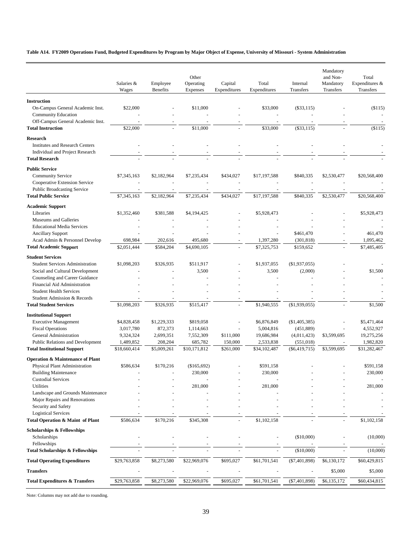### **Table A14. FY2009 Operations Fund, Budgeted Expenditures by Program by Major Object of Expense, University of Missouri - System Administration**

|                                                                                                    | Salaries &<br>Wages    | Employee<br><b>Benefits</b> | Other<br>Operating<br>Expenses | Capital<br>Expenditures | Total<br>Expenditures   | Internal<br>Transfers      | Mandatory<br>and Non-<br>Mandatory<br>Transfers | Total<br>Expenditures &<br>Transfers |
|----------------------------------------------------------------------------------------------------|------------------------|-----------------------------|--------------------------------|-------------------------|-------------------------|----------------------------|-------------------------------------------------|--------------------------------------|
| <b>Instruction</b>                                                                                 |                        |                             |                                |                         |                         |                            |                                                 |                                      |
| On-Campus General Academic Inst.<br><b>Community Education</b>                                     | \$22,000               |                             | \$11,000                       |                         | \$33,000                | $(\$33,115)$               |                                                 | ( \$115)                             |
| Off-Campus General Academic Inst.<br><b>Total Instruction</b>                                      | \$22,000               |                             | \$11,000                       |                         | \$33,000                | $(\$33,115)$               |                                                 | ( \$115)                             |
| <b>Research</b>                                                                                    |                        |                             |                                |                         |                         |                            |                                                 |                                      |
| <b>Institutes and Research Centers</b><br>Individual and Project Research<br><b>Total Research</b> |                        |                             |                                |                         |                         |                            |                                                 |                                      |
|                                                                                                    |                        |                             |                                |                         |                         |                            |                                                 |                                      |
| <b>Public Service</b><br><b>Community Service</b><br>Cooperative Extension Service                 | \$7,345,163            | \$2,182,964                 | \$7,235,434                    | \$434,027               | \$17,197,588            | \$840,335                  | \$2,530,477                                     | \$20,568,400                         |
| <b>Public Broadcasting Service</b>                                                                 |                        |                             |                                |                         |                         |                            |                                                 |                                      |
| <b>Total Public Service</b>                                                                        | \$7,345,163            | \$2,182,964                 | \$7,235,434                    | \$434,027               | \$17,197,588            | \$840,335                  | \$2,530,477                                     | \$20,568,400                         |
| <b>Academic Support</b>                                                                            |                        |                             |                                |                         |                         |                            |                                                 |                                      |
| Libraries<br>Museums and Galleries                                                                 | \$1,352,460            | \$381,588                   | \$4,194,425                    |                         | \$5,928,473             |                            |                                                 | \$5,928,473                          |
| <b>Educational Media Services</b>                                                                  |                        |                             |                                |                         |                         |                            |                                                 |                                      |
| <b>Ancillary Support</b>                                                                           |                        |                             |                                |                         |                         | \$461,470                  |                                                 | 461,470                              |
| Acad Admin & Personnel Develop                                                                     | 698,984                | 202,616                     | 495.680                        |                         | 1,397,280               | (301, 818)                 |                                                 | 1,095,462                            |
| <b>Total Academic Support</b>                                                                      | \$2,051,444            | \$584,204                   | \$4,690,105                    |                         | \$7,325,753             | \$159,652                  |                                                 | \$7,485,405                          |
| <b>Student Services</b><br><b>Student Services Administration</b>                                  |                        |                             |                                |                         |                         |                            |                                                 |                                      |
| Social and Cultural Development                                                                    | \$1,098,203            | \$326,935                   | \$511,917<br>3,500             |                         | \$1,937,055<br>3,500    | $(\$1,937,055)$<br>(2,000) |                                                 | \$1,500                              |
| Counseling and Career Guidance                                                                     |                        |                             |                                |                         |                         |                            |                                                 |                                      |
| Financial Aid Administration                                                                       |                        |                             |                                |                         |                         |                            |                                                 |                                      |
| <b>Student Health Services</b><br>Student Admission & Records                                      |                        |                             |                                |                         |                         |                            |                                                 |                                      |
| <b>Total Student Services</b>                                                                      | \$1,098,203            | \$326,935                   | \$515,417                      |                         | \$1,940,555             | (\$1,939,055)              |                                                 | \$1,500                              |
| <b>Institutional Support</b>                                                                       |                        |                             |                                |                         |                         |                            |                                                 |                                      |
| <b>Executive Management</b>                                                                        | \$4,828,458            | \$1,229,333                 | \$819,058                      |                         | \$6,876,849             | (\$1,405,385)              |                                                 | \$5,471,464                          |
| <b>Fiscal Operations</b><br>General Administration                                                 | 3,017,780<br>9,324,324 | 872,373<br>2,699,351        | 1,114,663<br>7,552,309         | \$111,000               | 5,004,816<br>19,686,984 | (451, 889)<br>(4,011,423)  | \$3,599,695                                     | 4,552,927<br>19,275,256              |
| Public Relations and Development                                                                   | 1,489,852              | 208,204                     | 685,782                        | 150,000                 | 2,533,838               | (551, 018)                 |                                                 | 1,982,820                            |
| <b>Total Institutional Support</b>                                                                 | \$18,660,414           | \$5,009,261                 | \$10,171,812                   | \$261,000               | \$34,102,487            | $(\$6,419,715)$            | \$3,599,695                                     | \$31,282,467                         |
| <b>Operation &amp; Maintenance of Plant</b>                                                        |                        |                             |                                |                         |                         |                            |                                                 |                                      |
| Physical Plant Administration                                                                      | \$586,634              | \$170,216                   | (\$165,692)                    |                         | \$591,158               |                            |                                                 | \$591,158                            |
| <b>Building Maintenance</b>                                                                        |                        |                             | 230,000                        |                         | 230,000                 |                            |                                                 | 230,000                              |
| <b>Custodial Services</b><br><b>Utilities</b>                                                      |                        |                             | 281,000                        |                         | 281,000                 |                            |                                                 | 281,000                              |
| Landscape and Grounds Maintenance                                                                  |                        |                             |                                |                         |                         |                            |                                                 |                                      |
| Major Repairs and Renovations                                                                      |                        |                             |                                |                         |                         |                            |                                                 |                                      |
| Security and Safety                                                                                |                        |                             |                                |                         |                         |                            |                                                 |                                      |
| <b>Logistical Services</b><br>Total Operation & Maint of Plant                                     | \$586,634              | \$170,216                   | \$345,308                      |                         | \$1,102,158             |                            |                                                 | \$1,102,158                          |
| <b>Scholarships &amp; Fellowships</b>                                                              |                        |                             |                                |                         |                         |                            |                                                 |                                      |
| Scholarships                                                                                       |                        |                             |                                |                         |                         | (\$10,000)                 |                                                 | (10,000)                             |
| Fellowships<br><b>Total Scholarships &amp; Fellowships</b>                                         |                        |                             |                                |                         |                         | (\$10,000)                 |                                                 | (10,000)                             |
| <b>Total Operating Expenditures</b>                                                                | \$29,763,858           | \$8,273,580                 | \$22,969,076                   | \$695,027               | \$61,701,541            | $(\$7,401,898)$            | \$6,130,172                                     | \$60,429,815                         |
| <b>Transfers</b>                                                                                   |                        |                             |                                |                         |                         |                            | \$5,000                                         | \$5,000                              |
| <b>Total Expenditures &amp; Transfers</b>                                                          | \$29,763,858           | \$8,273,580                 | \$22,969,076                   | \$695,027               | \$61,701,541            | $(\$7,401,898)$            | \$6,135,172                                     | \$60,434,815                         |
|                                                                                                    |                        |                             |                                |                         |                         |                            |                                                 |                                      |